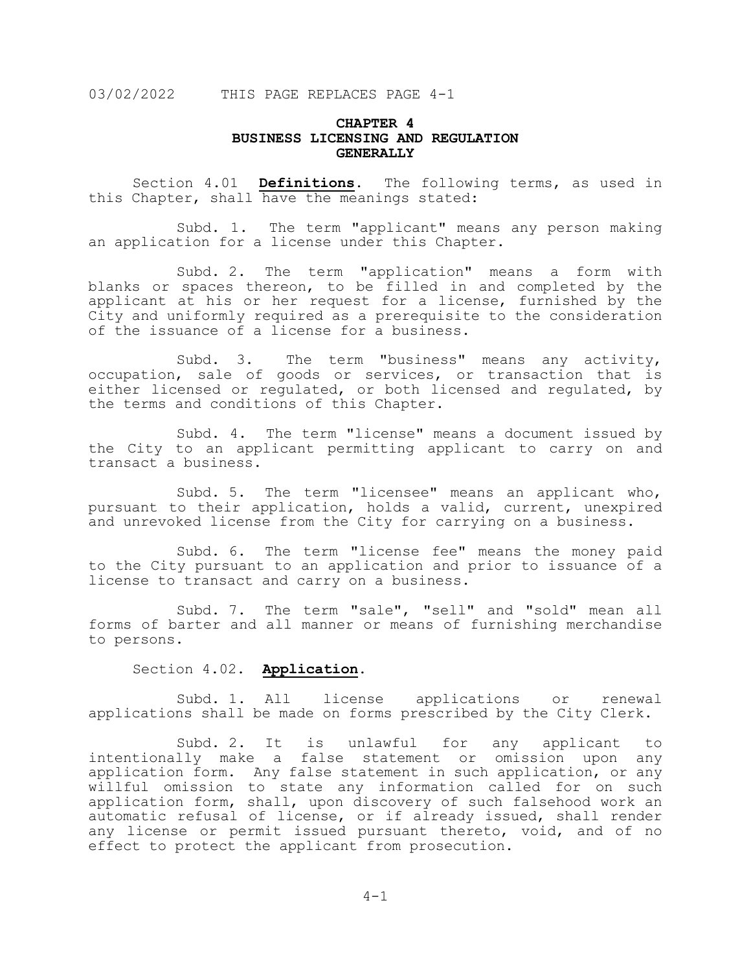# **CHAPTER 4 BUSINESS LICENSING AND REGULATION GENERALLY**

Section 4.01 **Definitions**. The following terms, as used in this Chapter, shall have the meanings stated:

Subd. 1. The term "applicant" means any person making an application for a license under this Chapter.

Subd. 2. The term "application" means a form with blanks or spaces thereon, to be filled in and completed by the applicant at his or her request for a license, furnished by the City and uniformly required as a prerequisite to the consideration of the issuance of a license for a business.

Subd. 3. The term "business" means any activity, occupation, sale of goods or services, or transaction that is either licensed or regulated, or both licensed and regulated, by the terms and conditions of this Chapter.

Subd. 4. The term "license" means a document issued by the City to an applicant permitting applicant to carry on and transact a business.

Subd. 5. The term "licensee" means an applicant who, pursuant to their application, holds a valid, current, unexpired and unrevoked license from the City for carrying on a business.

Subd. 6. The term "license fee" means the money paid to the City pursuant to an application and prior to issuance of a license to transact and carry on a business.

Subd. 7. The term "sale", "sell" and "sold" mean all forms of barter and all manner or means of furnishing merchandise to persons.

Section 4.02. **Application.**

Subd. 1. All license applications or renewal applications shall be made on forms prescribed by the City Clerk.

Subd. 2. It is unlawful for any applicant to intentionally make a false statement or omission upon any application form. Any false statement in such application, or any willful omission to state any information called for on such application form, shall, upon discovery of such falsehood work an automatic refusal of license, or if already issued, shall render any license or permit issued pursuant thereto, void, and of no effect to protect the applicant from prosecution.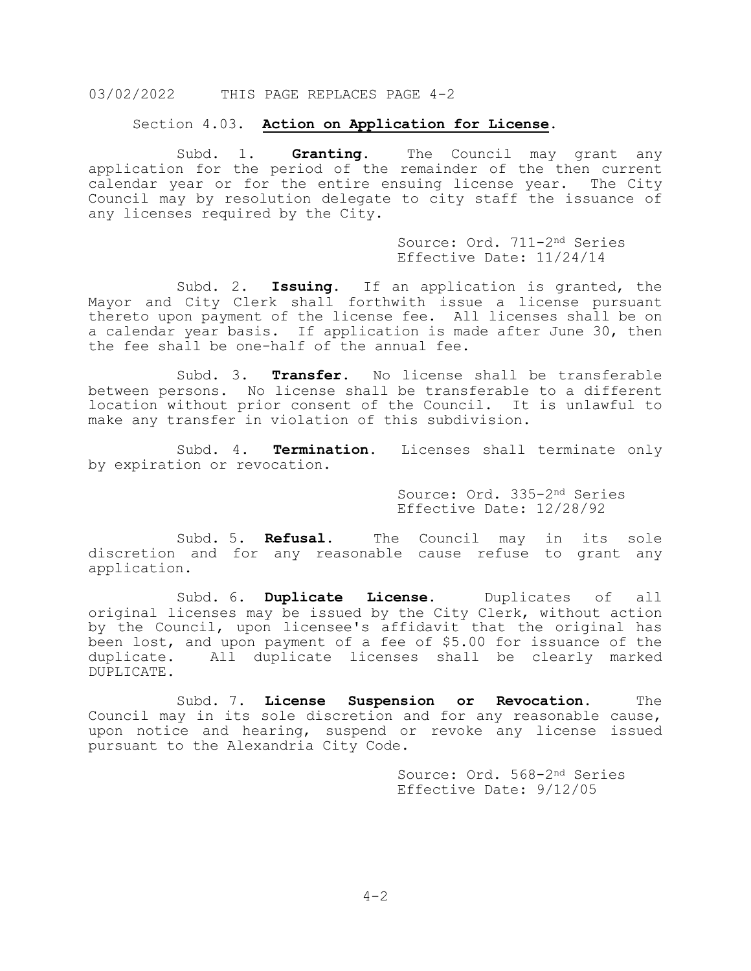#### Section 4.03. **Action on Application for License**.

Subd. 1. **Granting.** The Council may grant any application for the period of the remainder of the then current calendar year or for the entire ensuing license year. The City Council may by resolution delegate to city staff the issuance of any licenses required by the City.

> Source: Ord. 711-2nd Series Effective Date: 11/24/14

Subd. 2. **Issuing.** If an application is granted, the Mayor and City Clerk shall forthwith issue a license pursuant thereto upon payment of the license fee. All licenses shall be on a calendar year basis. If application is made after June 30, then the fee shall be one-half of the annual fee.

Subd. 3. **Transfer.** No license shall be transferable between persons. No license shall be transferable to a different location without prior consent of the Council. It is unlawful to make any transfer in violation of this subdivision.

Subd. 4. **Termination.** Licenses shall terminate only by expiration or revocation.

> Source: Ord. 335-2nd Series Effective Date: 12/28/92

Subd. 5. **Refusal.** The Council may in its sole discretion and for any reasonable cause refuse to grant any application.

Subd. 6. **Duplicate License.** Duplicates of all original licenses may be issued by the City Clerk, without action by the Council, upon licensee's affidavit that the original has been lost, and upon payment of a fee of \$5.00 for issuance of the duplicate. All duplicate licenses shall be clearly marked DUPLICATE.

Subd. 7. **License Suspension or Revocation.** The Council may in its sole discretion and for any reasonable cause, upon notice and hearing, suspend or revoke any license issued pursuant to the Alexandria City Code.

> Source: Ord. 568-2nd Series Effective Date: 9/12/05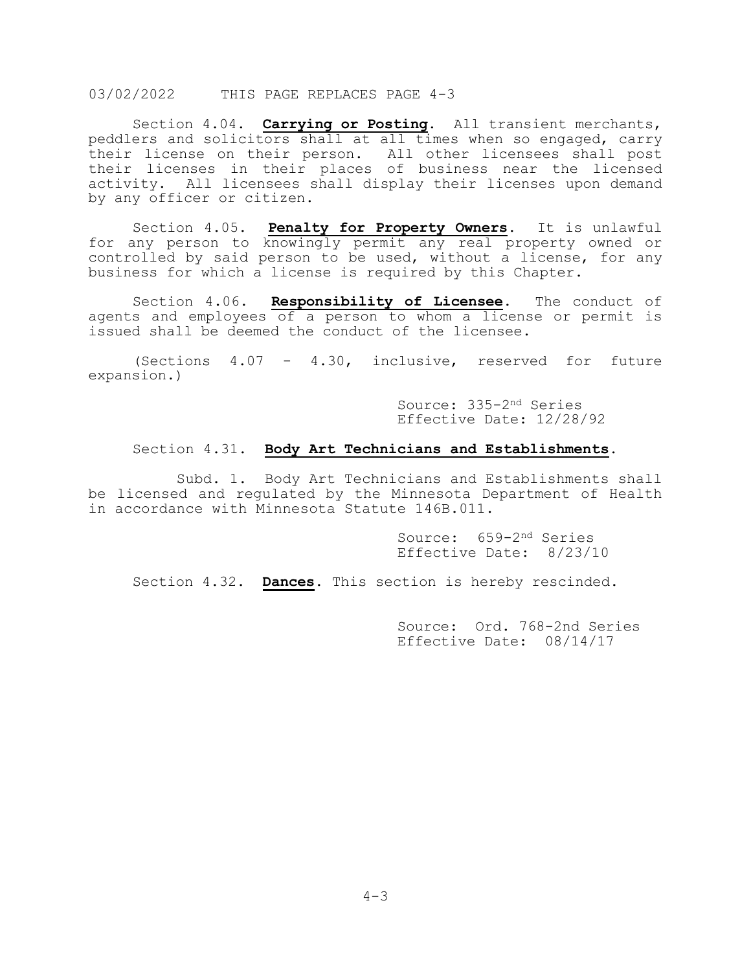Section 4.04. **Carrying or Posting**. All transient merchants, peddlers and solicitors shall at all times when so engaged, carry their license on their person. All other licensees shall post their licenses in their places of business near the licensed activity. All licensees shall display their licenses upon demand by any officer or citizen.

Section 4.05. **Penalty for Property Owners**. It is unlawful for any person to knowingly permit any real property owned or controlled by said person to be used, without a license, for any business for which a license is required by this Chapter.

Section 4.06. **Responsibility of Licensee**. The conduct of agents and employees of a person to whom a license or permit is issued shall be deemed the conduct of the licensee.

(Sections 4.07 - 4.30, inclusive, reserved for future expansion.)

> Source: 335-2nd Series Effective Date: 12/28/92

### Section 4.31. **Body Art Technicians and Establishments.**

Subd. 1. Body Art Technicians and Establishments shall be licensed and regulated by the Minnesota Department of Health in accordance with Minnesota Statute 146B.011.

> Source: 659-2nd Series Effective Date: 8/23/10

Section 4.32. **Dances**. This section is hereby rescinded.

Source: Ord. 768-2nd Series Effective Date: 08/14/17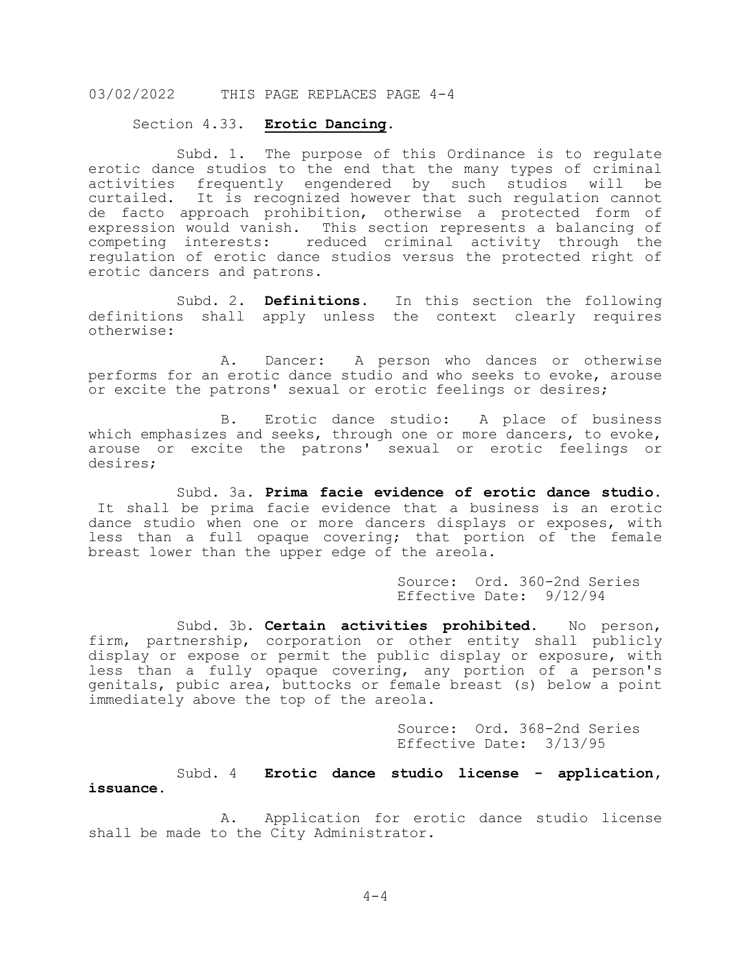#### Section 4.33. **Erotic Dancing.**

Subd. 1. The purpose of this Ordinance is to regulate erotic dance studios to the end that the many types of criminal<br>activities frequently engendered by such studios will be activities frequently engendered by such studios will curtailed. It is recognized however that such regulation cannot de facto approach prohibition, otherwise a protected form of expression would vanish. This section represents a balancing of competing interests: reduced criminal activity through the regulation of erotic dance studios versus the protected right of erotic dancers and patrons.

Subd. 2. **Definitions**. In this section the following definitions shall apply unless the context clearly requires otherwise:

A. Dancer: A person who dances or otherwise performs for an erotic dance studio and who seeks to evoke, arouse or excite the patrons' sexual or erotic feelings or desires;

B. Erotic dance studio: A place of business which emphasizes and seeks, through one or more dancers, to evoke, arouse or excite the patrons' sexual or erotic feelings or desires;

Subd. 3a. **Prima facie evidence of erotic dance studio**. It shall be prima facie evidence that a business is an erotic dance studio when one or more dancers displays or exposes, with less than a full opaque covering; that portion of the female breast lower than the upper edge of the areola.

> Source: Ord. 360-2nd Series Effective Date: 9/12/94

Subd. 3b. **Certain activities prohibited**. No person, firm, partnership, corporation or other entity shall publicly display or expose or permit the public display or exposure, with less than a fully opaque covering, any portion of a person's genitals, pubic area, buttocks or female breast (s) below a point immediately above the top of the areola.

> Source: Ord. 368-2nd Series Effective Date: 3/13/95

Subd. 4 **Erotic dance studio license - application, issuance**.

A. Application for erotic dance studio license shall be made to the City Administrator.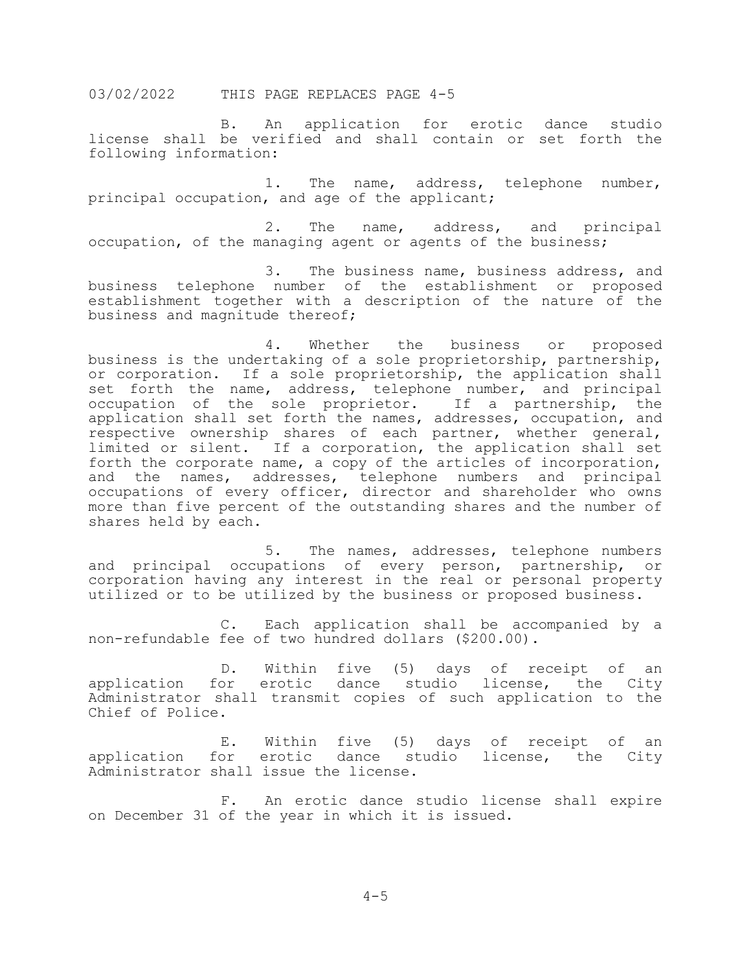B. An application for erotic dance studio license shall be verified and shall contain or set forth the following information:

1. The name, address, telephone number, principal occupation, and age of the applicant;

2. The name, address, and principal occupation, of the managing agent or agents of the business;

3. The business name, business address, and business telephone number of the establishment or proposed establishment together with a description of the nature of the business and magnitude thereof;

4. Whether the business or proposed business is the undertaking of a sole proprietorship, partnership, or corporation. If a sole proprietorship, the application shall set forth the name, address, telephone number, and principal occupation of the sole proprietor. If a partnership, the application shall set forth the names, addresses, occupation, and respective ownership shares of each partner, whether general, limited or silent. If a corporation, the application shall set forth the corporate name, a copy of the articles of incorporation, and the names, addresses, telephone numbers and principal occupations of every officer, director and shareholder who owns more than five percent of the outstanding shares and the number of shares held by each.

5. The names, addresses, telephone numbers and principal occupations of every person, partnership, or corporation having any interest in the real or personal property utilized or to be utilized by the business or proposed business.

C. Each application shall be accompanied by a non-refundable fee of two hundred dollars (\$200.00).

D. Within five (5) days of receipt of an application for erotic dance studio license, the City Administrator shall transmit copies of such application to the Chief of Police.

E. Within five (5) days of receipt of an application for erotic dance studio license, the City Administrator shall issue the license.

F. An erotic dance studio license shall expire on December 31 of the year in which it is issued.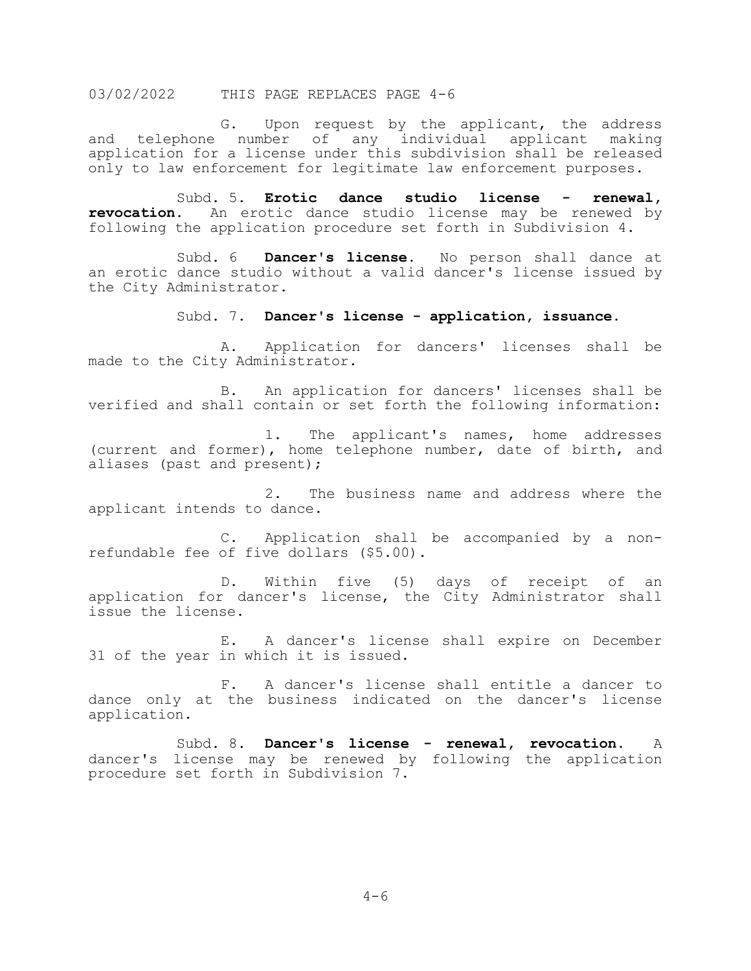G. Upon request by the applicant, the address and telephone number of any individual applicant making application for a license under this subdivision shall be released only to law enforcement for legitimate law enforcement purposes.

Subd. 5. **Erotic dance studio license - renewal, revocation**. An erotic dance studio license may be renewed by following the application procedure set forth in Subdivision 4.

Subd. 6 **Dancer's license**. No person shall dance at an erotic dance studio without a valid dancer's license issued by the City Administrator.

#### Subd. 7. **Dancer's license - application, issuance**.

A. Application for dancers' licenses shall be made to the City Administrator.

B. An application for dancers' licenses shall be verified and shall contain or set forth the following information:

1. The applicant's names, home addresses (current and former), home telephone number, date of birth, and aliases (past and present);

2. The business name and address where the applicant intends to dance.

C. Application shall be accompanied by a non- refundable fee of five dollars (\$5.00).

D. Within five (5) days of receipt of an application for dancer's license, the City Administrator shall issue the license.

E. A dancer's license shall expire on December 31 of the year in which it is issued.

F. A dancer's license shall entitle a dancer to dance only at the business indicated on the dancer's license application.

Subd. 8. **Dancer's license - renewal, revocation**. A dancer's license may be renewed by following the application procedure set forth in Subdivision 7.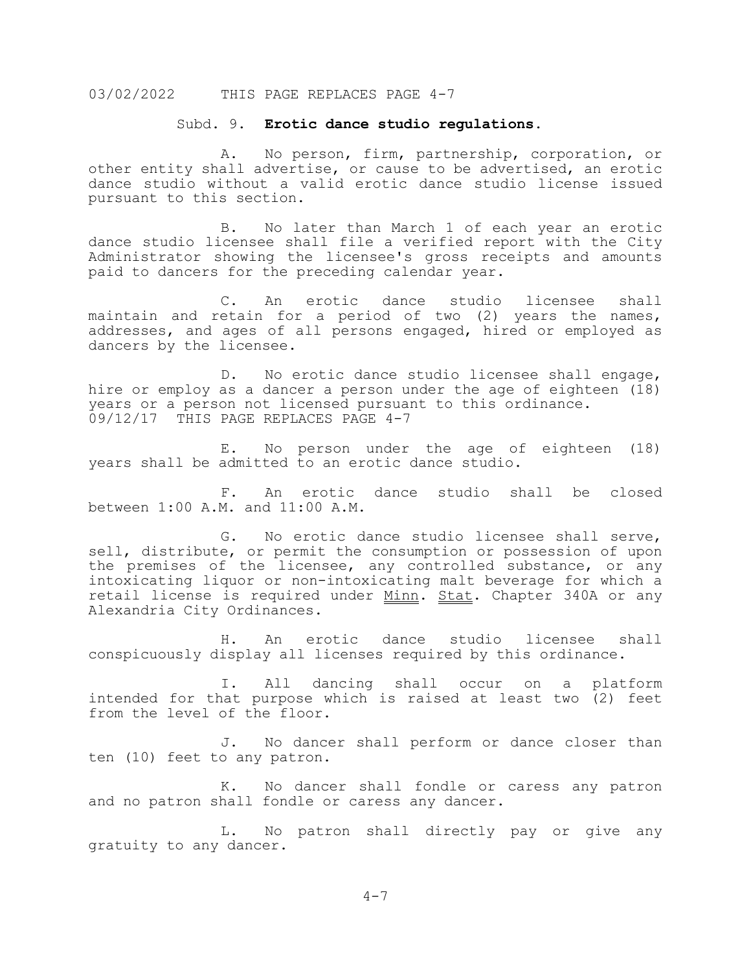#### Subd. 9. **Erotic dance studio regulations**.

A. No person, firm, partnership, corporation, or other entity shall advertise, or cause to be advertised, an erotic dance studio without a valid erotic dance studio license issued pursuant to this section.

B. No later than March 1 of each year an erotic dance studio licensee shall file a verified report with the City Administrator showing the licensee's gross receipts and amounts paid to dancers for the preceding calendar year.

C. An erotic dance studio licensee shall maintain and retain for a period of two (2) years the names, addresses, and ages of all persons engaged, hired or employed as dancers by the licensee.

D. No erotic dance studio licensee shall engage, hire or employ as a dancer a person under the age of eighteen (18) years or a person not licensed pursuant to this ordinance. 09/12/17 THIS PAGE REPLACES PAGE 4-7

E. No person under the age of eighteen (18) years shall be admitted to an erotic dance studio.

F. An erotic dance studio shall be closed between 1:00 A.M. and 11:00 A.M.

G. No erotic dance studio licensee shall serve, sell, distribute, or permit the consumption or possession of upon the premises of the licensee, any controlled substance, or any intoxicating liquor or non-intoxicating malt beverage for which a retail license is required under Minn. Stat. Chapter 340A or any Alexandria City Ordinances.

H. An erotic dance studio licensee shall conspicuously display all licenses required by this ordinance.

I. All dancing shall occur on a platform intended for that purpose which is raised at least two (2) feet from the level of the floor.

J. No dancer shall perform or dance closer than ten (10) feet to any patron.

K. No dancer shall fondle or caress any patron and no patron shall fondle or caress any dancer.

L. No patron shall directly pay or give any gratuity to any dancer.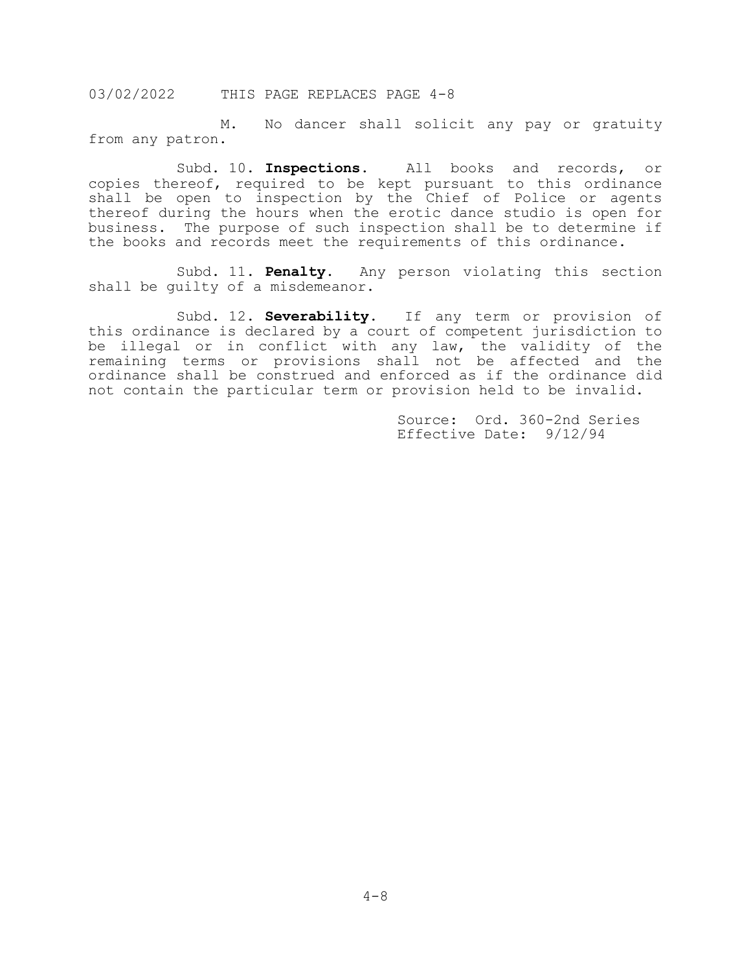M. No dancer shall solicit any pay or gratuity from any patron.

Subd. 10. **Inspections**. All books and records, or copies thereof, required to be kept pursuant to this ordinance shall be open to inspection by the Chief of Police or agents thereof during the hours when the erotic dance studio is open for business. The purpose of such inspection shall be to determine if the books and records meet the requirements of this ordinance.

Subd. 11. **Penalty**. Any person violating this section shall be guilty of a misdemeanor.

Subd. 12. **Severability**. If any term or provision of this ordinance is declared by a court of competent jurisdiction to be illegal or in conflict with any law, the validity of the remaining terms or provisions shall not be affected and the ordinance shall be construed and enforced as if the ordinance did not contain the particular term or provision held to be invalid.

> Source: Ord. 360-2nd Series Effective Date: 9/12/94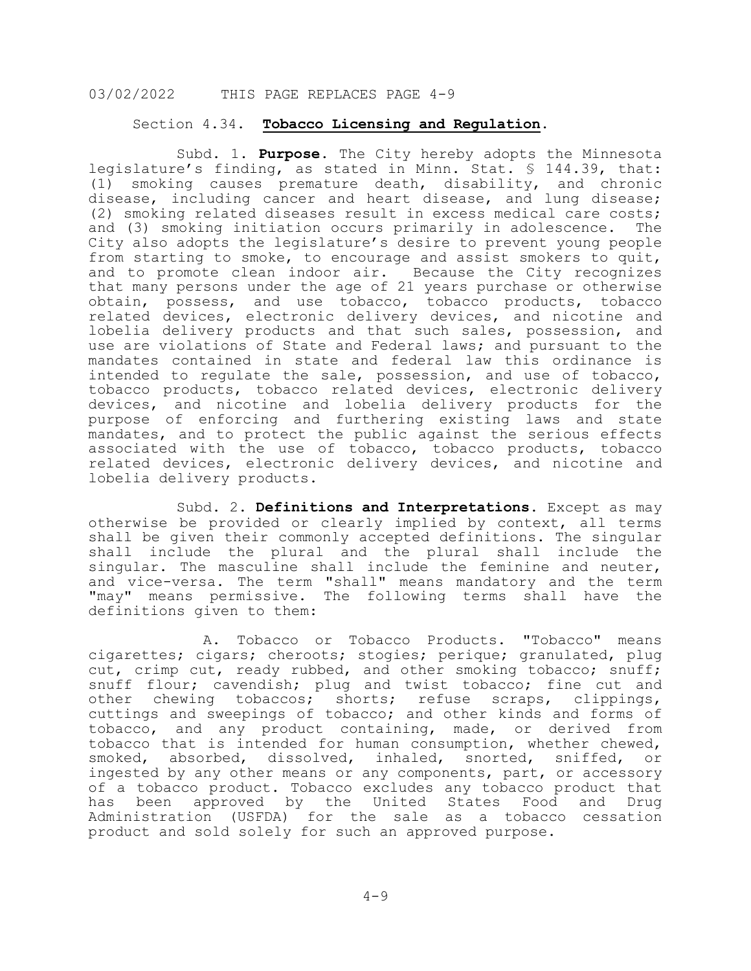### Section 4.34. **Tobacco Licensing and Regulation**.

 Subd. 1. **Purpose**. The City hereby adopts the Minnesota legislature's finding, as stated in Minn. Stat. § 144.39, that: (1) smoking causes premature death, disability, and chronic disease, including cancer and heart disease, and lung disease; (2) smoking related diseases result in excess medical care costs;<br>and (3) smoking initiation occurs primarily in adolescence. The and (3) smoking initiation occurs primarily in adolescence. City also adopts the legislature's desire to prevent young people from starting to smoke, to encourage and assist smokers to quit, and to promote clean indoor air. Because the City recognizes that many persons under the age of 21 years purchase or otherwise obtain, possess, and use tobacco, tobacco products, tobacco related devices, electronic delivery devices, and nicotine and lobelia delivery products and that such sales, possession, and use are violations of State and Federal laws; and pursuant to the mandates contained in state and federal law this ordinance is intended to regulate the sale, possession, and use of tobacco, tobacco products, tobacco related devices, electronic delivery devices, and nicotine and lobelia delivery products for the purpose of enforcing and furthering existing laws and state mandates, and to protect the public against the serious effects associated with the use of tobacco, tobacco products, tobacco related devices, electronic delivery devices, and nicotine and lobelia delivery products.

Subd. 2. **Definitions and Interpretations.** Except as may otherwise be provided or clearly implied by context, all terms shall be given their commonly accepted definitions. The singular shall include the plural and the plural shall include the singular. The masculine shall include the feminine and neuter, and vice-versa. The term "shall" means mandatory and the term "may" means permissive. The following terms shall have the definitions given to them:

 A. Tobacco or Tobacco Products. "Tobacco" means cigarettes; cigars; cheroots; stogies; perique; granulated, plug cut, crimp cut, ready rubbed, and other smoking tobacco; snuff; snuff flour; cavendish; plug and twist tobacco; fine cut and other chewing tobaccos; shorts; refuse scraps, clippings, cuttings and sweepings of tobacco; and other kinds and forms of tobacco, and any product containing, made, or derived from tobacco that is intended for human consumption, whether chewed,<br>smoked, absorbed, dissolved, inhaled, snorted, sniffed, or smoked, absorbed, dissolved, inhaled, snorted, sniffed, ingested by any other means or any components, part, or accessory of a tobacco product. Tobacco excludes any tobacco product that has been approved by the United States Food and Drug Administration (USFDA) for the sale as a tobacco cessation product and sold solely for such an approved purpose.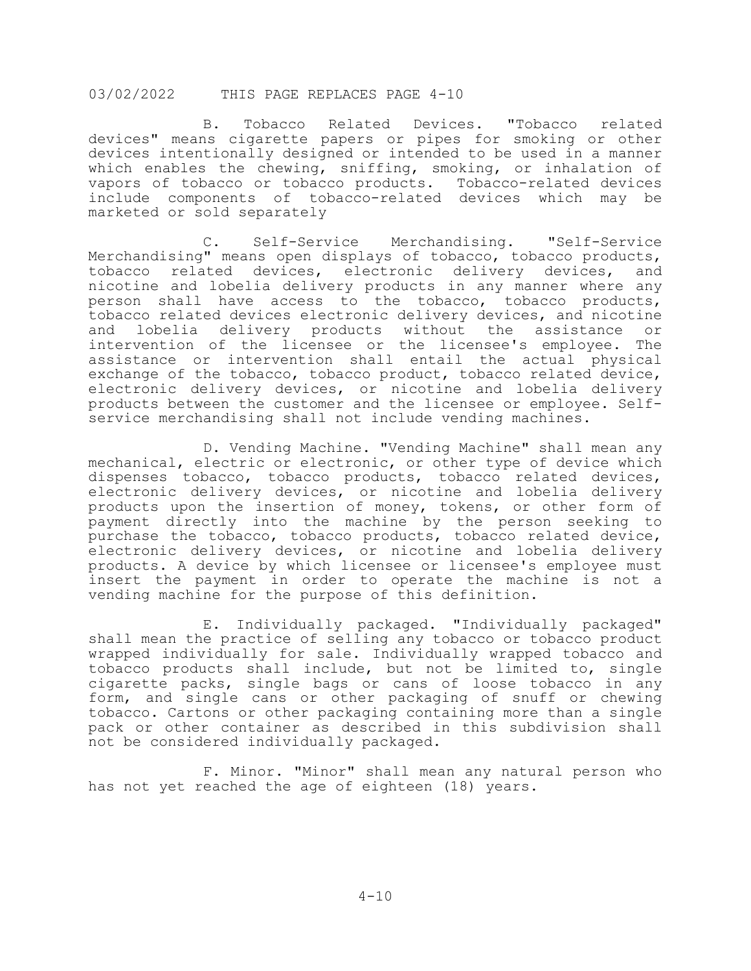B. Tobacco Related Devices. "Tobacco related devices" means cigarette papers or pipes for smoking or other devices intentionally designed or intended to be used in a manner which enables the chewing, sniffing, smoking, or inhalation of vapors of tobacco or tobacco products. Tobacco-related devices include components of tobacco-related devices which may be marketed or sold separately

 C. Self-Service Merchandising. "Self-Service Merchandising" means open displays of tobacco, tobacco products, tobacco related devices, electronic delivery devices, and nicotine and lobelia delivery products in any manner where any person shall have access to the tobacco, tobacco products, tobacco related devices electronic delivery devices, and nicotine lobelia delivery products without the assistance intervention of the licensee or the licensee's employee. The assistance or intervention shall entail the actual physical exchange of the tobacco, tobacco product, tobacco related device, electronic delivery devices, or nicotine and lobelia delivery products between the customer and the licensee or employee. Selfservice merchandising shall not include vending machines.

 D. Vending Machine. "Vending Machine" shall mean any mechanical, electric or electronic, or other type of device which dispenses tobacco, tobacco products, tobacco related devices, electronic delivery devices, or nicotine and lobelia delivery products upon the insertion of money, tokens, or other form of payment directly into the machine by the person seeking to purchase the tobacco, tobacco products, tobacco related device, electronic delivery devices, or nicotine and lobelia delivery products. A device by which licensee or licensee's employee must insert the payment in order to operate the machine is not a vending machine for the purpose of this definition.

 E. Individually packaged. "Individually packaged" shall mean the practice of selling any tobacco or tobacco product wrapped individually for sale. Individually wrapped tobacco and tobacco products shall include, but not be limited to, single cigarette packs, single bags or cans of loose tobacco in any form, and single cans or other packaging of snuff or chewing tobacco. Cartons or other packaging containing more than a single pack or other container as described in this subdivision shall not be considered individually packaged.

 F. Minor. "Minor" shall mean any natural person who has not yet reached the age of eighteen (18) years.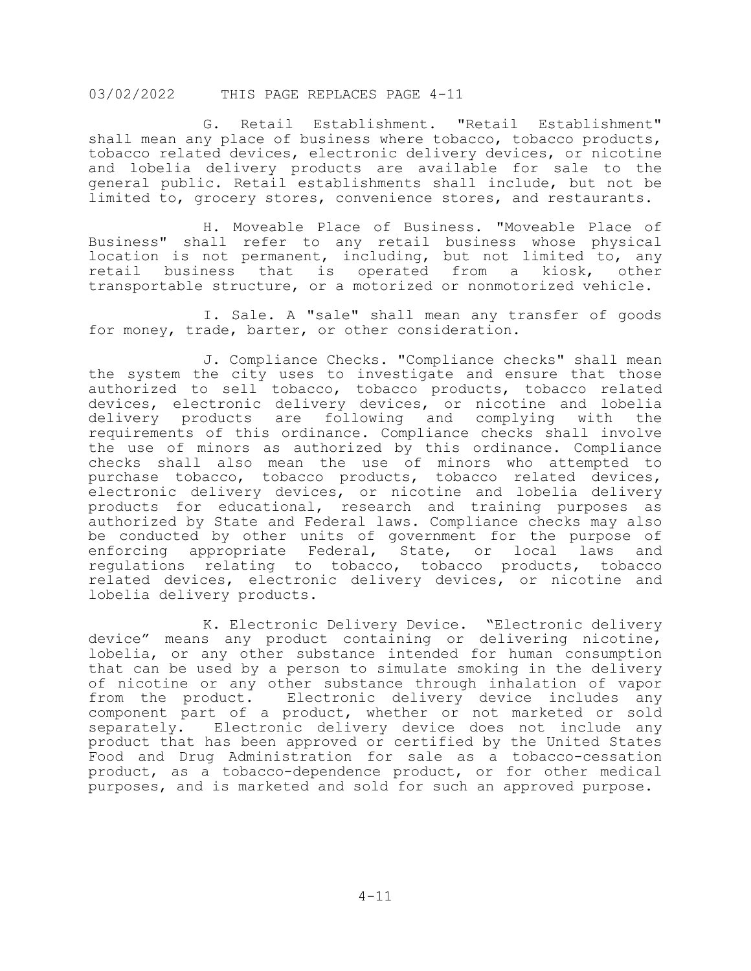G. Retail Establishment. "Retail Establishment" shall mean any place of business where tobacco, tobacco products, tobacco related devices, electronic delivery devices, or nicotine and lobelia delivery products are available for sale to the general public. Retail establishments shall include, but not be limited to, grocery stores, convenience stores, and restaurants.

 H. Moveable Place of Business. "Moveable Place of Business" shall refer to any retail business whose physical location is not permanent, including, but not limited to, any retail business that is operated from a kiosk, other transportable structure, or a motorized or nonmotorized vehicle.

 I. Sale. A "sale" shall mean any transfer of goods for money, trade, barter, or other consideration.

 J. Compliance Checks. "Compliance checks" shall mean the system the city uses to investigate and ensure that those authorized to sell tobacco, tobacco products, tobacco related devices, electronic delivery devices, or nicotine and lobelia delivery products are following and complying with the requirements of this ordinance. Compliance checks shall involve the use of minors as authorized by this ordinance. Compliance checks shall also mean the use of minors who attempted to purchase tobacco, tobacco products, tobacco related devices, electronic delivery devices, or nicotine and lobelia delivery products for educational, research and training purposes as authorized by State and Federal laws. Compliance checks may also be conducted by other units of government for the purpose of<br>enforcing appropriate Federal, State, or local laws and appropriate Federal, State, or local laws and regulations relating to tobacco, tobacco products, tobacco related devices, electronic delivery devices, or nicotine and lobelia delivery products.

 K. Electronic Delivery Device. "Electronic delivery device" means any product containing or delivering nicotine, lobelia, or any other substance intended for human consumption that can be used by a person to simulate smoking in the delivery of nicotine or any other substance through inhalation of vapor from the product. Electronic delivery device includes any component part of a product, whether or not marketed or sold separately. Electronic delivery device does not include any product that has been approved or certified by the United States Food and Drug Administration for sale as a tobacco-cessation product, as a tobacco-dependence product, or for other medical purposes, and is marketed and sold for such an approved purpose.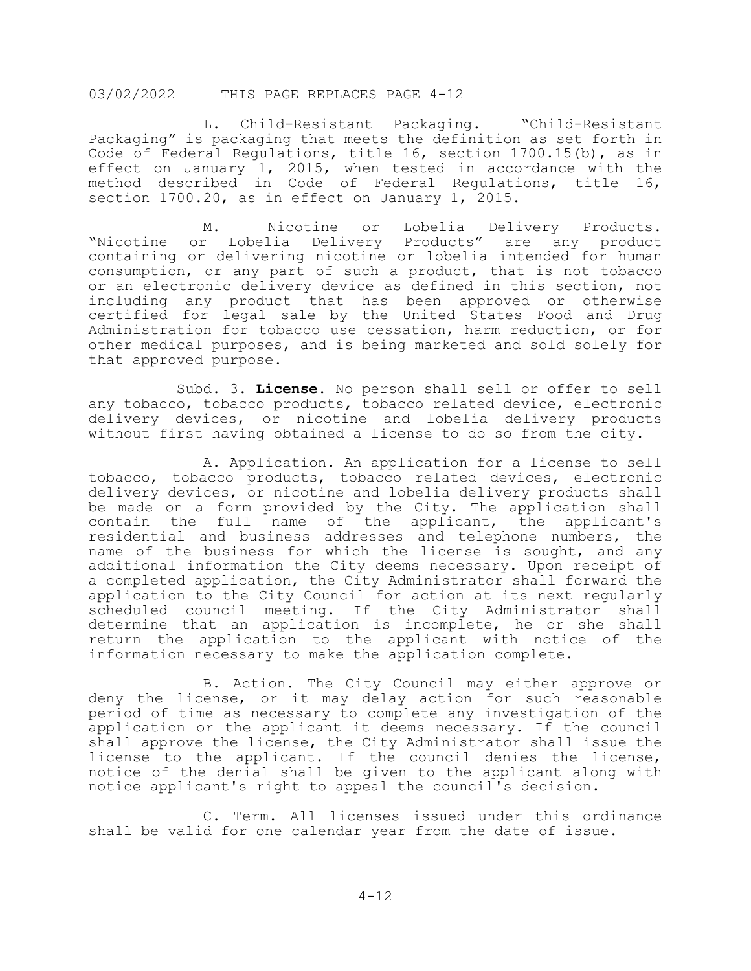L. Child-Resistant Packaging. "Child-Resistant Packaging" is packaging that meets the definition as set forth in Code of Federal Regulations, title 16, section 1700.15(b), as in effect on January 1, 2015, when tested in accordance with the method described in Code of Federal Regulations, title 16, section 1700.20, as in effect on January 1, 2015.

M. Nicotine or Lobelia Delivery Products.<br>Nicotine or Lobelia Delivery Products" are any product. Lobelia Delivery Products" are any product containing or delivering nicotine or lobelia intended for human consumption, or any part of such a product, that is not tobacco or an electronic delivery device as defined in this section, not including any product that has been approved or otherwise certified for legal sale by the United States Food and Drug Administration for tobacco use cessation, harm reduction, or for other medical purposes, and is being marketed and sold solely for that approved purpose.

 Subd. 3. **License.** No person shall sell or offer to sell any tobacco, tobacco products, tobacco related device, electronic delivery devices, or nicotine and lobelia delivery products without first having obtained a license to do so from the city.

 A. Application. An application for a license to sell tobacco, tobacco products, tobacco related devices, electronic delivery devices, or nicotine and lobelia delivery products shall be made on a form provided by the City. The application shall contain the full name of the applicant, the applicant's residential and business addresses and telephone numbers, the name of the business for which the license is sought, and any additional information the City deems necessary. Upon receipt of a completed application, the City Administrator shall forward the application to the City Council for action at its next regularly scheduled council meeting. If the City Administrator shall determine that an application is incomplete, he or she shall return the application to the applicant with notice of the information necessary to make the application complete.

 B. Action. The City Council may either approve or deny the license, or it may delay action for such reasonable period of time as necessary to complete any investigation of the application or the applicant it deems necessary. If the council shall approve the license, the City Administrator shall issue the license to the applicant. If the council denies the license, notice of the denial shall be given to the applicant along with notice applicant's right to appeal the council's decision.

 C. Term. All licenses issued under this ordinance shall be valid for one calendar year from the date of issue.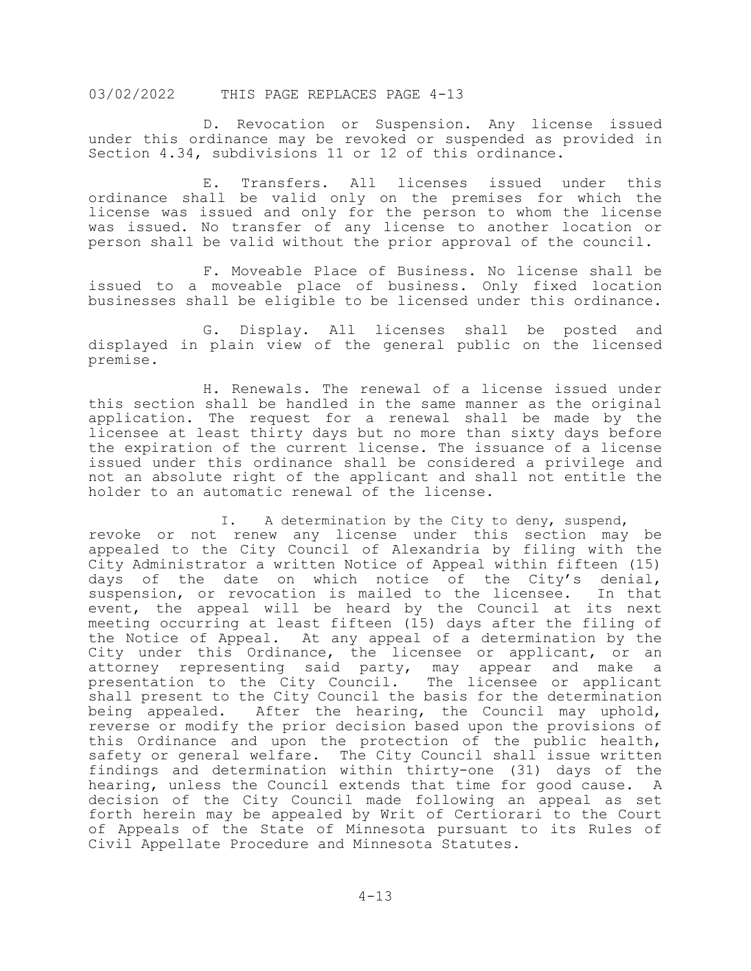D. Revocation or Suspension. Any license issued under this ordinance may be revoked or suspended as provided in Section 4.34, subdivisions 11 or 12 of this ordinance.

 E. Transfers. All licenses issued under this ordinance shall be valid only on the premises for which the license was issued and only for the person to whom the license was issued. No transfer of any license to another location or person shall be valid without the prior approval of the council.

 F. Moveable Place of Business. No license shall be issued to a moveable place of business. Only fixed location businesses shall be eligible to be licensed under this ordinance.

 G. Display. All licenses shall be posted and displayed in plain view of the general public on the licensed premise.

 H. Renewals. The renewal of a license issued under this section shall be handled in the same manner as the original application. The request for a renewal shall be made by the licensee at least thirty days but no more than sixty days before the expiration of the current license. The issuance of a license issued under this ordinance shall be considered a privilege and not an absolute right of the applicant and shall not entitle the holder to an automatic renewal of the license.

I. A determination by the City to deny, suspend, revoke or not renew any license under this section may be appealed to the City Council of Alexandria by filing with the City Administrator a written Notice of Appeal within fifteen (15) days of the date on which notice of the City's denial, suspension, or revocation is mailed to the licensee. In that event, the appeal will be heard by the Council at its next meeting occurring at least fifteen (15) days after the filing of the Notice of Appeal. At any appeal of a determination by the City under this Ordinance, the licensee or applicant, or an attorney representing said party, may appear and make a presentation to the City Council. The licensee or applicant shall present to the City Council the basis for the determination being appealed. After the hearing, the Council may uphold, reverse or modify the prior decision based upon the provisions of this Ordinance and upon the protection of the public health, safety or general welfare. The City Council shall issue written findings and determination within thirty-one (31) days of the hearing, unless the Council extends that time for good cause. A decision of the City Council made following an appeal as set forth herein may be appealed by Writ of Certiorari to the Court of Appeals of the State of Minnesota pursuant to its Rules of Civil Appellate Procedure and Minnesota Statutes.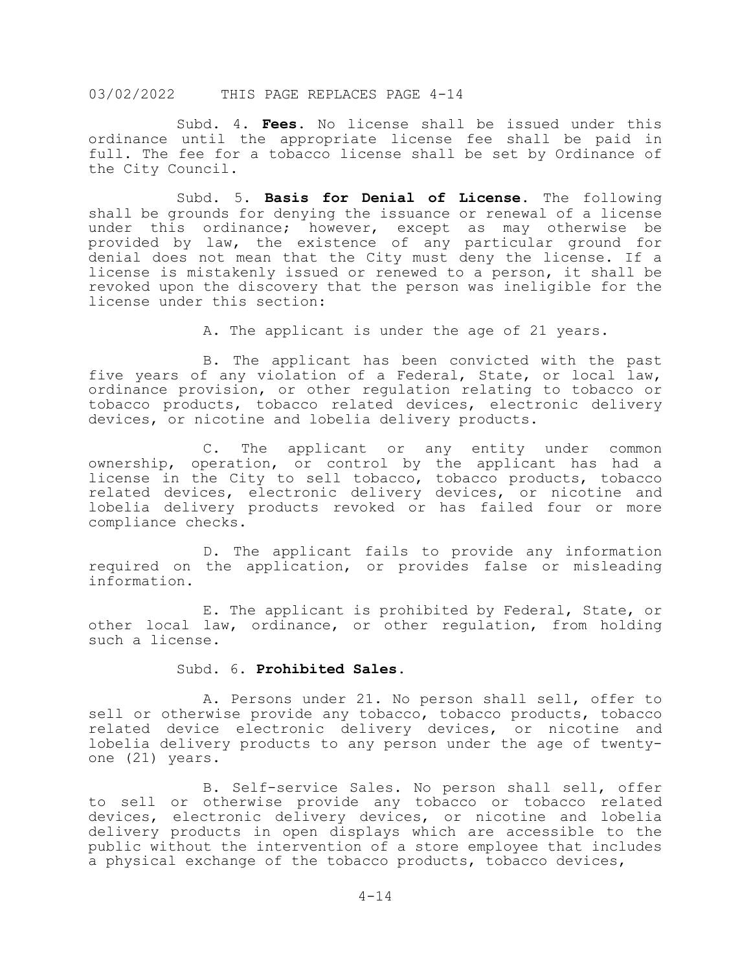Subd. 4. **Fees.** No license shall be issued under this ordinance until the appropriate license fee shall be paid in full. The fee for a tobacco license shall be set by Ordinance of the City Council.

 Subd. 5. **Basis for Denial of License.** The following shall be grounds for denying the issuance or renewal of a license under this ordinance; however, except as may otherwise be provided by law, the existence of any particular ground for denial does not mean that the City must deny the license. If a license is mistakenly issued or renewed to a person, it shall be revoked upon the discovery that the person was ineligible for the license under this section:

A. The applicant is under the age of 21 years.

 B. The applicant has been convicted with the past five years of any violation of a Federal, State, or local law, ordinance provision, or other regulation relating to tobacco or tobacco products, tobacco related devices, electronic delivery devices, or nicotine and lobelia delivery products.

 C. The applicant or any entity under common ownership, operation, or control by the applicant has had a license in the City to sell tobacco, tobacco products, tobacco related devices, electronic delivery devices, or nicotine and lobelia delivery products revoked or has failed four or more compliance checks.

 D. The applicant fails to provide any information required on the application, or provides false or misleading information.

 E. The applicant is prohibited by Federal, State, or other local law, ordinance, or other regulation, from holding such a license.

#### Subd. 6. **Prohibited Sales.**

 A. Persons under 21. No person shall sell, offer to sell or otherwise provide any tobacco, tobacco products, tobacco related device electronic delivery devices, or nicotine and lobelia delivery products to any person under the age of twentyone (21) years.

 B. Self-service Sales. No person shall sell, offer to sell or otherwise provide any tobacco or tobacco related devices, electronic delivery devices, or nicotine and lobelia delivery products in open displays which are accessible to the public without the intervention of a store employee that includes a physical exchange of the tobacco products, tobacco devices,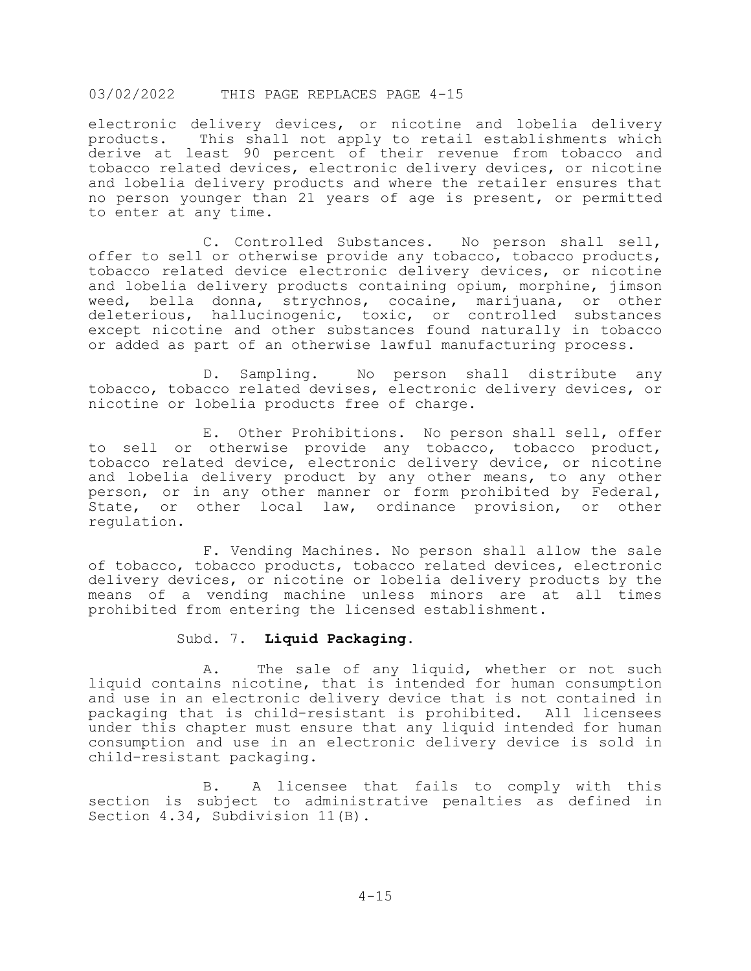electronic delivery devices, or nicotine and lobelia delivery products. This shall not apply to retail establishments which derive at least 90 percent of their revenue from tobacco and tobacco related devices, electronic delivery devices, or nicotine and lobelia delivery products and where the retailer ensures that no person younger than 21 years of age is present, or permitted to enter at any time.

 C. Controlled Substances. No person shall sell, offer to sell or otherwise provide any tobacco, tobacco products, tobacco related device electronic delivery devices, or nicotine and lobelia delivery products containing opium, morphine, jimson weed, bella donna, strychnos, cocaine, marijuana, or other deleterious, hallucinogenic, toxic, or controlled substances except nicotine and other substances found naturally in tobacco or added as part of an otherwise lawful manufacturing process.

 D. Sampling. No person shall distribute any tobacco, tobacco related devises, electronic delivery devices, or nicotine or lobelia products free of charge.

 E. Other Prohibitions. No person shall sell, offer to sell or otherwise provide any tobacco, tobacco product, tobacco related device, electronic delivery device, or nicotine and lobelia delivery product by any other means, to any other person, or in any other manner or form prohibited by Federal, State, or other local law, ordinance provision, or other regulation.

 F. Vending Machines. No person shall allow the sale of tobacco, tobacco products, tobacco related devices, electronic delivery devices, or nicotine or lobelia delivery products by the means of a vending machine unless minors are at all times prohibited from entering the licensed establishment.

#### Subd. 7. **Liquid Packaging.**

 A. The sale of any liquid, whether or not such liquid contains nicotine, that is intended for human consumption and use in an electronic delivery device that is not contained in<br>packaging that is child-resistant is prohibited. All licensees packaging that is child-resistant is prohibited. under this chapter must ensure that any liquid intended for human consumption and use in an electronic delivery device is sold in child-resistant packaging.

 B. A licensee that fails to comply with this section is subject to administrative penalties as defined in Section 4.34, Subdivision 11(B).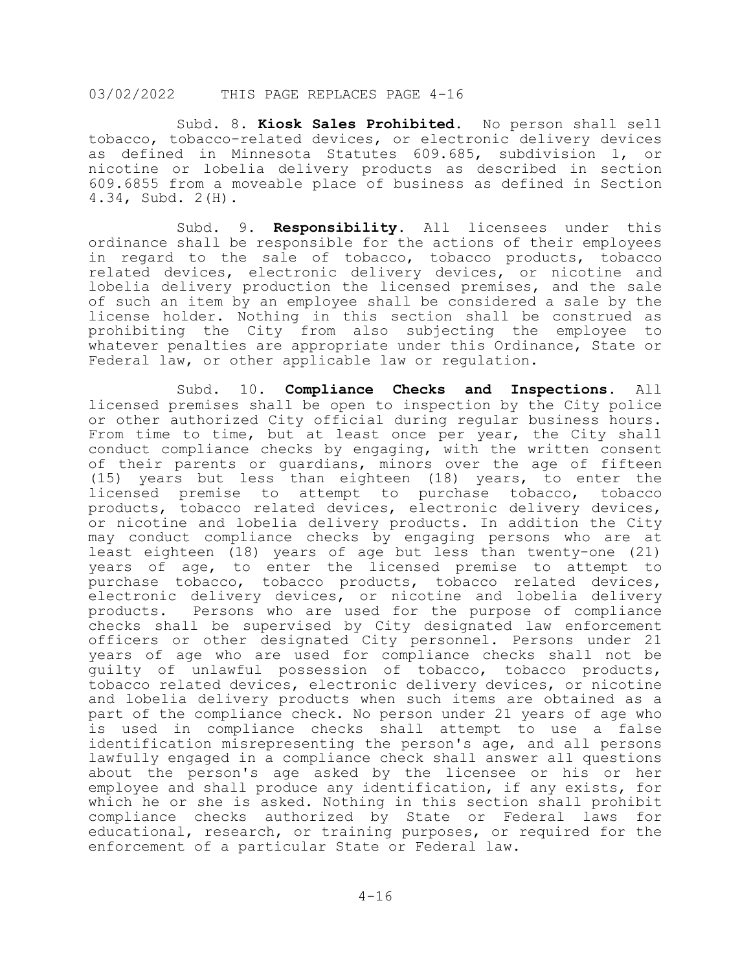Subd. 8. **Kiosk Sales Prohibited.** No person shall sell tobacco, tobacco-related devices, or electronic delivery devices as defined in Minnesota Statutes 609.685, subdivision 1, or nicotine or lobelia delivery products as described in section 609.6855 from a moveable place of business as defined in Section 4.34, Subd. 2(H).

 Subd. 9. **Responsibility.** All licensees under this ordinance shall be responsible for the actions of their employees in regard to the sale of tobacco, tobacco products, tobacco related devices, electronic delivery devices, or nicotine and lobelia delivery production the licensed premises, and the sale of such an item by an employee shall be considered a sale by the license holder. Nothing in this section shall be construed as prohibiting the City from also subjecting the employee to whatever penalties are appropriate under this Ordinance, State or Federal law, or other applicable law or regulation.

 Subd. 10. **Compliance Checks and Inspections.** All licensed premises shall be open to inspection by the City police or other authorized City official during regular business hours. From time to time, but at least once per year, the City shall conduct compliance checks by engaging, with the written consent of their parents or guardians, minors over the age of fifteen (15) years but less than eighteen (18) years, to enter the licensed premise to attempt to purchase tobacco, tobacco products, tobacco related devices, electronic delivery devices, or nicotine and lobelia delivery products. In addition the City may conduct compliance checks by engaging persons who are at least eighteen (18) years of age but less than twenty-one (21) years of age, to enter the licensed premise to attempt to purchase tobacco, tobacco products, tobacco related devices, electronic delivery devices, or nicotine and lobelia delivery<br>products. Persons who are used for the purpose of compliance Persons who are used for the purpose of compliance checks shall be supervised by City designated law enforcement officers or other designated City personnel. Persons under 21 years of age who are used for compliance checks shall not be guilty of unlawful possession of tobacco, tobacco products, tobacco related devices, electronic delivery devices, or nicotine and lobelia delivery products when such items are obtained as a part of the compliance check. No person under 21 years of age who is used in compliance checks shall attempt to use a false identification misrepresenting the person's age, and all persons lawfully engaged in a compliance check shall answer all questions about the person's age asked by the licensee or his or her employee and shall produce any identification, if any exists, for which he or she is asked. Nothing in this section shall prohibit compliance checks authorized by State or Federal laws for educational, research, or training purposes, or required for the enforcement of a particular State or Federal law.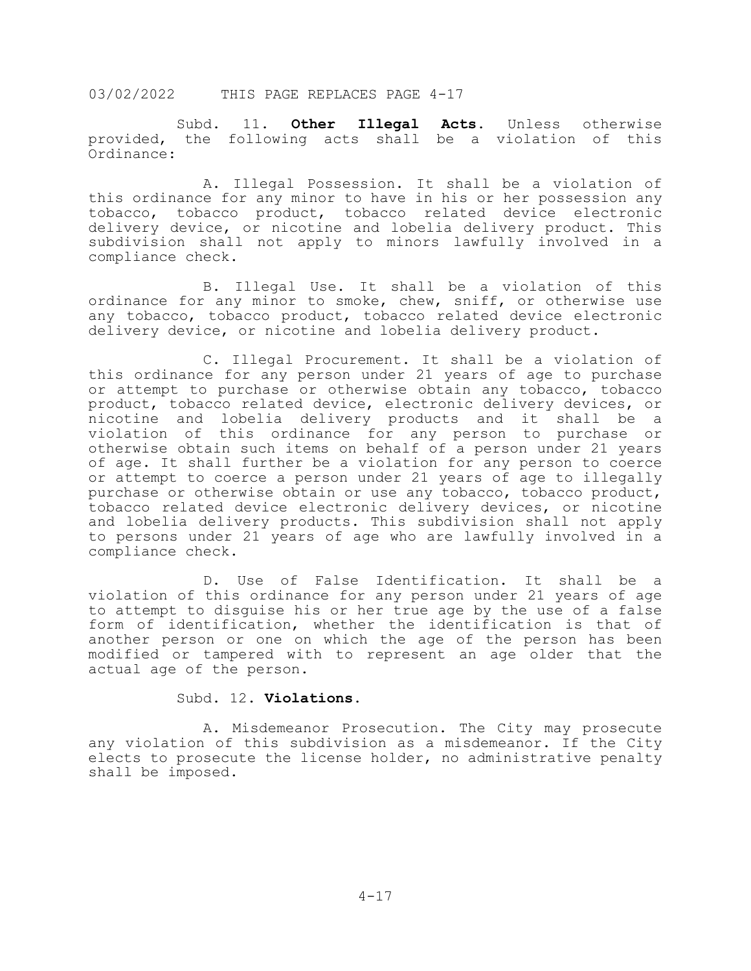Subd. 11. **Other Illegal Acts.** Unless otherwise provided, the following acts shall be a violation of this Ordinance:

 A. Illegal Possession. It shall be a violation of this ordinance for any minor to have in his or her possession any tobacco, tobacco product, tobacco related device electronic delivery device, or nicotine and lobelia delivery product. This subdivision shall not apply to minors lawfully involved in a compliance check.

 B. Illegal Use. It shall be a violation of this ordinance for any minor to smoke, chew, sniff, or otherwise use any tobacco, tobacco product, tobacco related device electronic delivery device, or nicotine and lobelia delivery product.

 C. Illegal Procurement. It shall be a violation of this ordinance for any person under 21 years of age to purchase or attempt to purchase or otherwise obtain any tobacco, tobacco product, tobacco related device, electronic delivery devices, or nicotine and lobelia delivery products and it shall be a violation of this ordinance for any person to purchase or otherwise obtain such items on behalf of a person under 21 years of age. It shall further be a violation for any person to coerce or attempt to coerce a person under 21 years of age to illegally purchase or otherwise obtain or use any tobacco, tobacco product, tobacco related device electronic delivery devices, or nicotine and lobelia delivery products. This subdivision shall not apply to persons under 21 years of age who are lawfully involved in a compliance check.

 D. Use of False Identification. It shall be a violation of this ordinance for any person under 21 years of age to attempt to disguise his or her true age by the use of a false form of identification, whether the identification is that of another person or one on which the age of the person has been modified or tampered with to represent an age older that the actual age of the person.

# Subd. 12. **Violations.**

 A. Misdemeanor Prosecution. The City may prosecute any violation of this subdivision as a misdemeanor. If the City elects to prosecute the license holder, no administrative penalty shall be imposed.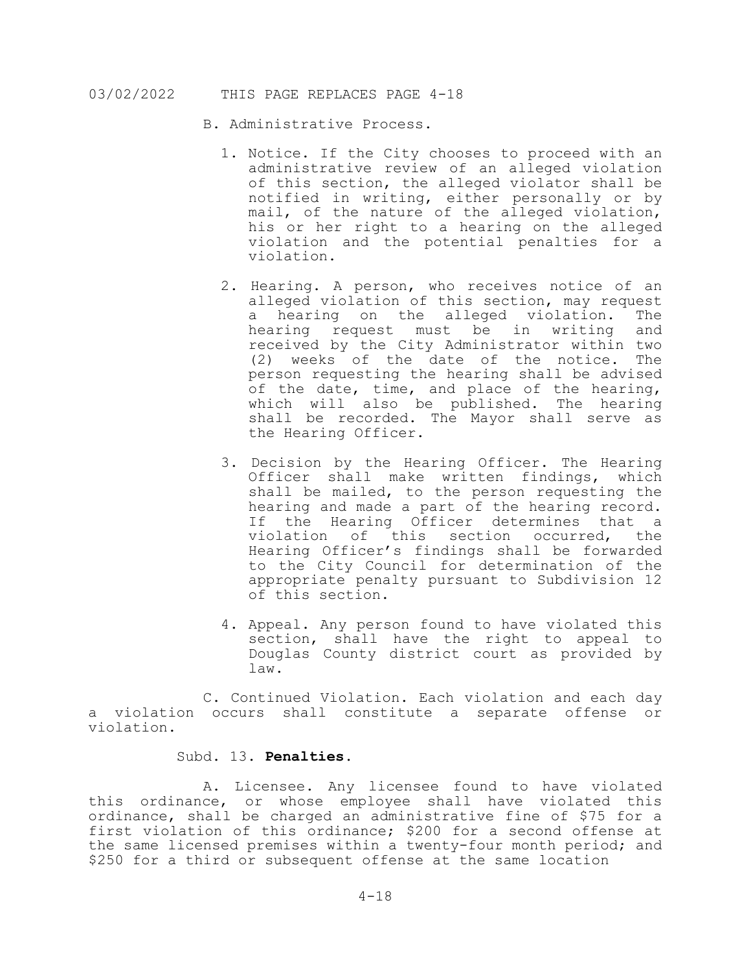- B. Administrative Process.
	- 1. Notice. If the City chooses to proceed with an administrative review of an alleged violation of this section, the alleged violator shall be notified in writing, either personally or by mail, of the nature of the alleged violation, his or her right to a hearing on the alleged violation and the potential penalties for a violation.
	- 2. Hearing. A person, who receives notice of an alleged violation of this section, may request<br>a hearing on the alleged violation. The a hearing on the alleged violation. The<br>hearing request must be in writing and hearing request must be in writing received by the City Administrator within two (2) weeks of the date of the notice. The person requesting the hearing shall be advised of the date, time, and place of the hearing, which will also be published. The hearing shall be recorded. The Mayor shall serve as the Hearing Officer.
	- 3. Decision by the Hearing Officer. The Hearing Officer shall make written findings, which shall be mailed, to the person requesting the hearing and made a part of the hearing record. If the Hearing Officer determines that a violation of this section occurred, the Hearing Officer's findings shall be forwarded to the City Council for determination of the appropriate penalty pursuant to Subdivision 12 of this section.
	- 4. Appeal. Any person found to have violated this section, shall have the right to appeal to Douglas County district court as provided by law.

 C. Continued Violation. Each violation and each day a violation occurs shall constitute a separate offense or violation.

# Subd. 13. **Penalties.**

 A. Licensee. Any licensee found to have violated this ordinance, or whose employee shall have violated this ordinance, shall be charged an administrative fine of \$75 for a first violation of this ordinance; \$200 for a second offense at the same licensed premises within a twenty-four month period; and \$250 for a third or subsequent offense at the same location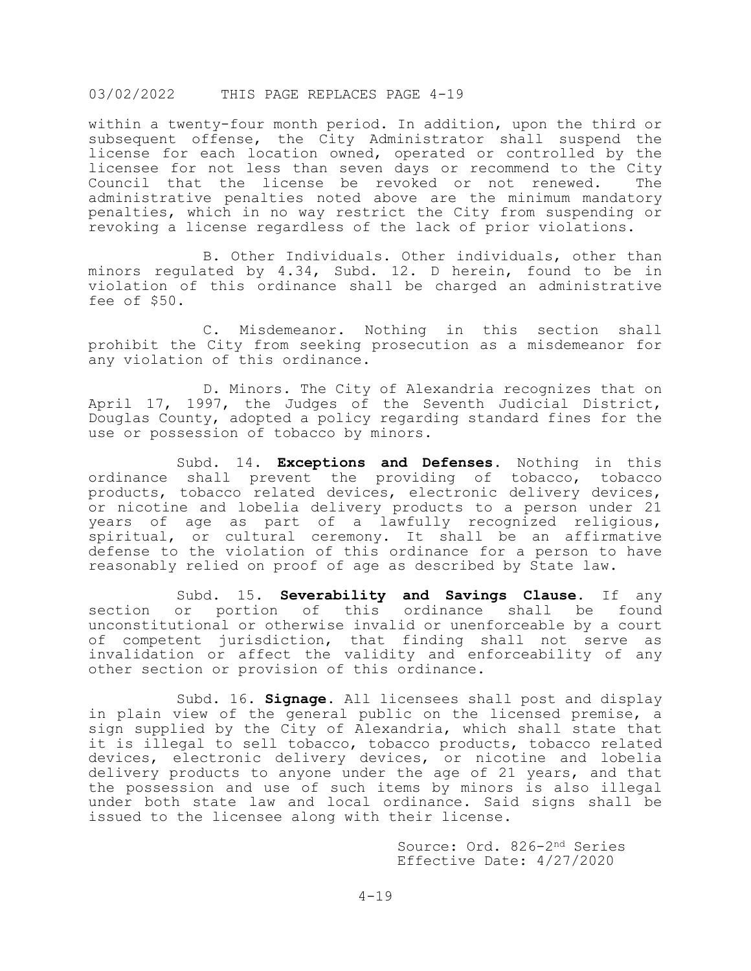within a twenty-four month period. In addition, upon the third or subsequent offense, the City Administrator shall suspend the license for each location owned, operated or controlled by the licensee for not less than seven days or recommend to the City<br>Council that the license be revoked or not renewed. The Council that the license be revoked or not renewed. administrative penalties noted above are the minimum mandatory penalties, which in no way restrict the City from suspending or revoking a license regardless of the lack of prior violations.

 B. Other Individuals. Other individuals, other than minors regulated by 4.34, Subd. 12. D herein, found to be in violation of this ordinance shall be charged an administrative fee of \$50.

 C. Misdemeanor. Nothing in this section shall prohibit the City from seeking prosecution as a misdemeanor for any violation of this ordinance.

 D. Minors. The City of Alexandria recognizes that on April 17, 1997, the Judges of the Seventh Judicial District, Douglas County, adopted a policy regarding standard fines for the use or possession of tobacco by minors.

 Subd. 14. **Exceptions and Defenses.** Nothing in this ordinance shall prevent the providing of tobacco, tobacco products, tobacco related devices, electronic delivery devices, or nicotine and lobelia delivery products to a person under 21 years of age as part of a lawfully recognized religious, spiritual, or cultural ceremony. It shall be an affirmative defense to the violation of this ordinance for a person to have reasonably relied on proof of age as described by State law.

Subd. 15. **Severability and Savings Clause**. If any section or portion of this ordinance shall be found this ordinance shall be found unconstitutional or otherwise invalid or unenforceable by a court of competent jurisdiction, that finding shall not serve as invalidation or affect the validity and enforceability of any other section or provision of this ordinance.

 Subd. 16. **Signage.** All licensees shall post and display in plain view of the general public on the licensed premise, a sign supplied by the City of Alexandria, which shall state that it is illegal to sell tobacco, tobacco products, tobacco related devices, electronic delivery devices, or nicotine and lobelia delivery products to anyone under the age of 21 years, and that the possession and use of such items by minors is also illegal under both state law and local ordinance. Said signs shall be issued to the licensee along with their license.

> Source: Ord. 826-2nd Series Effective Date: 4/27/2020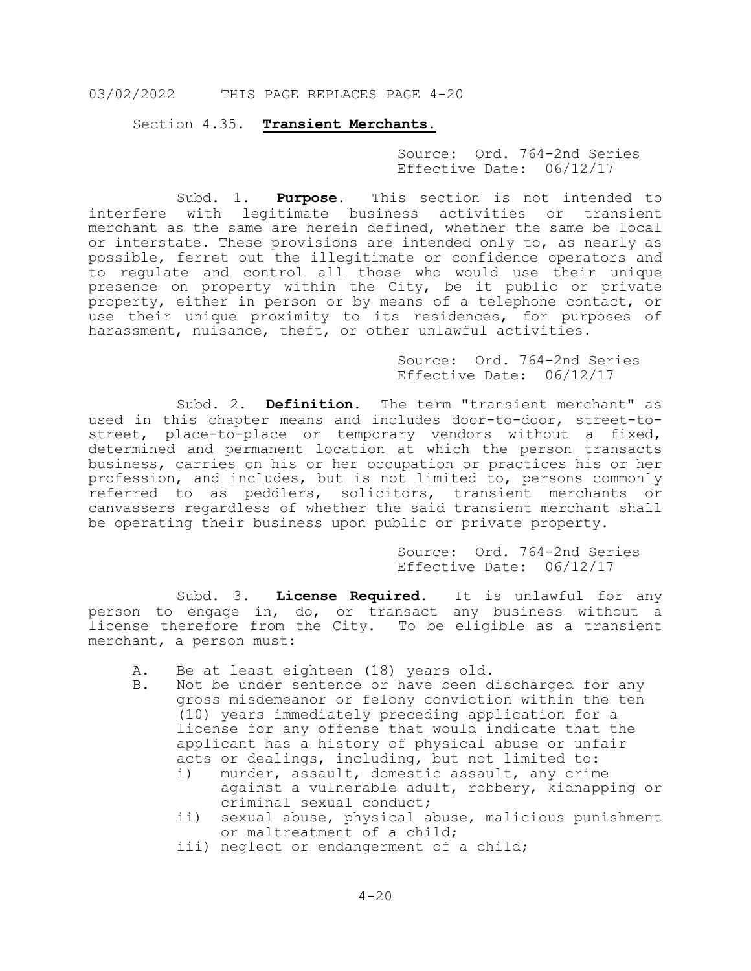Section 4.35. **Transient Merchants.**

Source: Ord. 764-2nd Series Effective Date: 06/12/17

Subd. 1. **Purpose**. This section is not intended to interfere with legitimate business activities or transient merchant as the same are herein defined, whether the same be local or interstate. These provisions are intended only to, as nearly as possible, ferret out the illegitimate or confidence operators and to regulate and control all those who would use their unique presence on property within the City, be it public or private property, either in person or by means of a telephone contact, or use their unique proximity to its residences, for purposes of harassment, nuisance, theft, or other unlawful activities.

> Source: Ord. 764-2nd Series Effective Date: 06/12/17

Subd. 2. **Definition.** The term "transient merchant" as used in this chapter means and includes door-to-door, street-tostreet, place-to-place or temporary vendors without a fixed, determined and permanent location at which the person transacts business, carries on his or her occupation or practices his or her profession, and includes, but is not limited to, persons commonly referred to as peddlers, solicitors, transient merchants or canvassers regardless of whether the said transient merchant shall be operating their business upon public or private property.

> Source: Ord. 764-2nd Series Effective Date: 06/12/17

Subd. 3. **License Required.** It is unlawful for any person to engage in, do, or transact any business without a license therefore from the City. To be eligible as a transient merchant, a person must:

- A. Be at least eighteen (18) years old.<br>B. Not be under sentence or have been d
- Not be under sentence or have been discharged for any gross misdemeanor or felony conviction within the ten (10) years immediately preceding application for a license for any offense that would indicate that the applicant has a history of physical abuse or unfair acts or dealings, including, but not limited to:<br>i) murder, assault, domestic assault, any crim
	- murder, assault, domestic assault, any crime against a vulnerable adult, robbery, kidnapping or criminal sexual conduct;
	- ii) sexual abuse, physical abuse, malicious punishment or maltreatment of a child;
	- iii) neglect or endangerment of a child;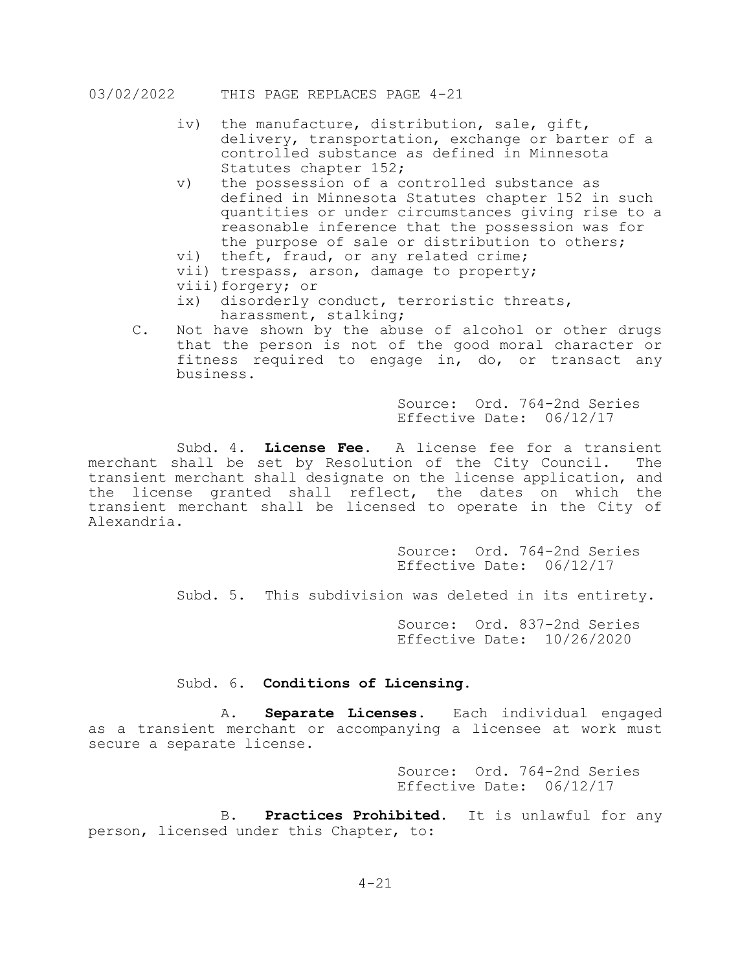- iv) the manufacture, distribution, sale, gift, delivery, transportation, exchange or barter of a controlled substance as defined in Minnesota Statutes chapter 152;
- v) the possession of a controlled substance as defined in Minnesota Statutes chapter 152 in such quantities or under circumstances giving rise to a reasonable inference that the possession was for the purpose of sale or distribution to others;
- vi) theft, fraud, or any related crime;
- vii) trespass, arson, damage to property;
- viii)forgery; or<br>ix) disorderly
- disorderly conduct, terroristic threats, harassment, stalking;
- C. Not have shown by the abuse of alcohol or other drugs that the person is not of the good moral character or fitness required to engage in, do, or transact any business.

Source: Ord. 764-2nd Series Effective Date: 06/12/17

Subd. 4. **License Fee.** A license fee for a transient merchant shall be set by Resolution of the City Council. The transient merchant shall designate on the license application, and the license granted shall reflect, the dates on which the transient merchant shall be licensed to operate in the City of Alexandria.

> Source: Ord. 764-2nd Series Effective Date: 06/12/17

Subd. 5. This subdivision was deleted in its entirety.

Source: Ord. 837-2nd Series Effective Date: 10/26/2020

# Subd. 6. **Conditions of Licensing.**

A. **Separate Licenses.** Each individual engaged as a transient merchant or accompanying a licensee at work must secure a separate license.

> Source: Ord. 764-2nd Series Effective Date: 06/12/17

B. **Practices Prohibited.** It is unlawful for any person, licensed under this Chapter, to: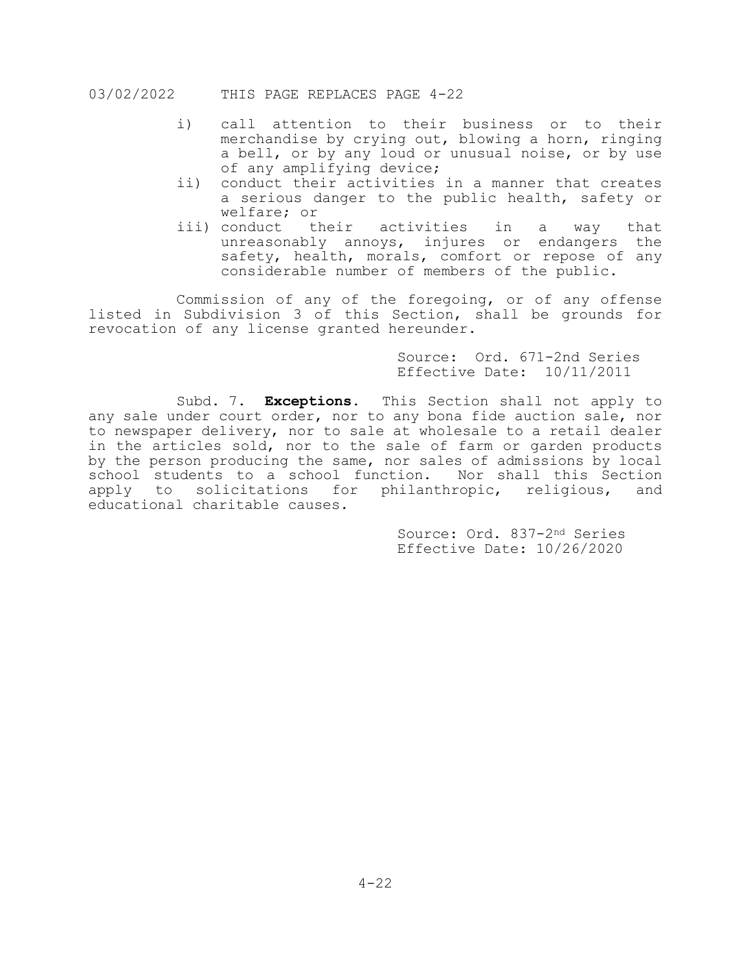- i) call attention to their business or to their merchandise by crying out, blowing a horn, ringing a bell, or by any loud or unusual noise, or by use of any amplifying device;
- ii) conduct their activities in a manner that creates a serious danger to the public health, safety or welfare; or<br>iii) conduct their
- activities in a way that unreasonably annoys, injures or endangers the safety, health, morals, comfort or repose of any considerable number of members of the public.

Commission of any of the foregoing, or of any offense listed in Subdivision 3 of this Section, shall be grounds for revocation of any license granted hereunder.

> Source: Ord. 671-2nd Series Effective Date: 10/11/2011

Subd. 7. **Exceptions.** This Section shall not apply to any sale under court order, nor to any bona fide auction sale, nor to newspaper delivery, nor to sale at wholesale to a retail dealer in the articles sold, nor to the sale of farm or garden products by the person producing the same, nor sales of admissions by local school students to a school function. Nor shall this Section apply to solicitations for philanthropic, religious, and educational charitable causes.

> Source: Ord. 837-2nd Series Effective Date: 10/26/2020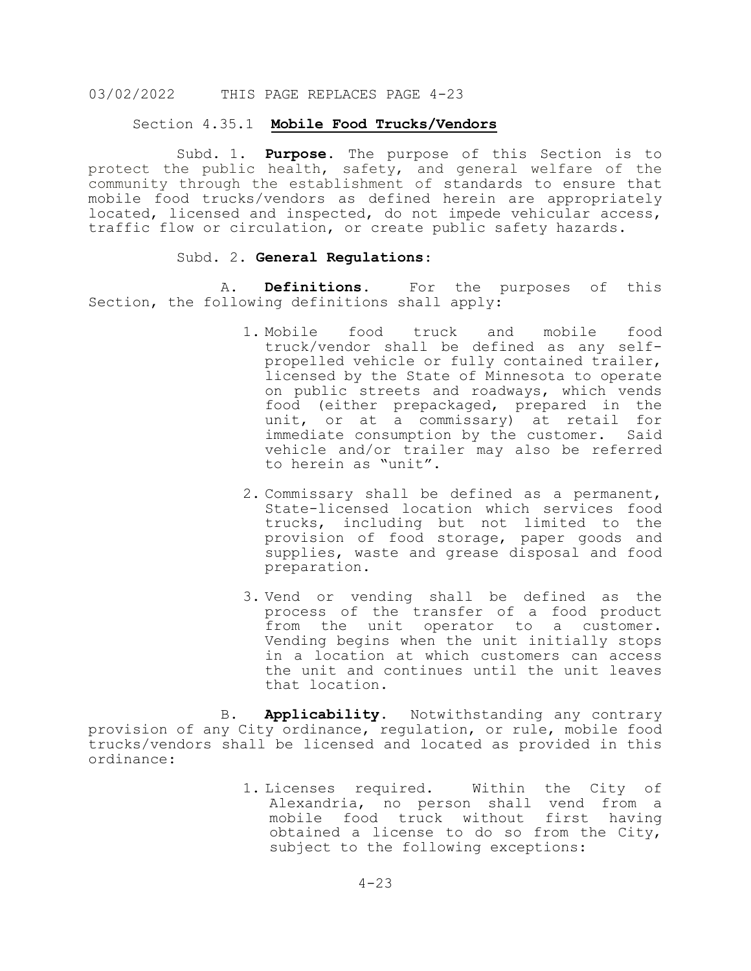### Section 4.35.1 **Mobile Food Trucks/Vendors**

 Subd. 1. **Purpose**. The purpose of this Section is to protect the public health, safety, and general welfare of the community through the establishment of standards to ensure that mobile food trucks/vendors as defined herein are appropriately located, licensed and inspected, do not impede vehicular access, traffic flow or circulation, or create public safety hazards.

# Subd. 2. **General Regulations**:

A. **Definitions.** For the purposes of this Section, the following definitions shall apply:

- 1. Mobile food truck and mobile food truck/vendor shall be defined as any selfpropelled vehicle or fully contained trailer, licensed by the State of Minnesota to operate on public streets and roadways, which vends food (either prepackaged, prepared in the unit, or at a commissary) at retail for immediate consumption by the customer. Said vehicle and/or trailer may also be referred to herein as "unit".
- 2. Commissary shall be defined as a permanent, State-licensed location which services food trucks, including but not limited to the provision of food storage, paper goods and supplies, waste and grease disposal and food preparation.
- 3. Vend or vending shall be defined as the process of the transfer of a food product from the unit operator to a customer. Vending begins when the unit initially stops in a location at which customers can access the unit and continues until the unit leaves that location.

B. **Applicability.** Notwithstanding any contrary provision of any City ordinance, regulation, or rule, mobile food trucks/vendors shall be licensed and located as provided in this ordinance:

> 1. Licenses required. Within the City of Alexandria, no person shall vend from a mobile food truck without first having obtained a license to do so from the City, subject to the following exceptions: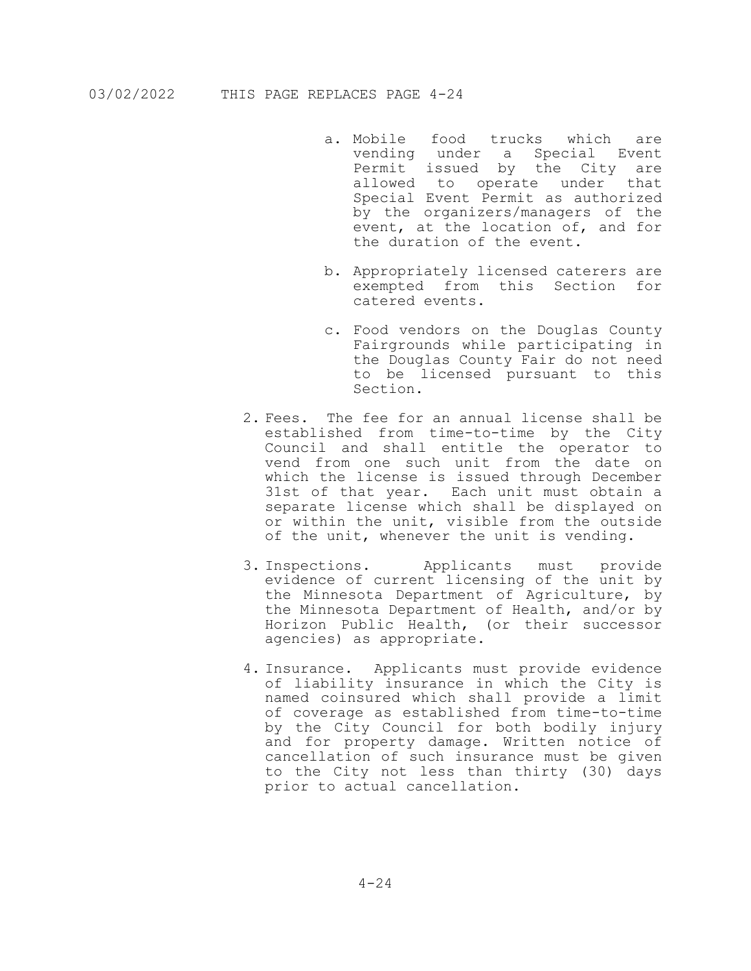- a. Mobile food trucks which are vending under a Special Event Permit issued by the City are allowed to operate under that Special Event Permit as authorized by the organizers/managers of the event, at the location of, and for the duration of the event.
- b. Appropriately licensed caterers are exempted from this Section for catered events.
- c. Food vendors on the Douglas County Fairgrounds while participating in the Douglas County Fair do not need to be licensed pursuant to this Section.
- 2. Fees. The fee for an annual license shall be established from time-to-time by the City Council and shall entitle the operator to vend from one such unit from the date on which the license is issued through December 31st of that year. Each unit must obtain a separate license which shall be displayed on or within the unit, visible from the outside of the unit, whenever the unit is vending.
- 3. Inspections. Applicants must provide evidence of current licensing of the unit by the Minnesota Department of Agriculture, by the Minnesota Department of Health, and/or by Horizon Public Health, (or their successor agencies) as appropriate.
- 4. Insurance. Applicants must provide evidence of liability insurance in which the City is named coinsured which shall provide a limit of coverage as established from time-to-time by the City Council for both bodily injury and for property damage. Written notice of cancellation of such insurance must be given to the City not less than thirty (30) days prior to actual cancellation.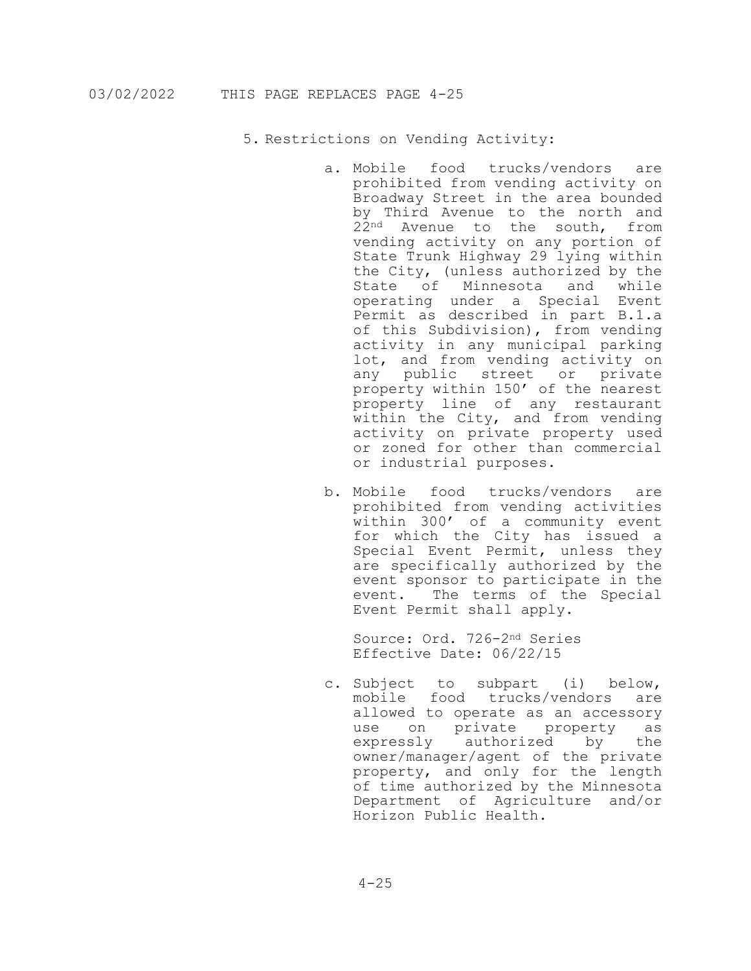5. Restrictions on Vending Activity:

- a. Mobile food trucks/vendors are prohibited from vending activity on Broadway Street in the area bounded by Third Avenue to the north and 22<sup>nd</sup> Avenue to the south, from vending activity on any portion of State Trunk Highway 29 lying within the City, (unless authorized by the State of Minnesota and while operating under a Special Event Permit as described in part B.1.a of this Subdivision), from vending activity in any municipal parking lot, and from vending activity on any public street or private property within 150' of the nearest property line of any restaurant within the City, and from vending activity on private property used or zoned for other than commercial or industrial purposes.
- b. Mobile food trucks/vendors are prohibited from vending activities within 300' of a community event for which the City has issued a Special Event Permit, unless they are specifically authorized by the event sponsor to participate in the event. The terms of the Special Event Permit shall apply.

Source: Ord. 726-2nd Series Effective Date: 06/22/15

c. Subject to subpart (i) below, mobile food trucks/vendors are allowed to operate as an accessory use on private property as<br>expressly authorized by the authorized by owner/manager/agent of the private property, and only for the length of time authorized by the Minnesota Department of Agriculture and/or Horizon Public Health.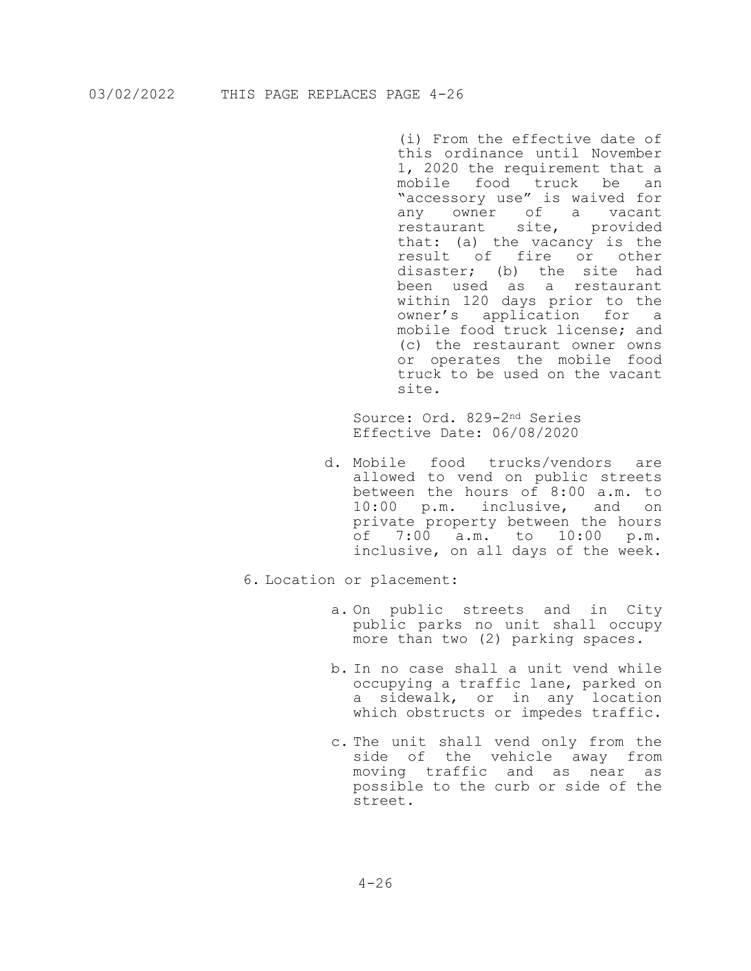(i) From the effective date of this ordinance until November 1, 2020 the requirement that a mobile food truck be an "accessory use" is waived for any owner of a vacant restaurant site, provided that: (a) the vacancy is the result of fire or other disaster; (b) the site had been used as a restaurant within 120 days prior to the owner's application for a mobile food truck license; and (c) the restaurant owner owns or operates the mobile food truck to be used on the vacant site.

Source: Ord. 829-2nd Series Effective Date: 06/08/2020

- d. Mobile food trucks/vendors are allowed to vend on public streets between the hours of 8:00 a.m. to 10:00 p.m. inclusive, and on private property between the hours<br>of 7:00 a.m. to 10:00 p.m. of 7:00 a.m. to 10:00 inclusive, on all days of the week.
- 6. Location or placement:
	- a. On public streets and in City public parks no unit shall occupy more than two (2) parking spaces.
	- b. In no case shall a unit vend while occupying a traffic lane, parked on a sidewalk, or in any location which obstructs or impedes traffic.
	- c. The unit shall vend only from the side of the vehicle away from moving traffic and as near as possible to the curb or side of the street.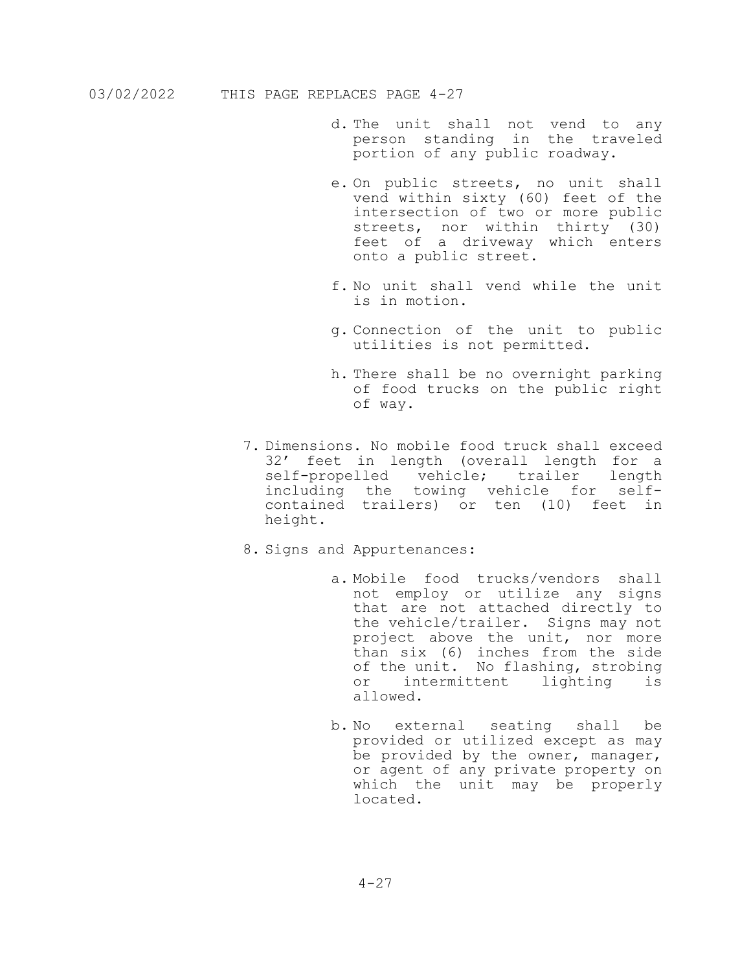- d. The unit shall not vend to any person standing in the traveled portion of any public roadway.
- e. On public streets, no unit shall vend within sixty (60) feet of the intersection of two or more public streets, nor within thirty (30) feet of a driveway which enters onto a public street.
- f. No unit shall vend while the unit is in motion.
- g. Connection of the unit to public utilities is not permitted.
- h. There shall be no overnight parking of food trucks on the public right of way.
- 7. Dimensions. No mobile food truck shall exceed 32' feet in length (overall length for a self-propelled vehicle; trailer length including the towing vehicle for self- contained trailers) or ten (10) feet in height.
- 8. Signs and Appurtenances:
	- a. Mobile food trucks/vendors shall not employ or utilize any signs that are not attached directly to the vehicle/trailer. Signs may not project above the unit, nor more than six (6) inches from the side of the unit. No flashing, strobing or intermittent lighting is allowed.
	- b. No external seating shall be provided or utilized except as may be provided by the owner, manager, or agent of any private property on which the unit may be properly located.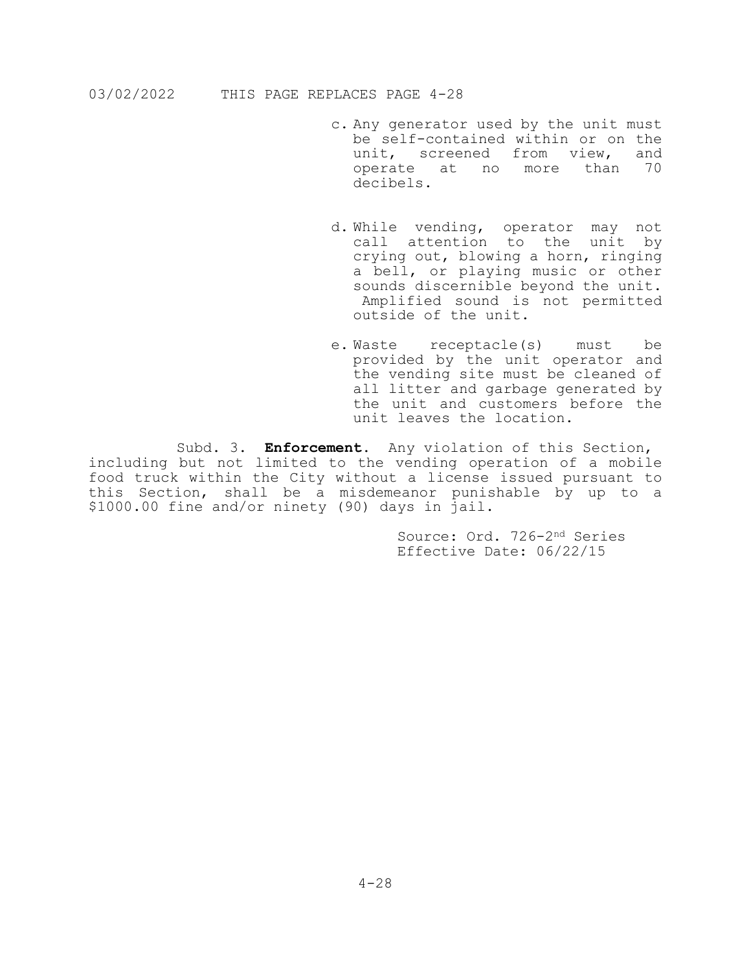- c. Any generator used by the unit must be self-contained within or on the<br>unit, screened from view, and unit, screened from view, operate at no more than 70 decibels.
- d. While vending, operator may not call attention to the unit by crying out, blowing a horn, ringing a bell, or playing music or other sounds discernible beyond the unit. Amplified sound is not permitted outside of the unit.
- e. Waste receptacle(s) must be provided by the unit operator and the vending site must be cleaned of all litter and garbage generated by the unit and customers before the unit leaves the location.

Subd. 3**. Enforcement.** Any violation of this Section, including but not limited to the vending operation of a mobile food truck within the City without a license issued pursuant to this Section, shall be a misdemeanor punishable by up to a \$1000.00 fine and/or ninety (90) days in jail.

> Source: Ord. 726-2nd Series Effective Date: 06/22/15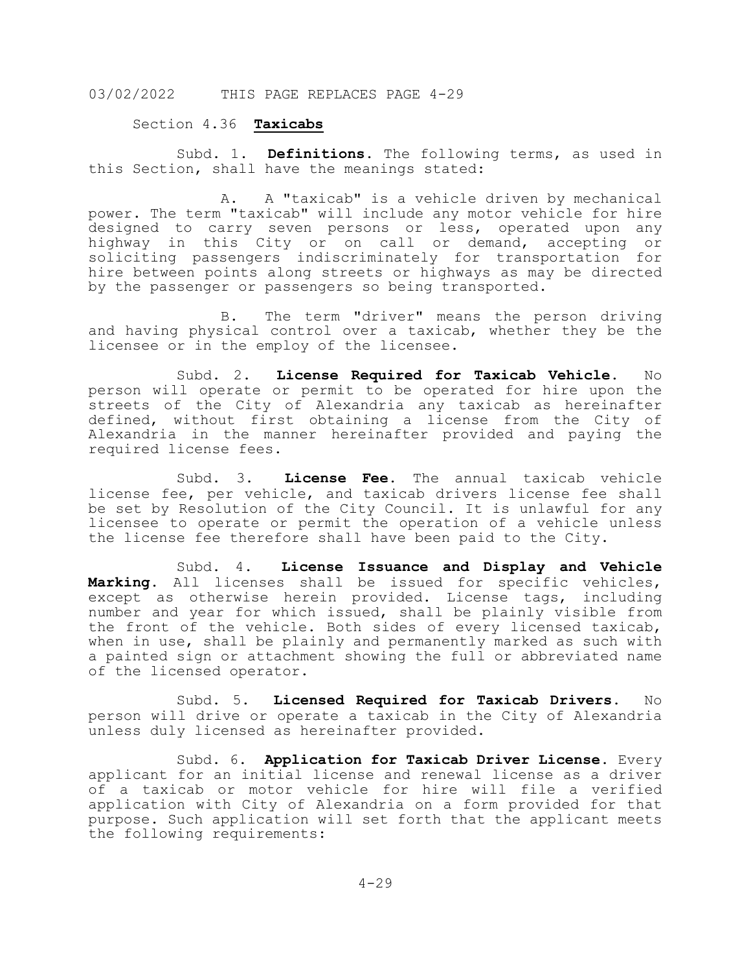### Section 4.36 **Taxicabs**

 Subd. 1. **Definitions**. The following terms, as used in this Section, shall have the meanings stated:

A. A "taxicab" is a vehicle driven by mechanical power. The term "taxicab" will include any motor vehicle for hire designed to carry seven persons or less, operated upon any highway in this City or on call or demand, accepting or soliciting passengers indiscriminately for transportation for hire between points along streets or highways as may be directed by the passenger or passengers so being transported.

B. The term "driver" means the person driving and having physical control over a taxicab, whether they be the licensee or in the employ of the licensee.

Subd. 2. **License Required for Taxicab Vehicle.** No person will operate or permit to be operated for hire upon the streets of the City of Alexandria any taxicab as hereinafter defined, without first obtaining a license from the City of Alexandria in the manner hereinafter provided and paying the required license fees.

Subd. 3. **License Fee.** The annual taxicab vehicle license fee, per vehicle, and taxicab drivers license fee shall be set by Resolution of the City Council. It is unlawful for any licensee to operate or permit the operation of a vehicle unless the license fee therefore shall have been paid to the City.

Subd. 4. **License Issuance and Display and Vehicle Marking**. All licenses shall be issued for specific vehicles, except as otherwise herein provided. License tags, including number and year for which issued, shall be plainly visible from the front of the vehicle. Both sides of every licensed taxicab, when in use, shall be plainly and permanently marked as such with a painted sign or attachment showing the full or abbreviated name of the licensed operator.

Subd. 5. **Licensed Required for Taxicab Drivers.** No person will drive or operate a taxicab in the City of Alexandria unless duly licensed as hereinafter provided.

Subd. 6. **Application for Taxicab Driver License.** Every applicant for an initial license and renewal license as a driver of a taxicab or motor vehicle for hire will file a verified application with City of Alexandria on a form provided for that purpose. Such application will set forth that the applicant meets the following requirements: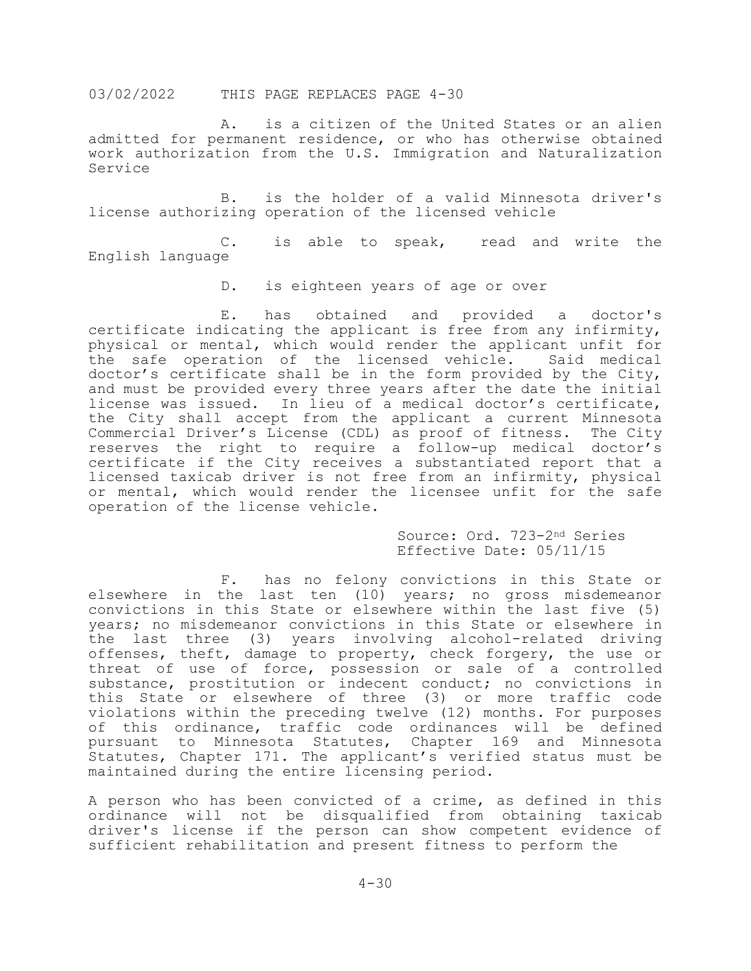A. is a citizen of the United States or an alien admitted for permanent residence, or who has otherwise obtained work authorization from the U.S. Immigration and Naturalization Service

B. is the holder of a valid Minnesota driver's license authorizing operation of the licensed vehicle

C. is able to speak, read and write the English language

D. is eighteen years of age or over

E. has obtained and provided a doctor's certificate indicating the applicant is free from any infirmity, physical or mental, which would render the applicant unfit for<br>the safe operation of the licensed vehicle. Said medical the safe operation of the licensed vehicle. doctor's certificate shall be in the form provided by the City, and must be provided every three years after the date the initial license was issued. In lieu of a medical doctor's certificate, the City shall accept from the applicant a current Minnesota Commercial Driver's License (CDL) as proof of fitness. The City reserves the right to require a follow-up medical doctor's certificate if the City receives a substantiated report that a licensed taxicab driver is not free from an infirmity, physical or mental, which would render the licensee unfit for the safe operation of the license vehicle.

> Source: Ord. 723-2nd Series Effective Date: 05/11/15

F. has no felony convictions in this State or elsewhere in the last ten (10) years; no gross misdemeanor convictions in this State or elsewhere within the last five (5) years; no misdemeanor convictions in this State or elsewhere in the last three (3) years involving alcohol-related driving offenses, theft, damage to property, check forgery, the use or threat of use of force, possession or sale of a controlled substance, prostitution or indecent conduct; no convictions in this State or elsewhere of three (3) or more traffic code violations within the preceding twelve (12) months. For purposes of this ordinance, traffic code ordinances will be defined pursuant to Minnesota Statutes, Chapter 169 and Minnesota Statutes, Chapter 171. The applicant's verified status must be maintained during the entire licensing period.

A person who has been convicted of a crime, as defined in this ordinance will not be disqualified from obtaining taxicab driver's license if the person can show competent evidence of sufficient rehabilitation and present fitness to perform the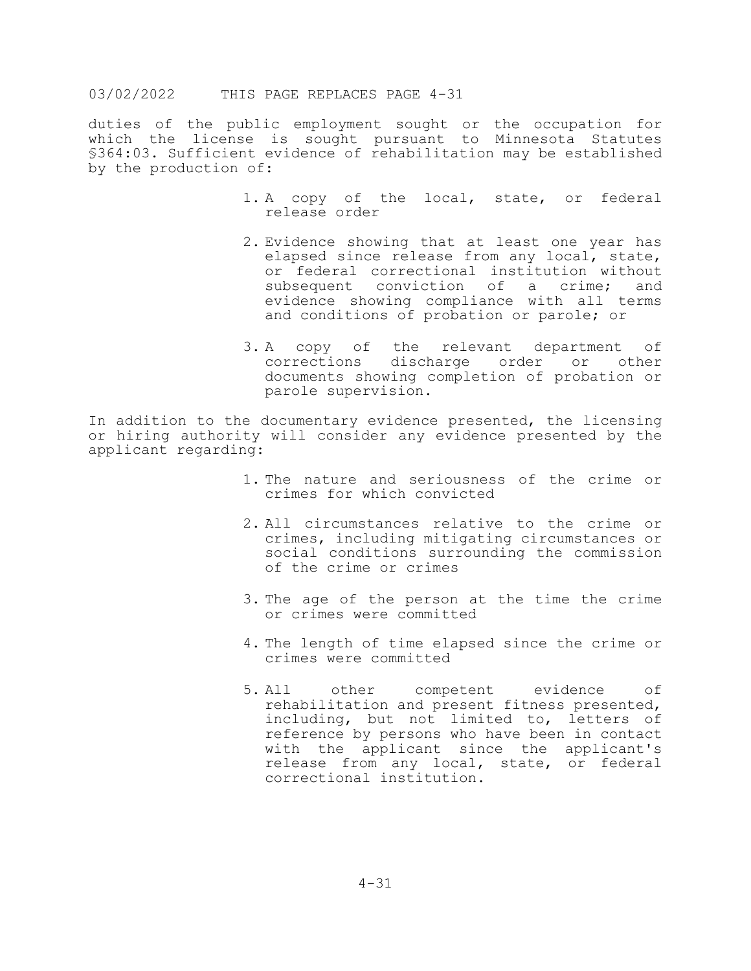duties of the public employment sought or the occupation for which the license is sought pursuant to Minnesota Statutes §364:03. Sufficient evidence of rehabilitation may be established by the production of:

- 1. A copy of the local, state, or federal release order
- 2. Evidence showing that at least one year has elapsed since release from any local, state, or federal correctional institution without<br>subsequent conviction of a crime; and subsequent conviction of a crime; evidence showing compliance with all terms and conditions of probation or parole; or
- 3. A copy of the relevant department of<br>corrections discharge order or other discharge order or documents showing completion of probation or parole supervision.

In addition to the documentary evidence presented, the licensing or hiring authority will consider any evidence presented by the applicant regarding:

- 1. The nature and seriousness of the crime or crimes for which convicted
- 2. All circumstances relative to the crime or crimes, including mitigating circumstances or social conditions surrounding the commission of the crime or crimes
- 3. The age of the person at the time the crime or crimes were committed
- 4. The length of time elapsed since the crime or crimes were committed
- 5. All other competent evidence of rehabilitation and present fitness presented, including, but not limited to, letters of reference by persons who have been in contact with the applicant since the applicant's release from any local, state, or federal correctional institution.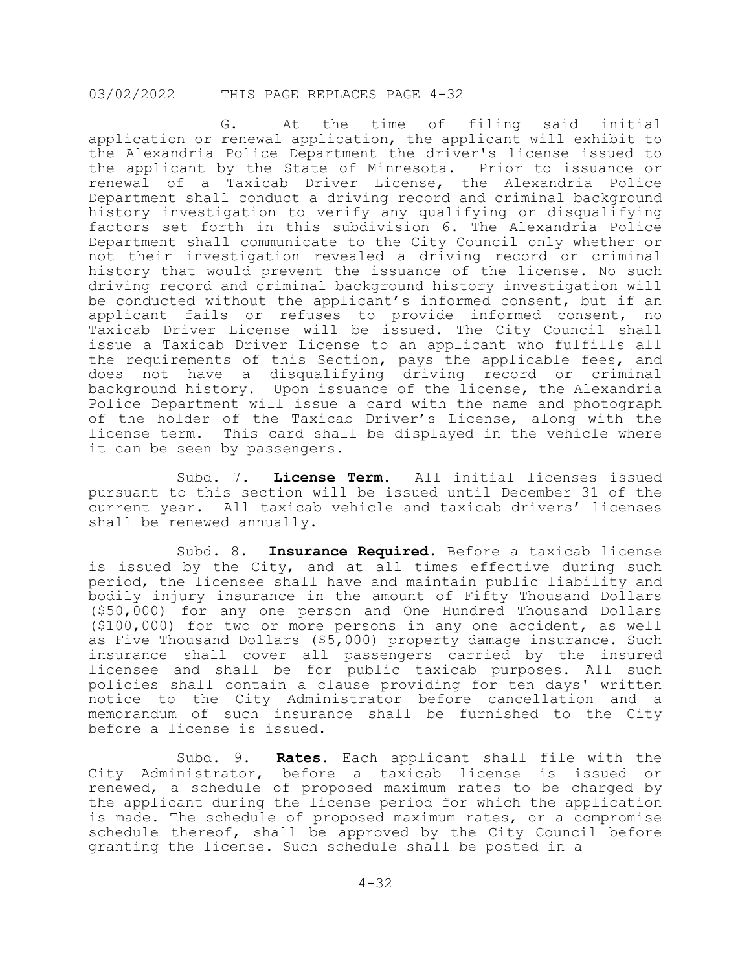G. At the time of filing said initial application or renewal application, the applicant will exhibit to the Alexandria Police Department the driver's license issued to the applicant by the State of Minnesota. Prior to issuance or renewal of a Taxicab Driver License, the Alexandria Police Department shall conduct a driving record and criminal background history investigation to verify any qualifying or disqualifying factors set forth in this subdivision 6. The Alexandria Police Department shall communicate to the City Council only whether or not their investigation revealed a driving record or criminal history that would prevent the issuance of the license. No such driving record and criminal background history investigation will be conducted without the applicant's informed consent, but if an<br>applicant fails or refuses to provide informed consent, no applicant fails or refuses to provide informed consent, Taxicab Driver License will be issued. The City Council shall issue a Taxicab Driver License to an applicant who fulfills all the requirements of this Section, pays the applicable fees, and does not have a disqualifying driving record or criminal background history**.** Upon issuance of the license, the Alexandria Police Department will issue a card with the name and photograph of the holder of the Taxicab Driver's License, along with the license term. This card shall be displayed in the vehicle where it can be seen by passengers.

Subd. 7. **License Term.** All initial licenses issued pursuant to this section will be issued until December 31 of the current year. All taxicab vehicle and taxicab drivers' licenses shall be renewed annually.

Subd. 8. **Insurance Required.** Before a taxicab license is issued by the City, and at all times effective during such period, the licensee shall have and maintain public liability and bodily injury insurance in the amount of Fifty Thousand Dollars (\$50,000) for any one person and One Hundred Thousand Dollars (\$100,000) for two or more persons in any one accident, as well as Five Thousand Dollars (\$5,000) property damage insurance. Such insurance shall cover all passengers carried by the insured licensee and shall be for public taxicab purposes. All such policies shall contain a clause providing for ten days' written notice to the City Administrator before cancellation and a memorandum of such insurance shall be furnished to the City before a license is issued.

Subd. 9. **Rates.** Each applicant shall file with the City Administrator, before a taxicab license is issued or renewed, a schedule of proposed maximum rates to be charged by the applicant during the license period for which the application is made. The schedule of proposed maximum rates, or a compromise schedule thereof, shall be approved by the City Council before granting the license. Such schedule shall be posted in a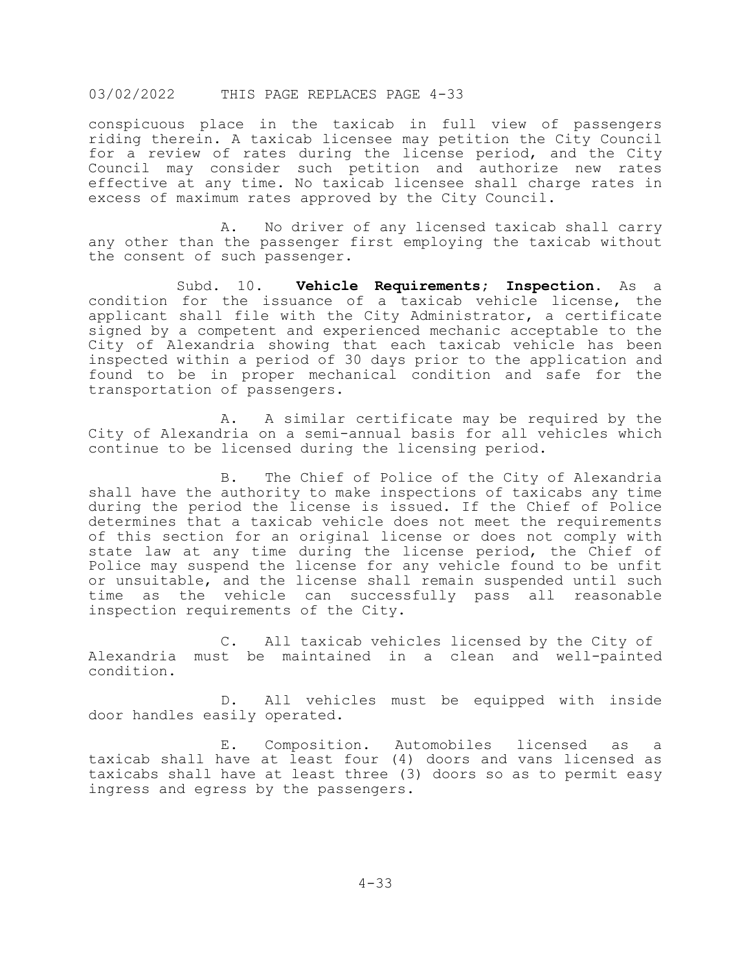conspicuous place in the taxicab in full view of passengers riding therein. A taxicab licensee may petition the City Council for a review of rates during the license period, and the City Council may consider such petition and authorize new rates effective at any time. No taxicab licensee shall charge rates in excess of maximum rates approved by the City Council.

A. No driver of any licensed taxicab shall carry any other than the passenger first employing the taxicab without the consent of such passenger.

Subd. 10. **Vehicle Requirements; Inspection.** As a condition for the issuance of a taxicab vehicle license, the applicant shall file with the City Administrator, a certificate signed by a competent and experienced mechanic acceptable to the City of Alexandria showing that each taxicab vehicle has been inspected within a period of 30 days prior to the application and found to be in proper mechanical condition and safe for the transportation of passengers.

A. A similar certificate may be required by the City of Alexandria on a semi-annual basis for all vehicles which continue to be licensed during the licensing period.

B. The Chief of Police of the City of Alexandria shall have the authority to make inspections of taxicabs any time during the period the license is issued. If the Chief of Police determines that a taxicab vehicle does not meet the requirements of this section for an original license or does not comply with state law at any time during the license period, the Chief of Police may suspend the license for any vehicle found to be unfit or unsuitable, and the license shall remain suspended until such time as the vehicle can successfully pass all reasonable inspection requirements of the City.

C. All taxicab vehicles licensed by the City of Alexandria must be maintained in a clean and well-painted condition.

D. All vehicles must be equipped with inside door handles easily operated.

E. Composition. Automobiles licensed as a taxicab shall have at least four (4) doors and vans licensed as taxicabs shall have at least three (3) doors so as to permit easy ingress and egress by the passengers.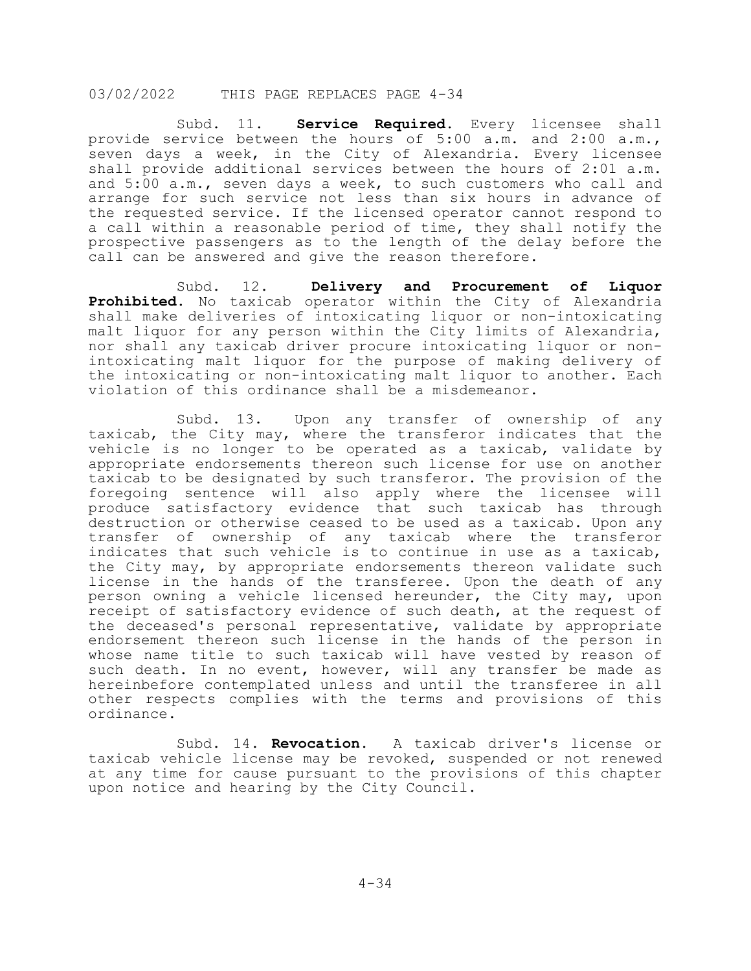Subd. 11. **Service Required.** Every licensee shall provide service between the hours of 5:00 a.m. and 2:00 a.m., seven days a week, in the City of Alexandria. Every licensee socion ways a messity on the services between the hours of 2:01 a.m. and 5:00 a.m., seven days a week, to such customers who call and arrange for such service not less than six hours in advance of the requested service. If the licensed operator cannot respond to a call within a reasonable period of time, they shall notify the prospective passengers as to the length of the delay before the call can be answered and give the reason therefore.

Subd. 12. **Delivery and Procurement of Liquor Prohibited.** No taxicab operator within the City of Alexandria shall make deliveries of intoxicating liquor or non-intoxicating malt liquor for any person within the City limits of Alexandria, nor shall any taxicab driver procure intoxicating liquor or nonintoxicating malt liquor for the purpose of making delivery of the intoxicating or non-intoxicating malt liquor to another. Each violation of this ordinance shall be a misdemeanor.

Subd. 13. Upon any transfer of ownership of any taxicab, the City may, where the transferor indicates that the vehicle is no longer to be operated as a taxicab, validate by appropriate endorsements thereon such license for use on another taxicab to be designated by such transferor. The provision of the foregoing sentence will also apply where the licensee will produce satisfactory evidence that such taxicab has through destruction or otherwise ceased to be used as a taxicab. Upon any transfer of ownership of any taxicab where the transferor indicates that such vehicle is to continue in use as a taxicab, the City may, by appropriate endorsements thereon validate such license in the hands of the transferee. Upon the death of any person owning a vehicle licensed hereunder, the City may, upon receipt of satisfactory evidence of such death, at the request of the deceased's personal representative, validate by appropriate endorsement thereon such license in the hands of the person in whose name title to such taxicab will have vested by reason of such death. In no event, however, will any transfer be made as hereinbefore contemplated unless and until the transferee in all other respects complies with the terms and provisions of this ordinance.

Subd. 14. **Revocation.** A taxicab driver's license or taxicab vehicle license may be revoked, suspended or not renewed at any time for cause pursuant to the provisions of this chapter upon notice and hearing by the City Council.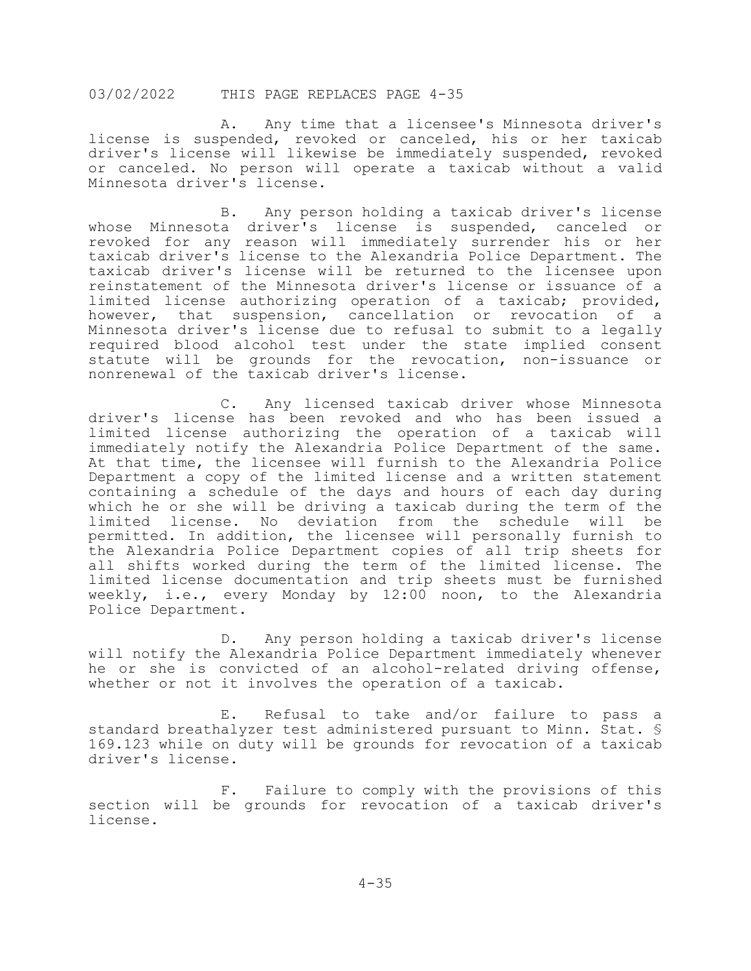A. Any time that a licensee's Minnesota driver's license is suspended, revoked or canceled, his or her taxicab driver's license will likewise be immediately suspended, revoked or canceled. No person will operate a taxicab without a valid Minnesota driver's license.

B. Any person holding a taxicab driver's license whose Minnesota driver's license is suspended, canceled or revoked for any reason will immediately surrender his or her taxicab driver's license to the Alexandria Police Department. The taxicab driver's license will be returned to the licensee upon reinstatement of the Minnesota driver's license or issuance of a limited license authorizing operation of a taxicab; provided, however, that suspension, cancellation or revocation of a Minnesota driver's license due to refusal to submit to a legally required blood alcohol test under the state implied consent statute will be grounds for the revocation, non-issuance or nonrenewal of the taxicab driver's license.

C. Any licensed taxicab driver whose Minnesota driver's license has been revoked and who has been issued a limited license authorizing the operation of a taxicab will immediately notify the Alexandria Police Department of the same. At that time, the licensee will furnish to the Alexandria Police Department a copy of the limited license and a written statement containing a schedule of the days and hours of each day during which he or she will be driving a taxicab during the term of the limited license. No deviation from the schedule will be permitted. In addition, the licensee will personally furnish to the Alexandria Police Department copies of all trip sheets for all shifts worked during the term of the limited license. The limited license documentation and trip sheets must be furnished weekly, i.e., every Monday by 12:00 noon, to the Alexandria Police Department.

D. Any person holding a taxicab driver's license will notify the Alexandria Police Department immediately whenever he or she is convicted of an alcohol-related driving offense, whether or not it involves the operation of a taxicab.

E. Refusal to take and/or failure to pass a standard breathalyzer test administered pursuant to Minn. Stat. § 169.123 while on duty will be grounds for revocation of a taxicab driver's license.

F. Failure to comply with the provisions of this section will be grounds for revocation of a taxicab driver's license.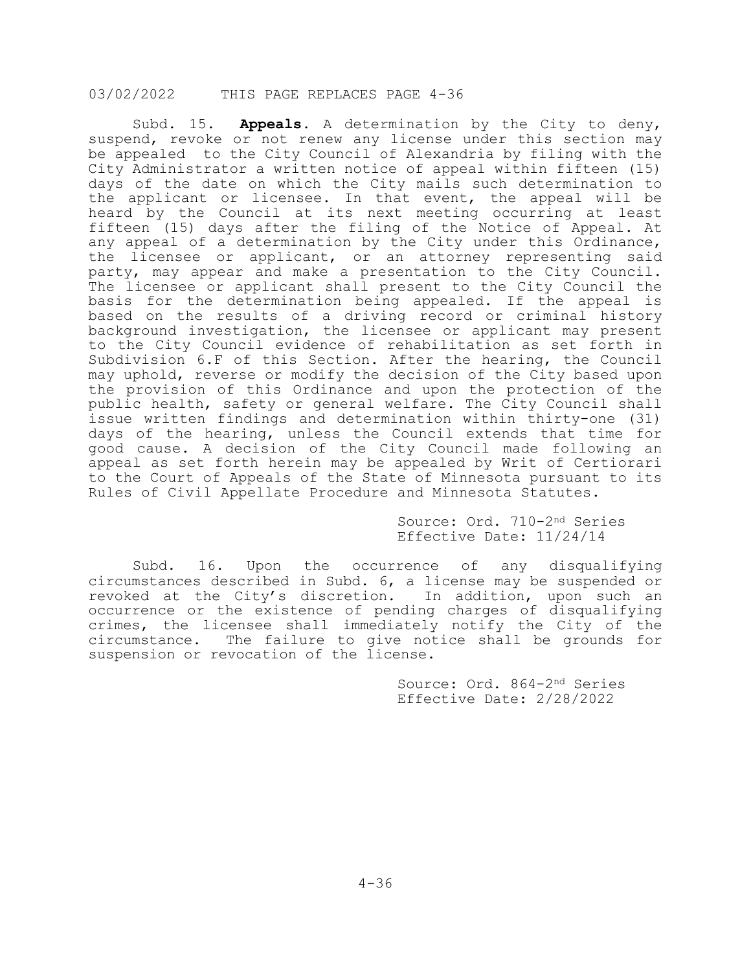Subd. 15. **Appeals.** A determination by the City to deny, suspend, revoke or not renew any license under this section may be appealed to the City Council of Alexandria by filing with the City Administrator a written notice of appeal within fifteen (15) days of the date on which the City mails such determination to the applicant or licensee. In that event, the appeal will be heard by the Council at its next meeting occurring at least fifteen (15) days after the filing of the Notice of Appeal. At any appeal of a determination by the City under this Ordinance, the licensee or applicant, or an attorney representing said party, may appear and make a presentation to the City Council. The licensee or applicant shall present to the City Council the basis for the determination being appealed. If the appeal is based on the results of a driving record or criminal history background investigation, the licensee or applicant may present to the City Council evidence of rehabilitation as set forth in Subdivision 6.F of this Section. After the hearing, the Council may uphold, reverse or modify the decision of the City based upon the provision of this Ordinance and upon the protection of the public health, safety or general welfare. The City Council shall issue written findings and determination within thirty-one (31) days of the hearing, unless the Council extends that time for good cause. A decision of the City Council made following an appeal as set forth herein may be appealed by Writ of Certiorari to the Court of Appeals of the State of Minnesota pursuant to its Rules of Civil Appellate Procedure and Minnesota Statutes.

> Source: Ord. 710-2nd Series Effective Date: 11/24/14

Subd. 16**.** Upon the occurrence of any disqualifying circumstances described in Subd. 6, a license may be suspended or revoked at the City's discretion. In addition, upon such an occurrence or the existence of pending charges of disqualifying crimes, the licensee shall immediately notify the City of the circumstance. The failure to give notice shall be grounds for suspension or revocation of the license.

> Source: Ord. 864-2nd Series Effective Date: 2/28/2022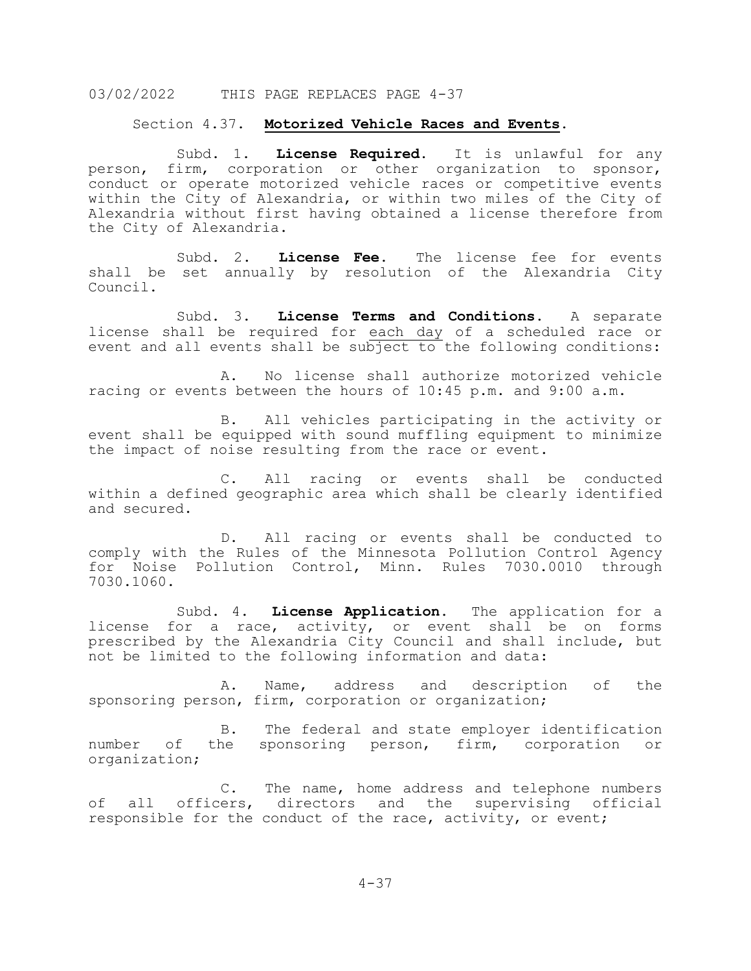#### Section 4.37. **Motorized Vehicle Races and Events.**

Subd. 1. **License Required.** It is unlawful for any person, firm, corporation or other organization to sponsor, conduct or operate motorized vehicle races or competitive events within the City of Alexandria, or within two miles of the City of Alexandria without first having obtained a license therefore from the City of Alexandria.

Subd. 2. **License Fee.** The license fee for events shall be set annually by resolution of the Alexandria City Council.

Subd. 3. **License Terms and Conditions.** A separate license shall be required for each day of a scheduled race or event and all events shall be subject to the following conditions:

A. No license shall authorize motorized vehicle racing or events between the hours of 10:45 p.m. and 9:00 a.m.

B. All vehicles participating in the activity or event shall be equipped with sound muffling equipment to minimize the impact of noise resulting from the race or event.

C. All racing or events shall be conducted within a defined geographic area which shall be clearly identified and secured.

D. All racing or events shall be conducted to comply with the Rules of the Minnesota Pollution Control Agency for Noise Pollution Control, Minn. Rules 7030.0010 through 7030.1060.

Subd. 4. **License Application.** The application for a license for a race, activity, or event shall be on forms prescribed by the Alexandria City Council and shall include, but not be limited to the following information and data:

A. Name, address and description of the sponsoring person, firm, corporation or organization;

B. The federal and state employer identification<br>the sponsoring person, firm, corporation or number of the sponsoring person, firm, corporation organization;

C. The name, home address and telephone numbers of all officers, directors and the supervising official responsible for the conduct of the race, activity, or event;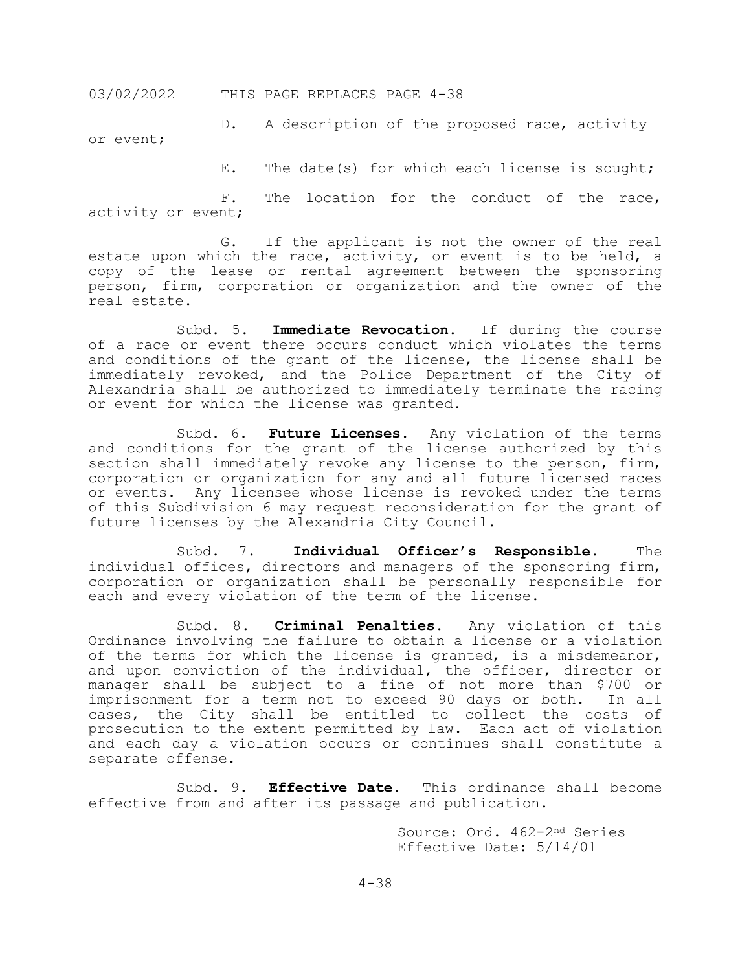D. A description of the proposed race, activity or event;

E. The date(s) for which each license is sought;

F. The location for the conduct of the race, activity or event;

G. If the applicant is not the owner of the real estate upon which the race, activity, or event is to be held, a copy of the lease or rental agreement between the sponsoring person, firm, corporation or organization and the owner of the real estate.

Subd. 5. **Immediate Revocation.** If during the course of a race or event there occurs conduct which violates the terms and conditions of the grant of the license, the license shall be immediately revoked, and the Police Department of the City of Alexandria shall be authorized to immediately terminate the racing or event for which the license was granted.

Subd. 6. **Future Licenses.** Any violation of the terms and conditions for the grant of the license authorized by this section shall immediately revoke any license to the person, firm, corporation or organization for any and all future licensed races or events. Any licensee whose license is revoked under the terms of this Subdivision 6 may request reconsideration for the grant of future licenses by the Alexandria City Council.

Subd. 7. **Individual Officer's Responsible.** The individual offices, directors and managers of the sponsoring firm, corporation or organization shall be personally responsible for each and every violation of the term of the license.

Subd. 8. **Criminal Penalties.** Any violation of this Ordinance involving the failure to obtain a license or a violation of the terms for which the license is granted, is a misdemeanor, and upon conviction of the individual, the officer, director or manager shall be subject to a fine of not more than \$700 or<br>imprisonment for a term not to exceed 90 days or both. In all imprisonment for a term not to exceed 90 days or both. cases, the City shall be entitled to collect the costs of prosecution to the extent permitted by law. Each act of violation and each day a violation occurs or continues shall constitute a separate offense.

Subd. 9. **Effective Date.** This ordinance shall become effective from and after its passage and publication.

> Source: Ord. 462-2nd Series Effective Date: 5/14/01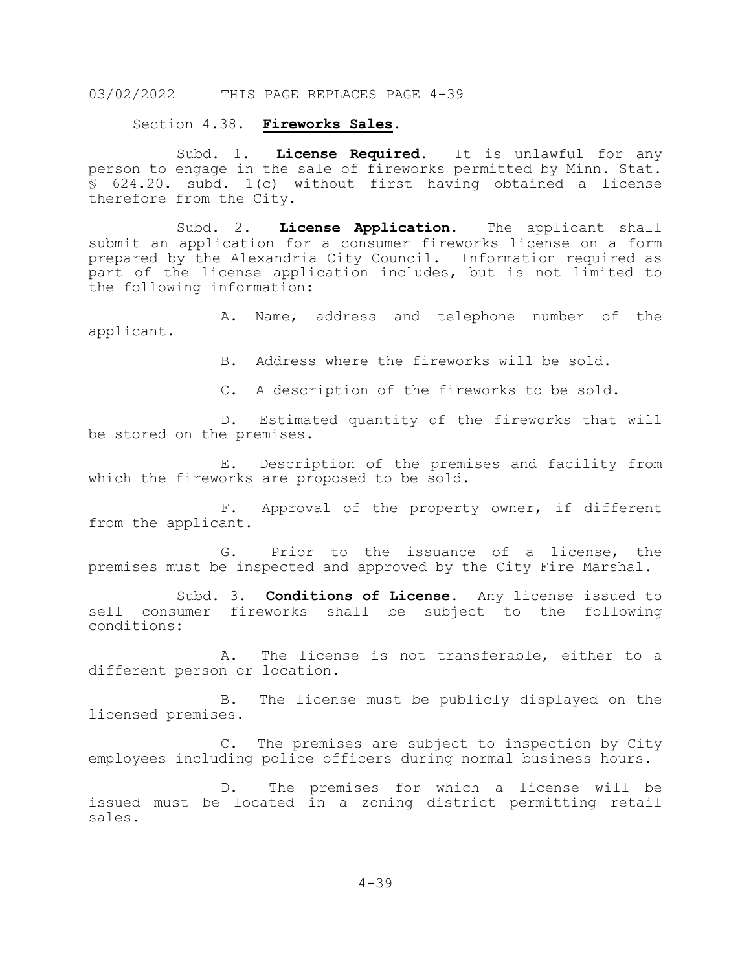Section 4.38. **Fireworks Sales**.

Subd. 1. **License Required.** It is unlawful for any person to engage in the sale of fireworks permitted by Minn. Stat. § 624.20. subd. 1(c) without first having obtained a license therefore from the City.

Subd. 2. **License Application.** The applicant shall submit an application for a consumer fireworks license on a form prepared by the Alexandria City Council. Information required as part of the license application includes, but is not limited to the following information:

A. Name, address and telephone number of the applicant.

B. Address where the fireworks will be sold.

C. A description of the fireworks to be sold.

D. Estimated quantity of the fireworks that will be stored on the premises.

E. Description of the premises and facility from which the fireworks are proposed to be sold.

F. Approval of the property owner, if different from the applicant.

G. Prior to the issuance of a license, the premises must be inspected and approved by the City Fire Marshal.

Subd. 3. **Conditions of License.** Any license issued to sell consumer fireworks shall be subject to the following conditions:

A. The license is not transferable, either to a different person or location.

B. The license must be publicly displayed on the licensed premises.

C. The premises are subject to inspection by City employees including police officers during normal business hours.

D. The premises for which a license will be issued must be located in a zoning district permitting retail sales.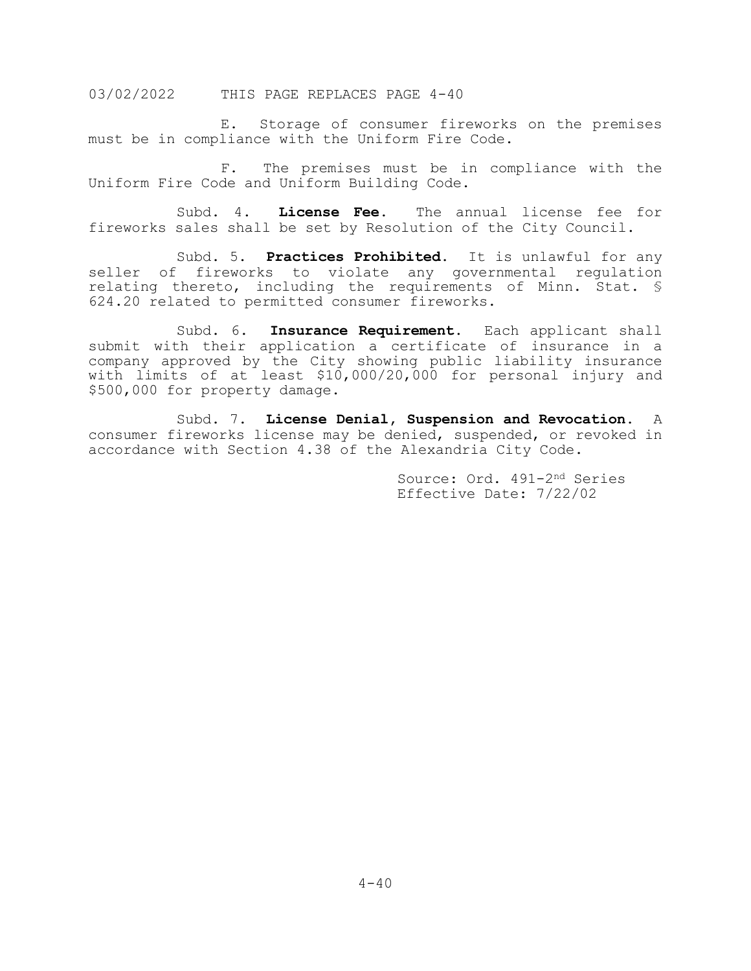E. Storage of consumer fireworks on the premises must be in compliance with the Uniform Fire Code.

F. The premises must be in compliance with the Uniform Fire Code and Uniform Building Code.

Subd. 4. **License Fee.** The annual license fee for fireworks sales shall be set by Resolution of the City Council.

Subd. 5. **Practices Prohibited.** It is unlawful for any seller of fireworks to violate any governmental regulation relating thereto, including the requirements of Minn. Stat. § 624.20 related to permitted consumer fireworks.

Subd. 6. **Insurance Requirement.** Each applicant shall submit with their application a certificate of insurance in a company approved by the City showing public liability insurance with limits of at least \$10,000/20,000 for personal injury and \$500,000 for property damage.

Subd. 7. **License Denial, Suspension and Revocation.** A consumer fireworks license may be denied, suspended, or revoked in accordance with Section 4.38 of the Alexandria City Code.

> Source: Ord. 491-2nd Series Effective Date: 7/22/02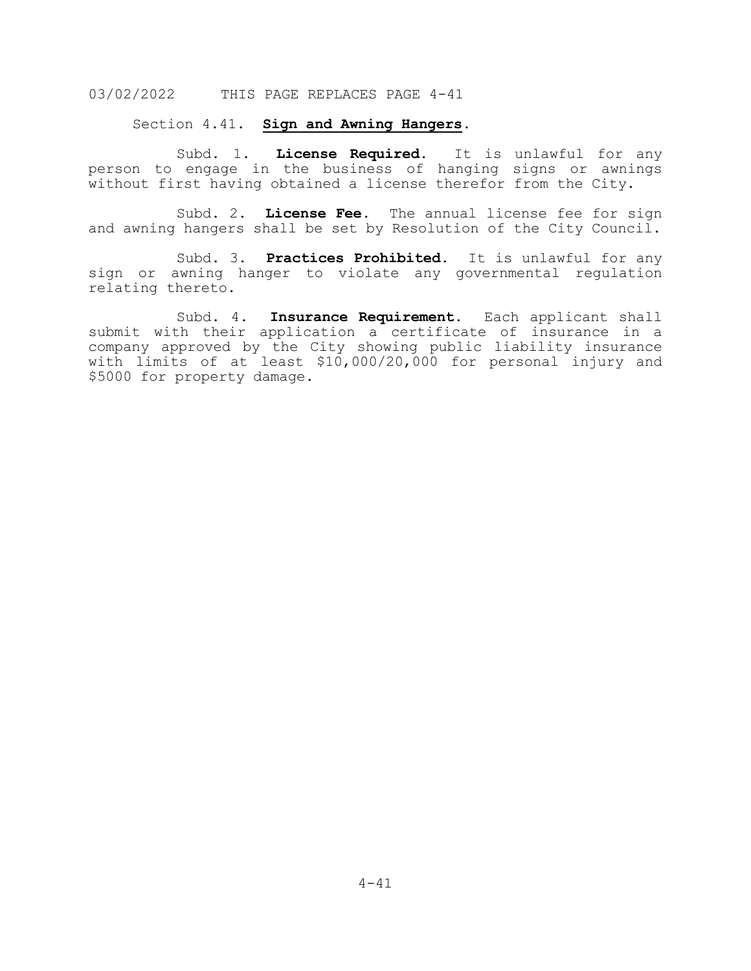#### Section 4.41. **Sign and Awning Hangers.**

Subd. 1. **License Required.** It is unlawful for any person to engage in the business of hanging signs or awnings without first having obtained a license therefor from the City.

Subd. 2. **License Fee.** The annual license fee for sign and awning hangers shall be set by Resolution of the City Council.

Subd. 3. **Practices Prohibited.** It is unlawful for any sign or awning hanger to violate any governmental regulation relating thereto.

Subd. 4. **Insurance Requirement.** Each applicant shall submit with their application a certificate of insurance in a company approved by the City showing public liability insurance with limits of at least \$10,000/20,000 for personal injury and \$5000 for property damage.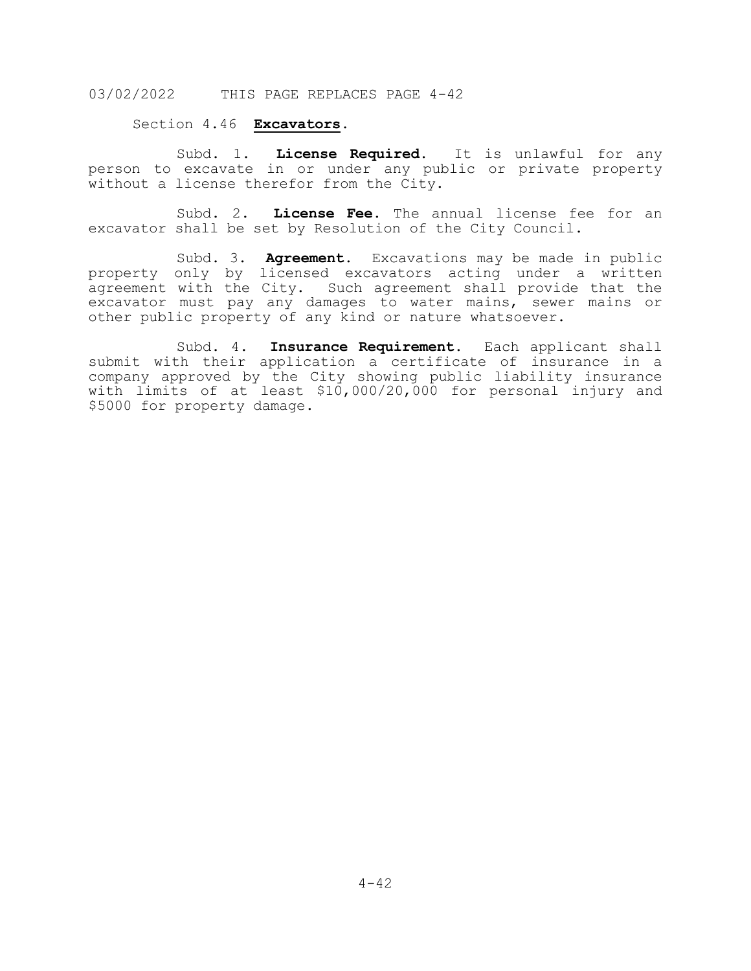### Section 4.46 **Excavators.**

Subd. 1. **License Required.** It is unlawful for any person to excavate in or under any public or private property without a license therefor from the City.

Subd. 2. **License Fee.** The annual license fee for an excavator shall be set by Resolution of the City Council.

Subd. 3. **Agreement.** Excavations may be made in public property only by licensed excavators acting under a written agreement with the City. Such agreement shall provide that the excavator must pay any damages to water mains, sewer mains or other public property of any kind or nature whatsoever.

Subd. 4. **Insurance Requirement.** Each applicant shall submit with their application a certificate of insurance in a company approved by the City showing public liability insurance with limits of at least \$10,000/20,000 for personal injury and \$5000 for property damage.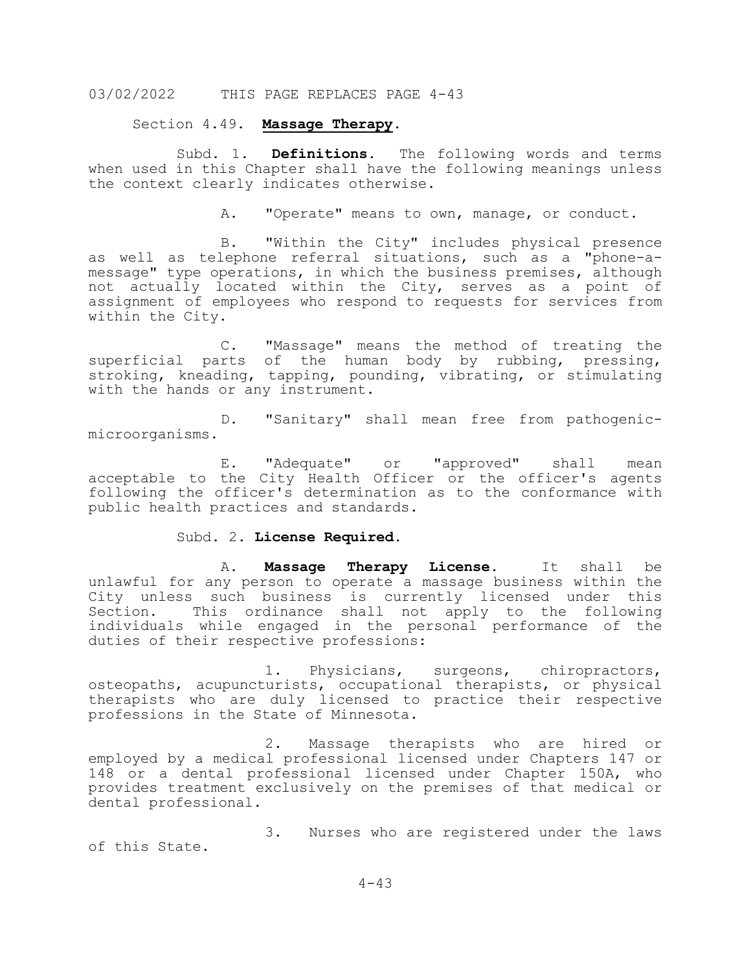#### Section 4.49. **Massage Therapy.**

Subd. 1. **Definitions.** The following words and terms when used in this Chapter shall have the following meanings unless the context clearly indicates otherwise.

A. "Operate" means to own, manage, or conduct.

B. "Within the City" includes physical presence as well as telephone referral situations, such as a "phone-amessage" type operations, in which the business premises, although not actually located within the City, serves as a point of assignment of employees who respond to requests for services from within the City.

C. "Massage" means the method of treating the superficial parts of the human body by rubbing, pressing, stroking, kneading, tapping, pounding, vibrating, or stimulating with the hands or any instrument.

D. "Sanitary" shall mean free from pathogenicmicroorganisms.

E. "Adequate" or "approved" shall mean acceptable to the City Health Officer or the officer's agents following the officer's determination as to the conformance with public health practices and standards.

#### Subd. 2. **License Required.**

A. **Massage Therapy License**. It shall be unlawful for any person to operate a massage business within the City unless such business is currently licensed under this<br>Section. This ordinance shall not apply to the following This ordinance shall not apply to the following individuals while engaged in the personal performance of the duties of their respective professions:

1. Physicians, surgeons, chiropractors, osteopaths, acupuncturists, occupational therapists, or physical therapists who are duly licensed to practice their respective professions in the State of Minnesota.

2. Massage therapists who are hired or employed by a medical professional licensed under Chapters 147 or 148 or a dental professional licensed under Chapter 150A, who provides treatment exclusively on the premises of that medical or dental professional.

3. Nurses who are registered under the laws of this State.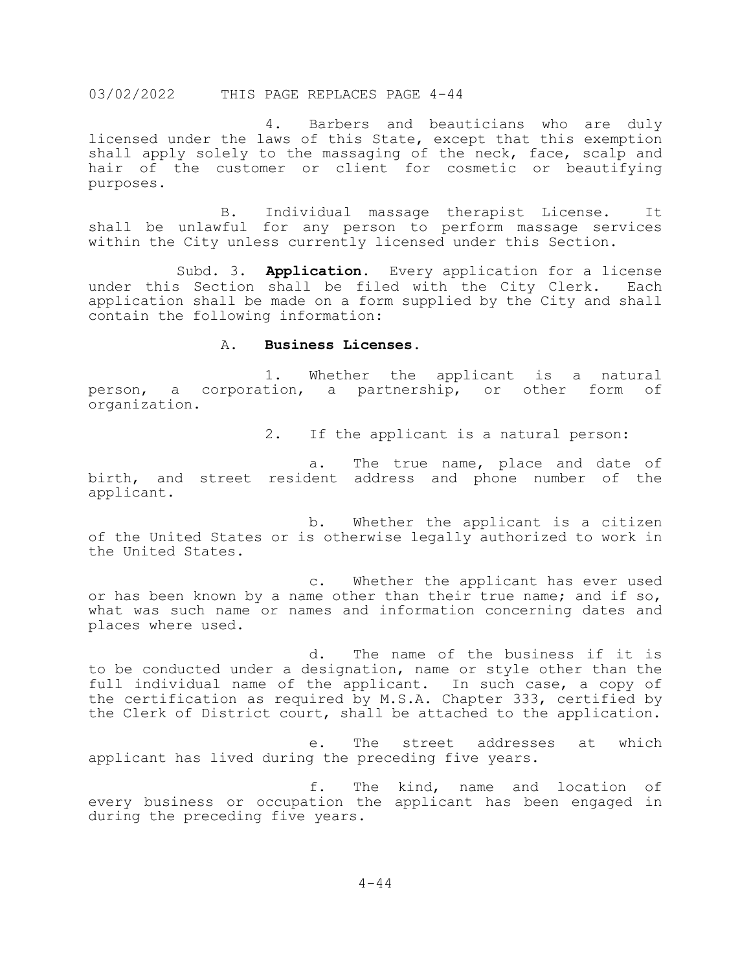4. Barbers and beauticians who are duly licensed under the laws of this State, except that this exemption shall apply solely to the massaging of the neck, face, scalp and hair of the customer or client for cosmetic or beautifying purposes.

B. Individual massage therapist License. It shall be unlawful for any person to perform massage services within the City unless currently licensed under this Section.

Subd. 3. **Application.** Every application for a license under this Section shall be filed with the City Clerk. Each application shall be made on a form supplied by the City and shall contain the following information:

#### A. **Business Licenses.**

1. Whether the applicant is a natural person, a corporation, a partnership, or other form of organization.

2. If the applicant is a natural person:

a. The true name, place and date of birth, and street resident address and phone number of the applicant.

b. Whether the applicant is a citizen of the United States or is otherwise legally authorized to work in the United States.

c. Whether the applicant has ever used or has been known by a name other than their true name; and if so, what was such name or names and information concerning dates and places where used.

d. The name of the business if it is to be conducted under a designation, name or style other than the full individual name of the applicant. In such case, a copy of the certification as required by M.S.A. Chapter 333, certified by the Clerk of District court, shall be attached to the application.

e. The street addresses at which applicant has lived during the preceding five years.

f. The kind, name and location of every business or occupation the applicant has been engaged in during the preceding five years.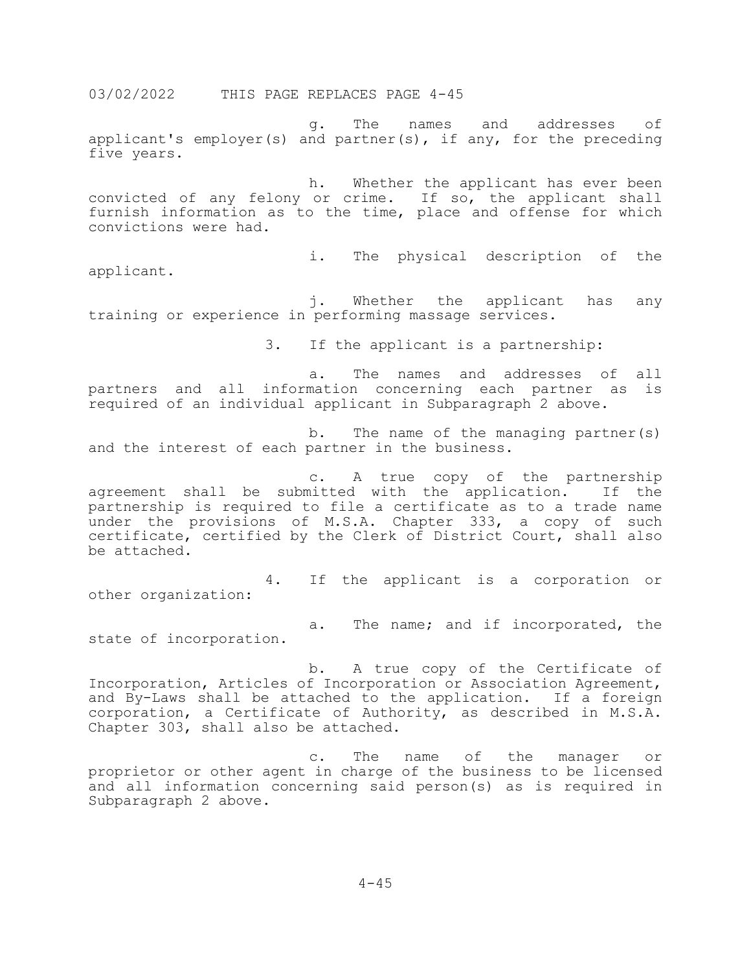g. The names and addresses of applicant's employer(s) and partner(s), if any, for the preceding five years.

h. Whether the applicant has ever been convicted of any felony or crime. If so, the applicant shall furnish information as to the time, place and offense for which convictions were had.

applicant.

i. The physical description of the

j. Whether the applicant has any training or experience in performing massage services.

3. If the applicant is a partnership:

a. The names and addresses of all partners and all information concerning each partner as is required of an individual applicant in Subparagraph 2 above.

b. The name of the managing partner(s) and the interest of each partner in the business.

c. A true copy of the partnership agreement shall be submitted with the application. If the partnership is required to file a certificate as to a trade name under the provisions of M.S.A. Chapter 333, a copy of such certificate, certified by the Clerk of District Court, shall also be attached.

4. If the applicant is a corporation or other organization:

a. The name; and if incorporated, the state of incorporation.

b. A true copy of the Certificate of Incorporation, Articles of Incorporation or Association Agreement, and By-Laws shall be attached to the application. If a foreign corporation, a Certificate of Authority, as described in M.S.A. Chapter 303, shall also be attached.

c. The name of the manager or proprietor or other agent in charge of the business to be licensed and all information concerning said person(s) as is required in Subparagraph 2 above.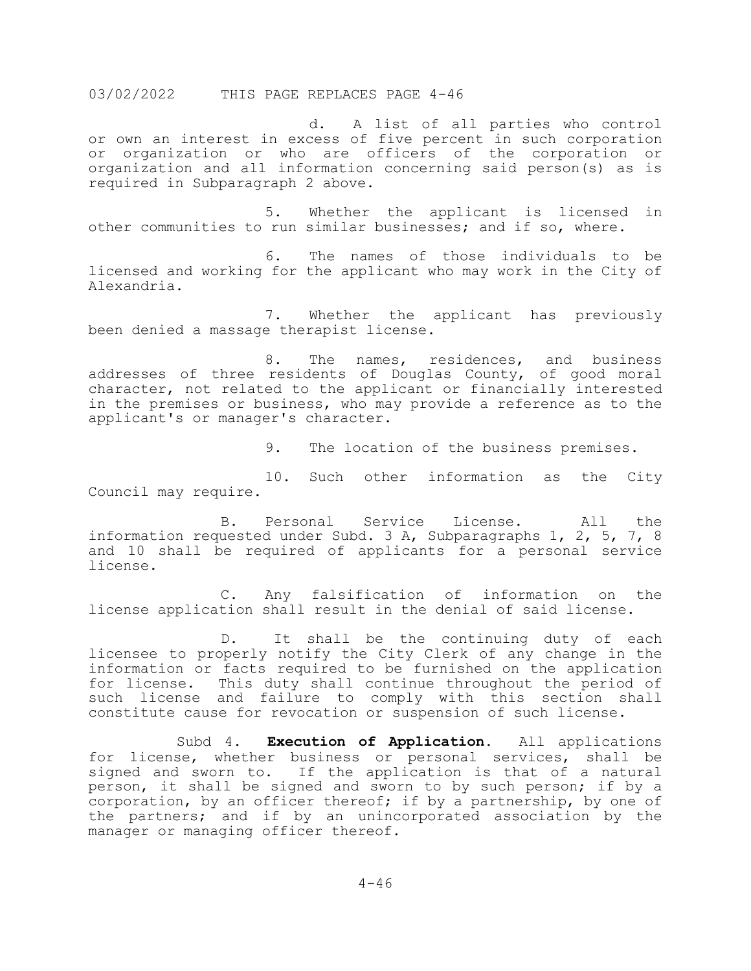d. A list of all parties who control or own an interest in excess of five percent in such corporation or organization or who are officers of the corporation or organization and all information concerning said person(s) as is required in Subparagraph 2 above.

5. Whether the applicant is licensed in other communities to run similar businesses; and if so, where.

6. The names of those individuals to be licensed and working for the applicant who may work in the City of Alexandria.

7. Whether the applicant has previously been denied a massage therapist license.

8. The names, residences, and business addresses of three residents of Douglas County, of good moral character, not related to the applicant or financially interested in the premises or business, who may provide a reference as to the applicant's or manager's character.

9. The location of the business premises.

10. Such other information as the City Council may require.

B. Personal Service License. All the information requested under Subd. 3 A, Subparagraphs 1, 2, 5, 7, 8 and 10 shall be required of applicants for a personal service license.

C. Any falsification of information on the license application shall result in the denial of said license.

D. It shall be the continuing duty of each licensee to properly notify the City Clerk of any change in the information or facts required to be furnished on the application for license. This duty shall continue throughout the period of such license and failure to comply with this section shall constitute cause for revocation or suspension of such license.

Subd 4. **Execution of Application.** All applications for license, whether business or personal services, shall be signed and sworn to. If the application is that of a natural person, it shall be signed and sworn to by such person; if by a corporation, by an officer thereof; if by a partnership, by one of the partners; and if by an unincorporated association by the manager or managing officer thereof.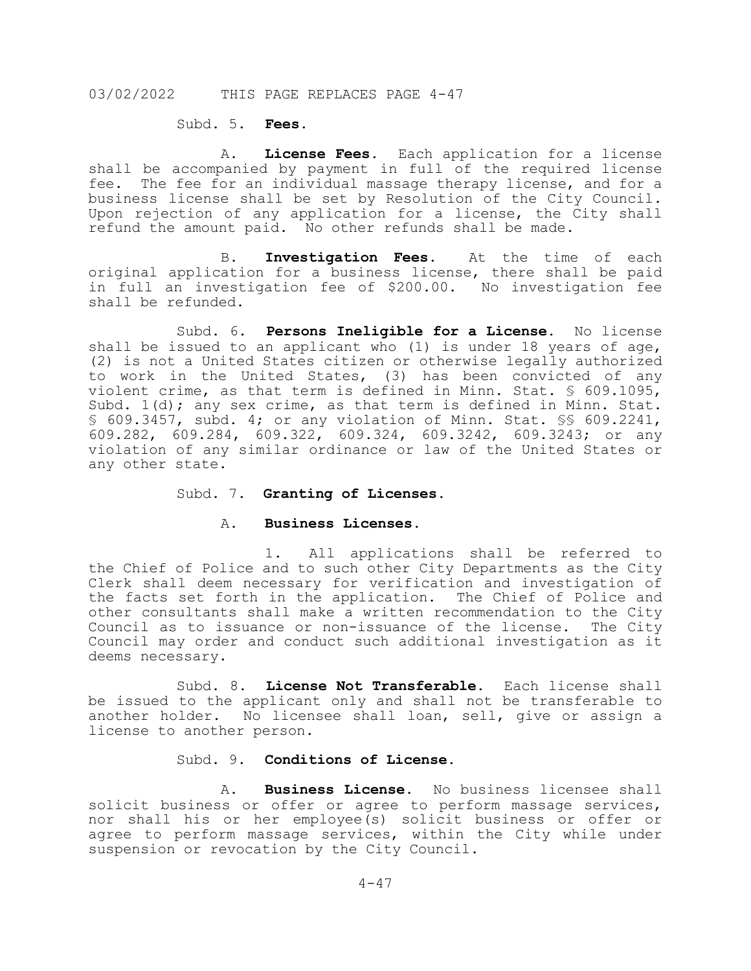# Subd. 5. **Fees.**

A. **License Fees.** Each application for a license shall be accompanied by payment in full of the required license fee. The fee for an individual massage therapy license, and for a business license shall be set by Resolution of the City Council. Upon rejection of any application for a license, the City shall refund the amount paid. No other refunds shall be made.

B. **Investigation Fees.** At the time of each original application for a business license, there shall be paid in full an investigation fee of \$200.00. No investigation fee shall be refunded.

Subd. 6. **Persons Ineligible for a License.** No license shall be issued to an applicant who (1) is under 18 years of age, (2) is not a United States citizen or otherwise legally authorized to work in the United States, (3) has been convicted of any violent crime, as that term is defined in Minn. Stat. § 609.1095, Subd. 1(d); any sex crime, as that term is defined in Minn. Stat. § 609.3457, subd. 4; or any violation of Minn. Stat. §§ 609.2241, 609.282, 609.284, 609.322, 609.324, 609.3242, 609.3243; or any violation of any similar ordinance or law of the United States or any other state.

#### Subd. 7. **Granting of Licenses.**

#### A. **Business Licenses.**

1. All applications shall be referred to the Chief of Police and to such other City Departments as the City Clerk shall deem necessary for verification and investigation of the facts set forth in the application. The Chief of Police and other consultants shall make a written recommendation to the City Council as to issuance or non-issuance of the license. The City Council may order and conduct such additional investigation as it deems necessary.

Subd. 8. **License Not Transferable.** Each license shall be issued to the applicant only and shall not be transferable to another holder. No licensee shall loan, sell, give or assign a license to another person.

### Subd. 9. **Conditions of License.**

A. **Business License.** No business licensee shall solicit business or offer or agree to perform massage services, nor shall his or her employee(s) solicit business or offer or agree to perform massage services, within the City while under suspension or revocation by the City Council.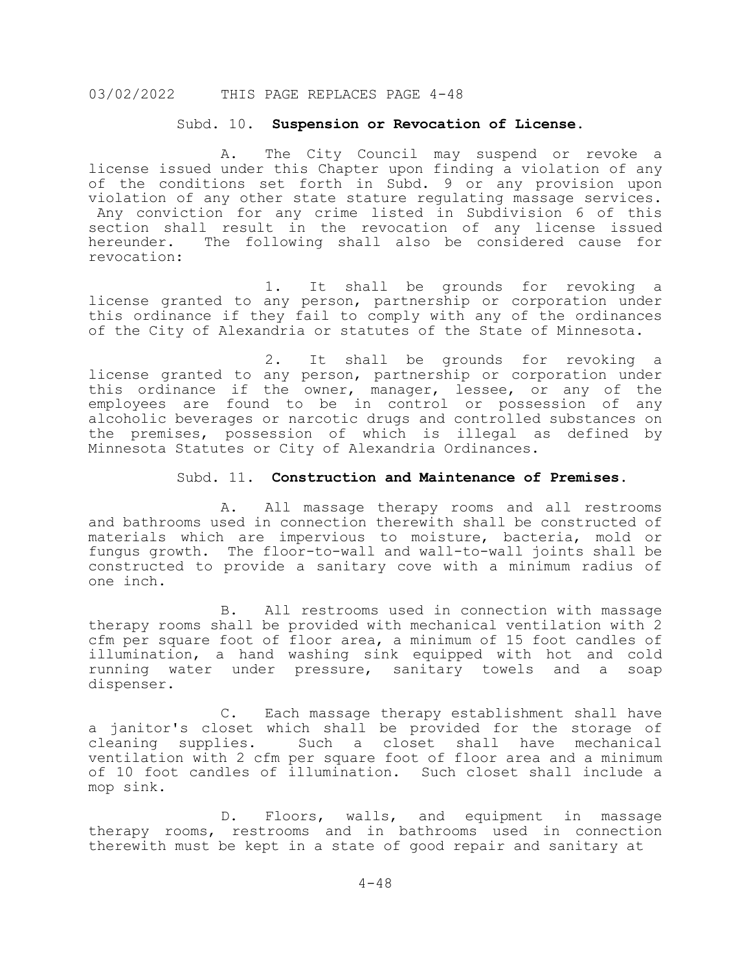#### Subd. 10. **Suspension or Revocation of License.**

A. The City Council may suspend or revoke a license issued under this Chapter upon finding a violation of any of the conditions set forth in Subd. 9 or any provision upon violation of any other state stature regulating massage services. Any conviction for any crime listed in Subdivision 6 of this section shall result in the revocation of any license issued hereunder. The following shall also be considered cause for revocation:

1. It shall be grounds for revoking a license granted to any person, partnership or corporation under this ordinance if they fail to comply with any of the ordinances of the City of Alexandria or statutes of the State of Minnesota.

2. It shall be grounds for revoking a license granted to any person, partnership or corporation under this ordinance if the owner, manager, lessee, or any of the employees are found to be in control or possession of any alcoholic beverages or narcotic drugs and controlled substances on the premises, possession of which is illegal as defined by Minnesota Statutes or City of Alexandria Ordinances.

#### Subd. 11. **Construction and Maintenance of Premises.**

A. All massage therapy rooms and all restrooms and bathrooms used in connection therewith shall be constructed of materials which are impervious to moisture, bacteria, mold or fungus growth. The floor-to-wall and wall-to-wall joints shall be constructed to provide a sanitary cove with a minimum radius of one inch.

B. All restrooms used in connection with massage therapy rooms shall be provided with mechanical ventilation with 2 cfm per square foot of floor area, a minimum of 15 foot candles of illumination, a hand washing sink equipped with hot and cold running water under pressure, sanitary towels and a soap dispenser.

C. Each massage therapy establishment shall have a janitor's closet which shall be provided for the storage of cleaning supplies. Such a closet shall have mechanical ventilation with 2 cfm per square foot of floor area and a minimum of 10 foot candles of illumination. Such closet shall include a mop sink.

D. Floors, walls, and equipment in massage therapy rooms, restrooms and in bathrooms used in connection therewith must be kept in a state of good repair and sanitary at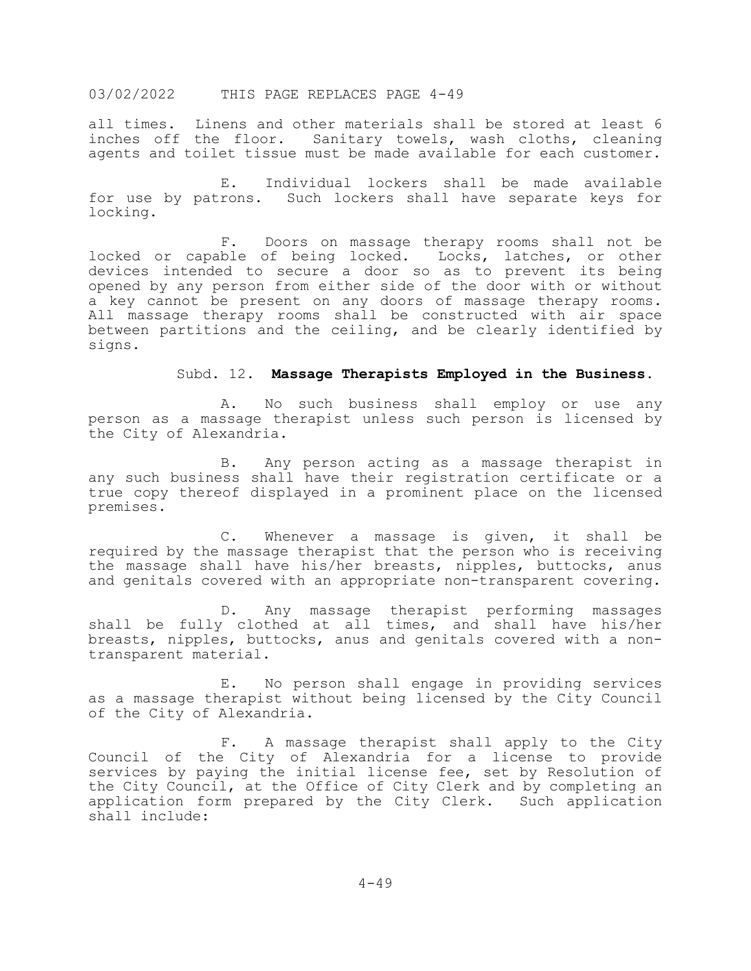all times. Linens and other materials shall be stored at least 6 inches off the floor. Sanitary towels, wash cloths, cleaning agents and toilet tissue must be made available for each customer.

E. Individual lockers shall be made available for use by patrons. Such lockers shall have separate keys for locking.

F. Doors on massage therapy rooms shall not be locked or capable of being locked. Locks, latches, or other devices intended to secure a door so as to prevent its being opened by any person from either side of the door with or without a key cannot be present on any doors of massage therapy rooms. All massage therapy rooms shall be constructed with air space between partitions and the ceiling, and be clearly identified by signs.

#### Subd. 12. **Massage Therapists Employed in the Business.**

A. No such business shall employ or use any person as a massage therapist unless such person is licensed by the City of Alexandria.

B. Any person acting as a massage therapist in any such business shall have their registration certificate or a true copy thereof displayed in a prominent place on the licensed premises.

C. Whenever a massage is given, it shall be required by the massage therapist that the person who is receiving the massage shall have his/her breasts, nipples, buttocks, anus and genitals covered with an appropriate non-transparent covering.

D. Any massage therapist performing massages shall be fully clothed at all times, and shall have his/her breasts, nipples, buttocks, anus and genitals covered with a non- transparent material.

E. No person shall engage in providing services as a massage therapist without being licensed by the City Council of the City of Alexandria.

F. A massage therapist shall apply to the City Council of the City of Alexandria for a license to provide services by paying the initial license fee, set by Resolution of the City Council, at the Office of City Clerk and by completing an application form prepared by the City Clerk. Such application application form prepared by the City Clerk. shall include: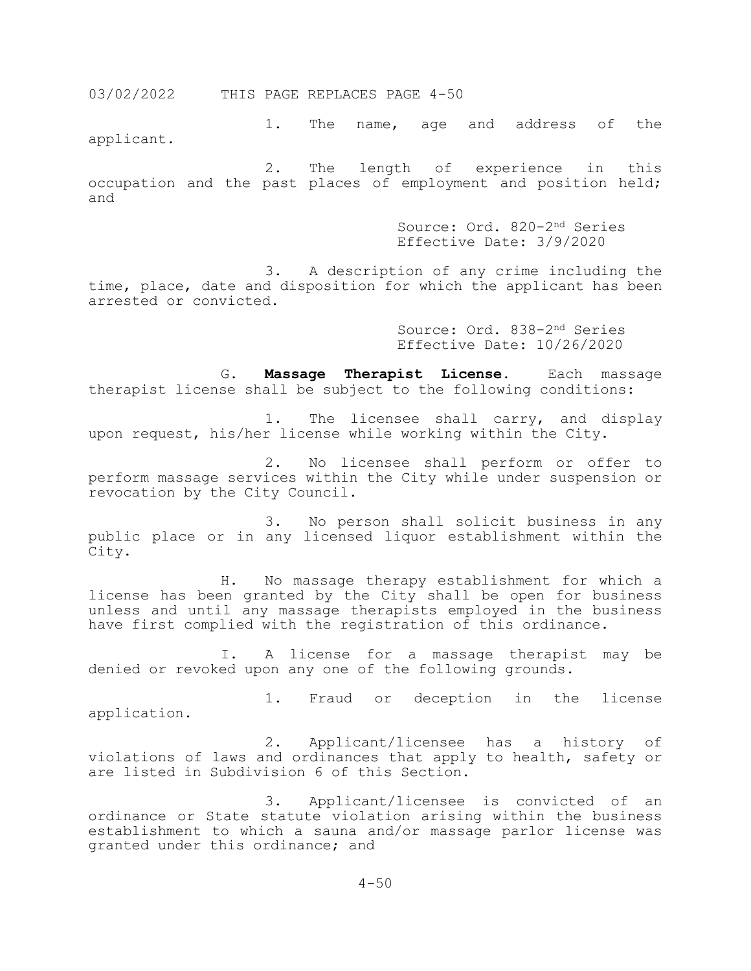1. The name, age and address of the applicant.

2. The length of experience in this occupation and the past places of employment and position held; and

> Source: Ord. 820-2nd Series Effective Date: 3/9/2020

3. A description of any crime including the time, place, date and disposition for which the applicant has been arrested or convicted.

> Source: Ord. 838-2nd Series Effective Date: 10/26/2020

G. **Massage Therapist License.** Each massage therapist license shall be subject to the following conditions:

1. The licensee shall carry, and display upon request, his/her license while working within the City.

2. No licensee shall perform or offer to perform massage services within the City while under suspension or revocation by the City Council.

3. No person shall solicit business in any public place or in any licensed liquor establishment within the City.

H. No massage therapy establishment for which a license has been granted by the City shall be open for business unless and until any massage therapists employed in the business have first complied with the registration of this ordinance.

I. A license for a massage therapist may be denied or revoked upon any one of the following grounds.

1. Fraud or deception in the license application.

2. Applicant/licensee has a history of violations of laws and ordinances that apply to health, safety or are listed in Subdivision 6 of this Section.

3. Applicant/licensee is convicted of an ordinance or State statute violation arising within the business establishment to which a sauna and/or massage parlor license was granted under this ordinance; and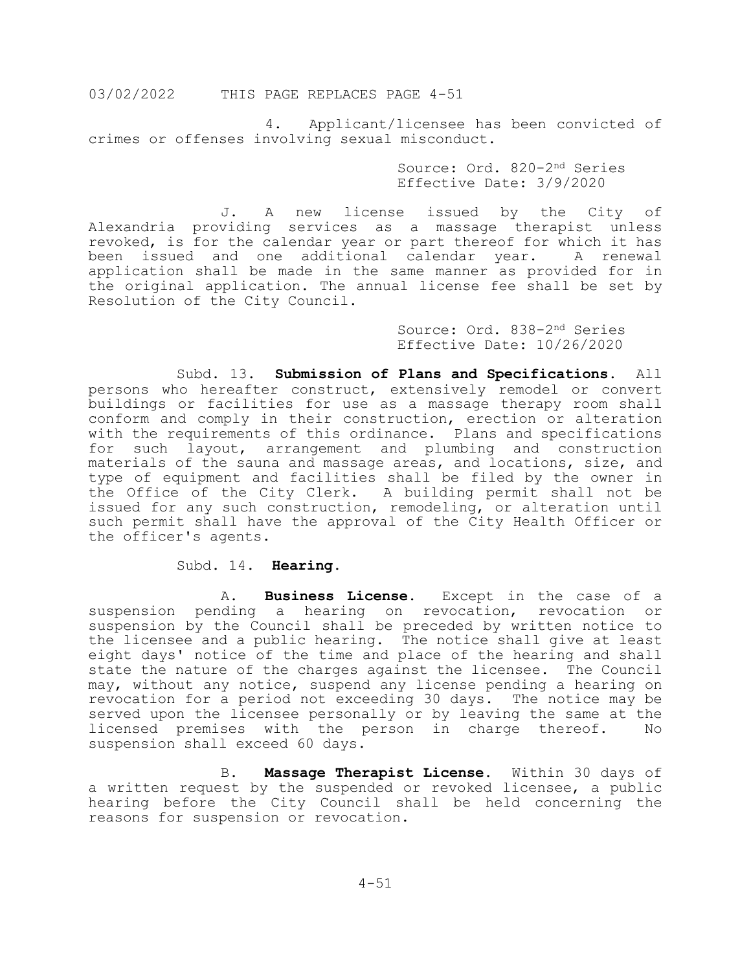4. Applicant/licensee has been convicted of crimes or offenses involving sexual misconduct.

> Source: Ord. 820-2nd Series Effective Date: 3/9/2020

J. A new license issued by the City of Alexandria providing services as a massage therapist unless revoked, is for the calendar year or part thereof for which it has been issued and one additional calendar year. A renewal application shall be made in the same manner as provided for in the original application. The annual license fee shall be set by Resolution of the City Council.

> Source: Ord. 838-2nd Series Effective Date: 10/26/2020

Subd. 13. **Submission of Plans and Specifications.** All persons who hereafter construct, extensively remodel or convert buildings or facilities for use as a massage therapy room shall conform and comply in their construction, erection or alteration with the requirements of this ordinance. Plans and specifications for such layout, arrangement and plumbing and construction materials of the sauna and massage areas, and locations, size, and type of equipment and facilities shall be filed by the owner in the Office of the City Clerk. A building permit shall not be issued for any such construction, remodeling, or alteration until such permit shall have the approval of the City Health Officer or the officer's agents.

# Subd. 14. **Hearing.**

A. **Business License.** Except in the case of a suspension pending a hearing on revocation, revocation or suspension by the Council shall be preceded by written notice to the licensee and a public hearing. The notice shall give at least eight days' notice of the time and place of the hearing and shall state the nature of the charges against the licensee. The Council may, without any notice, suspend any license pending a hearing on revocation for a period not exceeding 30 days. The notice may be served upon the licensee personally or by leaving the same at the<br>licensed premises with the person in charge thereof. No licensed premises with the person in charge thereof. suspension shall exceed 60 days.

B. **Massage Therapist License.** Within 30 days of a written request by the suspended or revoked licensee, a public hearing before the City Council shall be held concerning the reasons for suspension or revocation.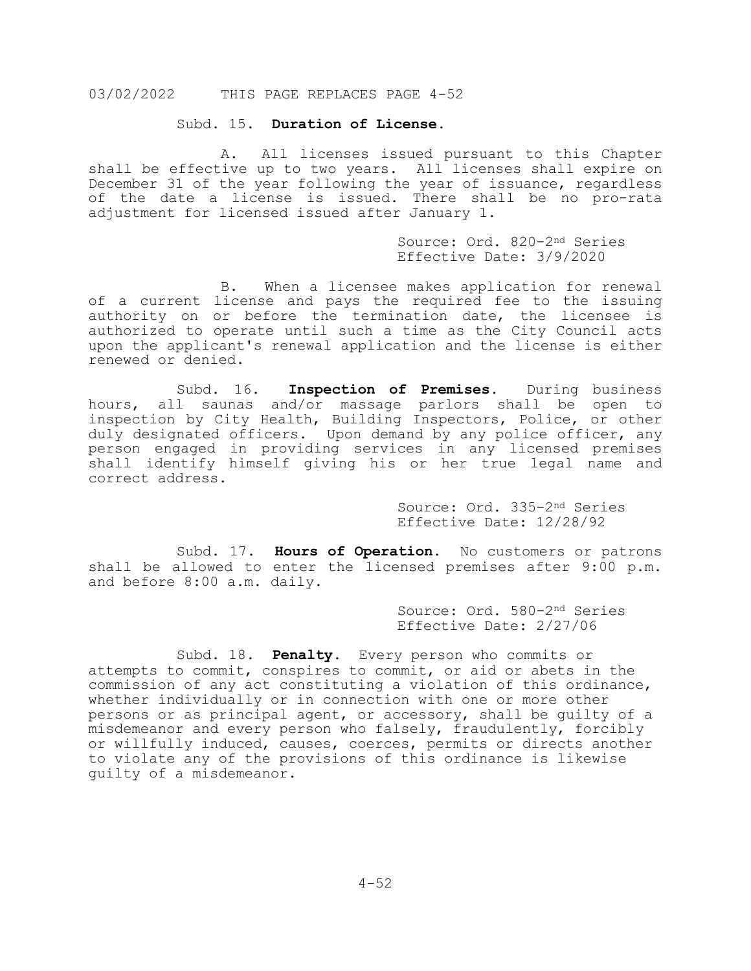#### Subd. 15. **Duration of License.**

A. All licenses issued pursuant to this Chapter shall be effective up to two years. All licenses shall expire on December 31 of the year following the year of issuance, regardless of the date a license is issued. There shall be no pro-rata adjustment for licensed issued after January 1.

> Source: Ord. 820-2nd Series Effective Date: 3/9/2020

B. When a licensee makes application for renewal of a current license and pays the required fee to the issuing authority on or before the termination date, the licensee is authorized to operate until such a time as the City Council acts upon the applicant's renewal application and the license is either renewed or denied.

Subd. 16. **Inspection of Premises**. During business hours, all saunas and/or massage parlors shall be open to inspection by City Health, Building Inspectors, Police, or other duly designated officers. Upon demand by any police officer, any person engaged in providing services in any licensed premises shall identify himself giving his or her true legal name and correct address.

> Source: Ord. 335-2nd Series Effective Date: 12/28/92

Subd. 17. **Hours of Operation.** No customers or patrons shall be allowed to enter the licensed premises after 9:00 p.m. and before 8:00 a.m. daily.

> Source: Ord. 580-2nd Series Effective Date: 2/27/06

Subd. 18. **Penalty**. Every person who commits or attempts to commit, conspires to commit, or aid or abets in the commission of any act constituting a violation of this ordinance, whether individually or in connection with one or more other persons or as principal agent, or accessory, shall be guilty of a misdemeanor and every person who falsely, fraudulently, forcibly or willfully induced, causes, coerces, permits or directs another to violate any of the provisions of this ordinance is likewise guilty of a misdemeanor.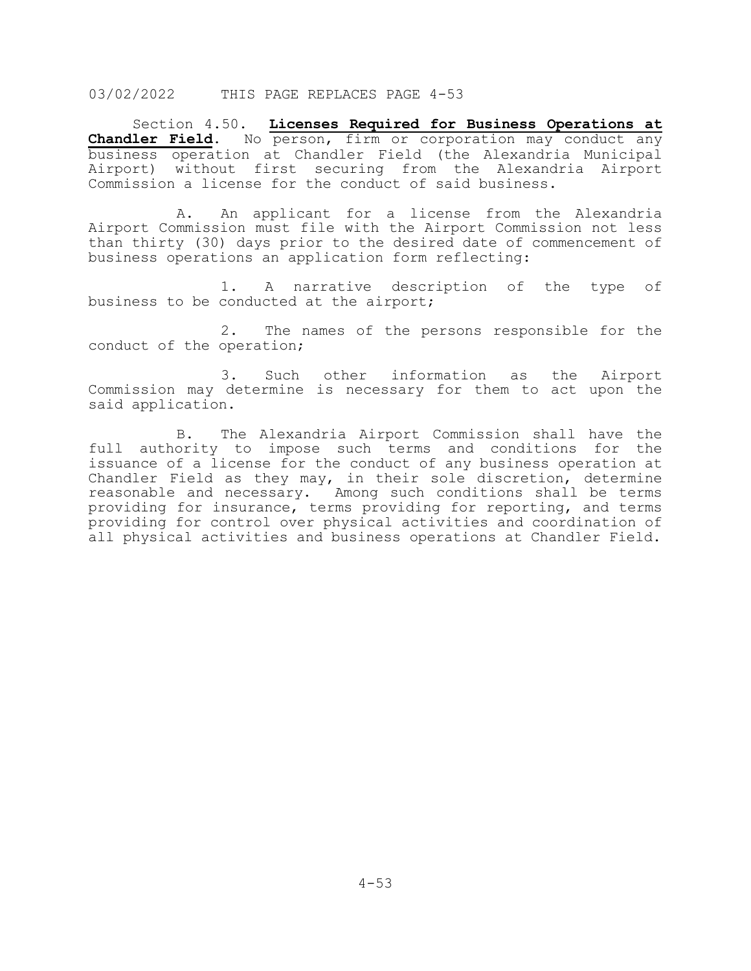Section 4.50. **Licenses Required for Business Operations at Chandler Field.** No person, firm or corporation may conduct any business operation at Chandler Field (the Alexandria Municipal Airport) without first securing from the Alexandria Airport Commission a license for the conduct of said business.

A. An applicant for a license from the Alexandria Airport Commission must file with the Airport Commission not less than thirty (30) days prior to the desired date of commencement of business operations an application form reflecting:

1. A narrative description of the type of business to be conducted at the airport;

2. The names of the persons responsible for the conduct of the operation;

3. Such other information as the Airport Commission may determine is necessary for them to act upon the said application.

B. The Alexandria Airport Commission shall have the full authority to impose such terms and conditions for the issuance of a license for the conduct of any business operation at Chandler Field as they may, in their sole discretion, determine reasonable and necessary. Among such conditions shall be terms providing for insurance, terms providing for reporting, and terms providing for control over physical activities and coordination of all physical activities and business operations at Chandler Field.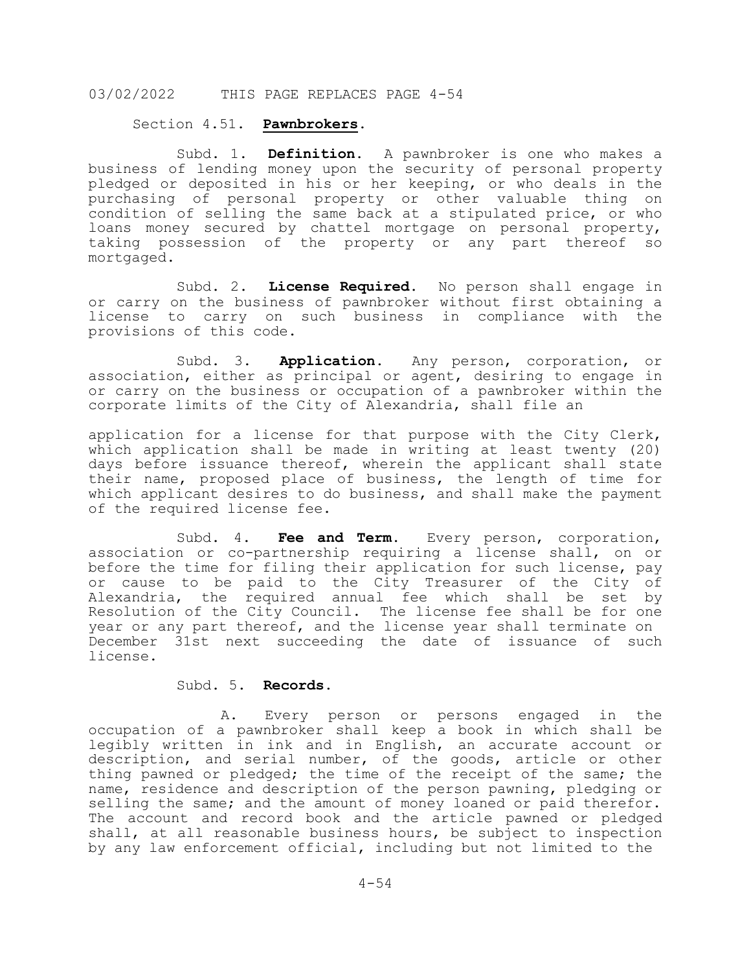#### Section 4.51. **Pawnbrokers.**

Subd. 1. **Definition.** A pawnbroker is one who makes a business of lending money upon the security of personal property pledged or deposited in his or her keeping, or who deals in the purchasing of personal property or other valuable thing on condition of selling the same back at a stipulated price, or who loans money secured by chattel mortgage on personal property, taking possession of the property or any part thereof so mortgaged.

Subd. 2. **License Required.** No person shall engage in or carry on the business of pawnbroker without first obtaining a license to carry on such business in compliance with the provisions of this code.

Subd. 3. **Application.** Any person, corporation, or association, either as principal or agent, desiring to engage in or carry on the business or occupation of a pawnbroker within the corporate limits of the City of Alexandria, shall file an

application for a license for that purpose with the City Clerk, which application shall be made in writing at least twenty (20) days before issuance thereof, wherein the applicant shall state their name, proposed place of business, the length of time for which applicant desires to do business, and shall make the payment of the required license fee.

Subd. 4. **Fee and Term.** Every person, corporation, association or co-partnership requiring a license shall, on or before the time for filing their application for such license, pay or cause to be paid to the City Treasurer of the City of Alexandria, the required annual fee which shall be set by Resolution of the City Council. The license fee shall be for one year or any part thereof, and the license year shall terminate on December 31st next succeeding the date of issuance of such license.

# Subd. 5. **Records.**

A. Every person or persons engaged in the occupation of a pawnbroker shall keep a book in which shall be legibly written in ink and in English, an accurate account or description, and serial number, of the goods, article or other thing pawned or pledged; the time of the receipt of the same; the name, residence and description of the person pawning, pledging or selling the same; and the amount of money loaned or paid therefor. The account and record book and the article pawned or pledged shall, at all reasonable business hours, be subject to inspection by any law enforcement official, including but not limited to the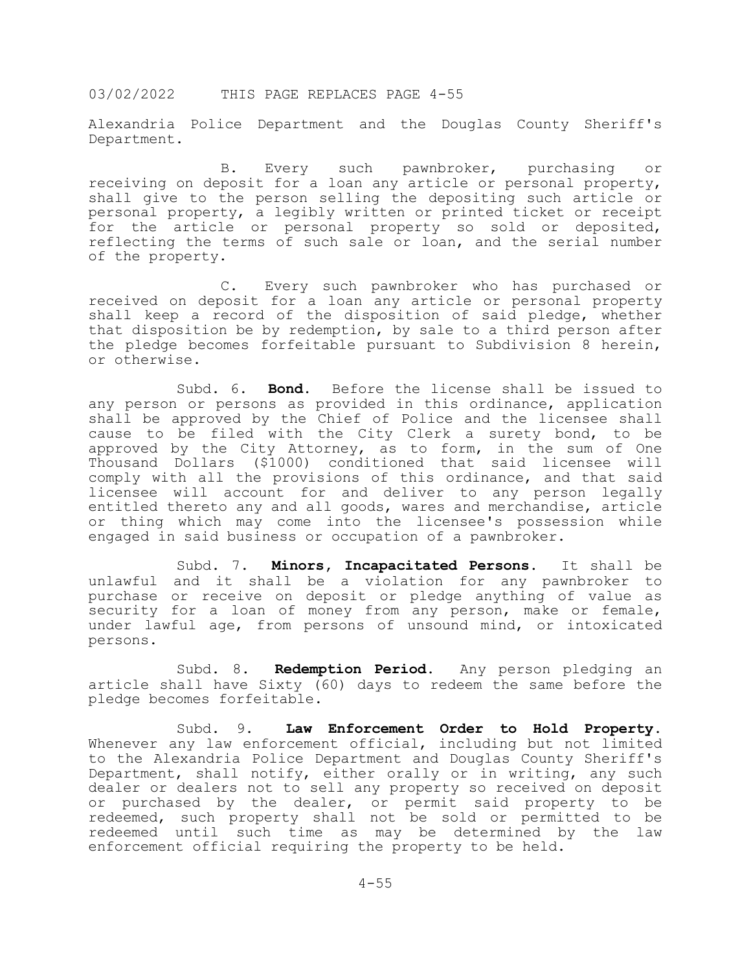Alexandria Police Department and the Douglas County Sheriff's Department.

B. Every such pawnbroker, purchasing or receiving on deposit for a loan any article or personal property, shall give to the person selling the depositing such article or personal property, a legibly written or printed ticket or receipt for the article or personal property so sold or deposited, reflecting the terms of such sale or loan, and the serial number of the property.

C. Every such pawnbroker who has purchased or received on deposit for a loan any article or personal property shall keep a record of the disposition of said pledge, whether that disposition be by redemption, by sale to a third person after the pledge becomes forfeitable pursuant to Subdivision 8 herein, or otherwise.

Subd. 6. **Bond.** Before the license shall be issued to any person or persons as provided in this ordinance, application shall be approved by the Chief of Police and the licensee shall cause to be filed with the City Clerk a surety bond, to be approved by the City Attorney, as to form, in the sum of One Thousand Dollars (\$1000) conditioned that said licensee will comply with all the provisions of this ordinance, and that said licensee will account for and deliver to any person legally entitled thereto any and all goods, wares and merchandise, article or thing which may come into the licensee's possession while engaged in said business or occupation of a pawnbroker.

Subd. 7. **Minors, Incapacitated Persons.** It shall be unlawful and it shall be a violation for any pawnbroker to purchase or receive on deposit or pledge anything of value as security for a loan of money from any person, make or female, under lawful age, from persons of unsound mind, or intoxicated persons.

Subd. 8. **Redemption Period.** Any person pledging an article shall have Sixty (60) days to redeem the same before the pledge becomes forfeitable.

Subd. 9. **Law Enforcement Order to Hold Property.** Whenever any law enforcement official, including but not limited to the Alexandria Police Department and Douglas County Sheriff's Department, shall notify, either orally or in writing, any such dealer or dealers not to sell any property so received on deposit or purchased by the dealer, or permit said property to be redeemed, such property shall not be sold or permitted to be redeemed until such time as may be determined by the law enforcement official requiring the property to be held.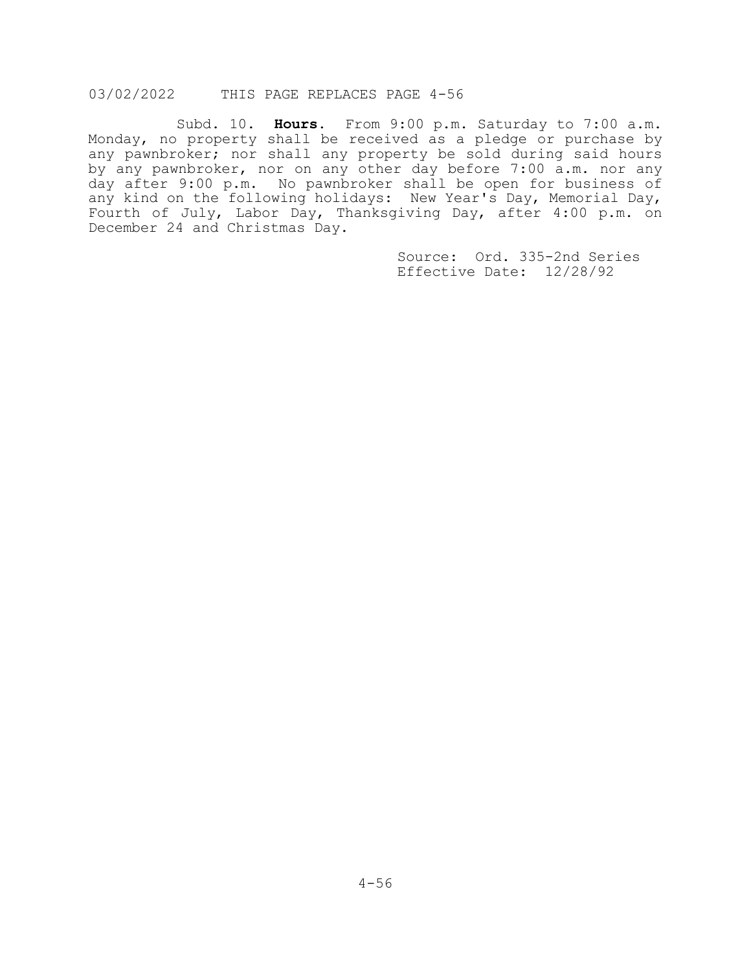Subd. 10. **Hours.** From 9:00 p.m. Saturday to 7:00 a.m. Monday, no property shall be received as a pledge or purchase by any pawnbroker; nor shall any property be sold during said hours by any pawnbroker, nor on any other day before 7:00 a.m. nor any day after 9:00 p.m. No pawnbroker shall be open for business of any kind on the following holidays: New Year's Day, Memorial Day, Fourth of July, Labor Day, Thanksgiving Day, after 4:00 p.m. on December 24 and Christmas Day.

> Source: Ord. 335-2nd Series Effective Date: 12/28/92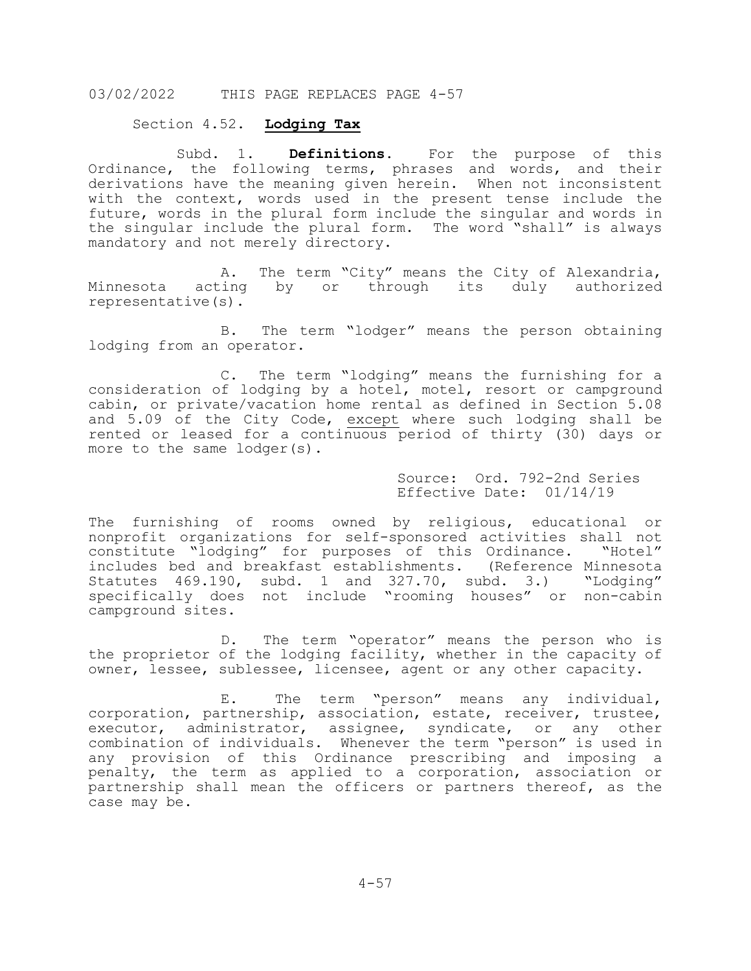# Section 4.52. **Lodging Tax**

Subd. 1. **Definitions**. For the purpose of this Ordinance, the following terms, phrases and words, and their derivations have the meaning given herein. When not inconsistent with the context, words used in the present tense include the future, words in the plural form include the singular and words in the singular include the plural form. The word "shall" is always mandatory and not merely directory.

A. The term "City" means the City of Alexandria, Minnesota acting by or through its duly authorized representative(s).

B. The term "lodger" means the person obtaining lodging from an operator.

C. The term "lodging" means the furnishing for a consideration of lodging by a hotel, motel, resort or campground cabin, or private/vacation home rental as defined in Section 5.08 and 5.09 of the City Code, except where such lodging shall be rented or leased for a continuous period of thirty (30) days or more to the same lodger(s).

> Source: Ord. 792-2nd Series Effective Date: 01/14/19

The furnishing of rooms owned by religious, educational or nonprofit organizations for self-sponsored activities shall not constitute "lodging" for purposes of this Ordinance. "Hotel" includes bed and breakfast establishments. (Reference Minnesota Statutes 469.190, subd. 1 and 327.70, subd. 3.) "Lodging" specifically does not include "rooming houses" or non-cabin campground sites.

D. The term "operator" means the person who is the proprietor of the lodging facility, whether in the capacity of owner, lessee, sublessee, licensee, agent or any other capacity.

E. The term "person" means any individual, corporation, partnership, association, estate, receiver, trustee, executor, administrator, assignee, syndicate, or any other combination of individuals. Whenever the term "person" is used in any provision of this Ordinance prescribing and imposing a penalty, the term as applied to a corporation, association or partnership shall mean the officers or partners thereof, as the case may be.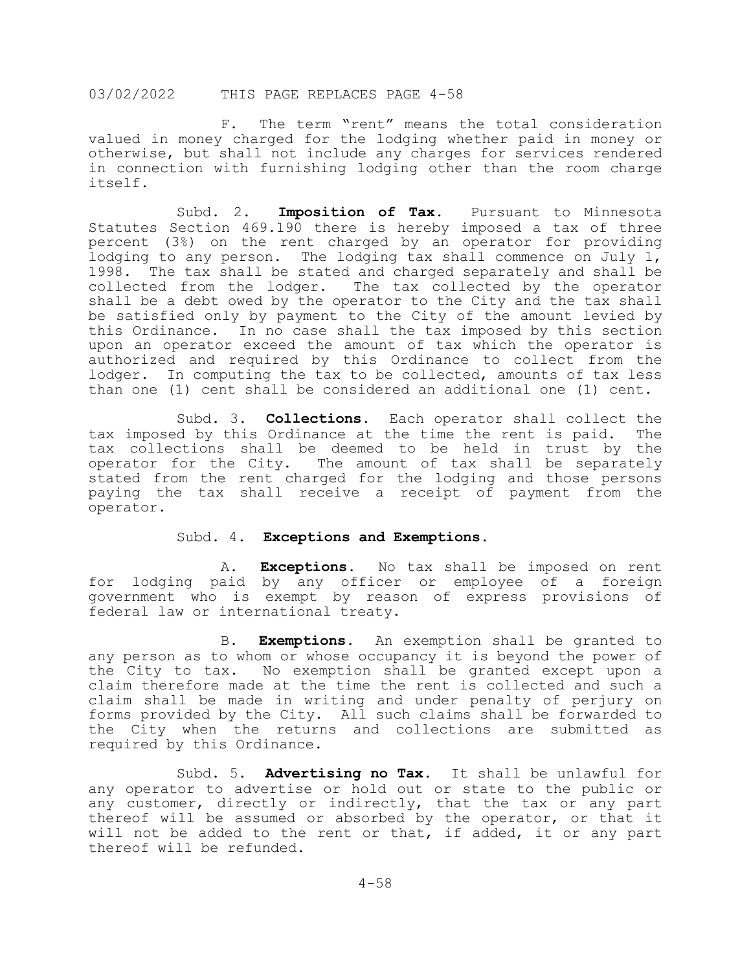F. The term "rent" means the total consideration valued in money charged for the lodging whether paid in money or otherwise, but shall not include any charges for services rendered in connection with furnishing lodging other than the room charge itself.

Subd. 2. **Imposition of Tax.** Pursuant to Minnesota Statutes Section 469.190 there is hereby imposed a tax of three percent (3%) on the rent charged by an operator for providing lodging to any person. The lodging tax shall commence on July 1, 1998. The tax shall be stated and charged separately and shall be collected from the lodger. The tax collected by the operator shall be a debt owed by the operator to the City and the tax shall be satisfied only by payment to the City of the amount levied by this Ordinance. In no case shall the tax imposed by this section upon an operator exceed the amount of tax which the operator is authorized and required by this Ordinance to collect from the lodger. In computing the tax to be collected, amounts of tax less than one (1) cent shall be considered an additional one (1) cent.

Subd. 3. **Collections**. Each operator shall collect the d by this Ordinance at the time the rent is paid. The tax imposed by this Ordinance at the time the rent is paid. tax collections shall be deemed to be held in trust by the operator for the City. The amount of tax shall be separately stated from the rent charged for the lodging and those persons paying the tax shall receive a receipt of payment from the operator.

#### Subd. 4. **Exceptions and Exemptions.**

A. **Exceptions**. No tax shall be imposed on rent for lodging paid by any officer or employee of a foreign government who is exempt by reason of express provisions of federal law or international treaty.

B. **Exemptions.** An exemption shall be granted to any person as to whom or whose occupancy it is beyond the power of the City to tax. No exemption shall be granted except upon a claim therefore made at the time the rent is collected and such a claim shall be made in writing and under penalty of perjury on forms provided by the City. All such claims shall be forwarded to the City when the returns and collections are submitted as required by this Ordinance.

Subd. 5. **Advertising no Tax.** It shall be unlawful for any operator to advertise or hold out or state to the public or any customer, directly or indirectly, that the tax or any part thereof will be assumed or absorbed by the operator, or that it will not be added to the rent or that, if added, it or any part thereof will be refunded.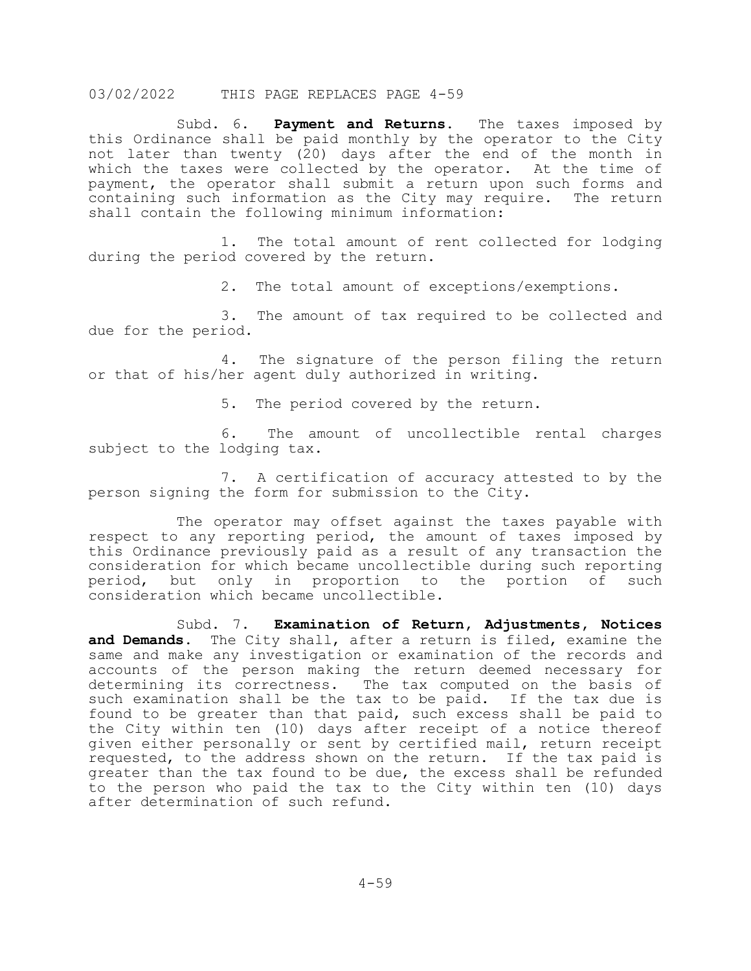Subd. 6. **Payment and Returns.** The taxes imposed by this Ordinance shall be paid monthly by the operator to the City not later than twenty (20) days after the end of the month in which the taxes were collected by the operator. At the time of payment, the operator shall submit a return upon such forms and containing such information as the City may require. The return shall contain the following minimum information:

1. The total amount of rent collected for lodging during the period covered by the return.

2. The total amount of exceptions/exemptions.

3. The amount of tax required to be collected and due for the period.

4. The signature of the person filing the return or that of his/her agent duly authorized in writing.

5. The period covered by the return.

6. The amount of uncollectible rental charges subject to the lodging tax.

7. A certification of accuracy attested to by the person signing the form for submission to the City.

The operator may offset against the taxes payable with respect to any reporting period, the amount of taxes imposed by this Ordinance previously paid as a result of any transaction the consideration for which became uncollectible during such reporting<br>period, but only in proportion to the portion of such but only in proportion to the portion of consideration which became uncollectible.

Subd. 7. **Examination of Return, Adjustments, Notices and Demands.** The City shall, after a return is filed, examine the same and make any investigation or examination of the records and accounts of the person making the return deemed necessary for determining its correctness. The tax computed on the basis of such examination shall be the tax to be paid. If the tax due is found to be greater than that paid, such excess shall be paid to the City within ten (10) days after receipt of a notice thereof given either personally or sent by certified mail, return receipt requested, to the address shown on the return. If the tax paid is greater than the tax found to be due, the excess shall be refunded to the person who paid the tax to the City within ten (10) days after determination of such refund.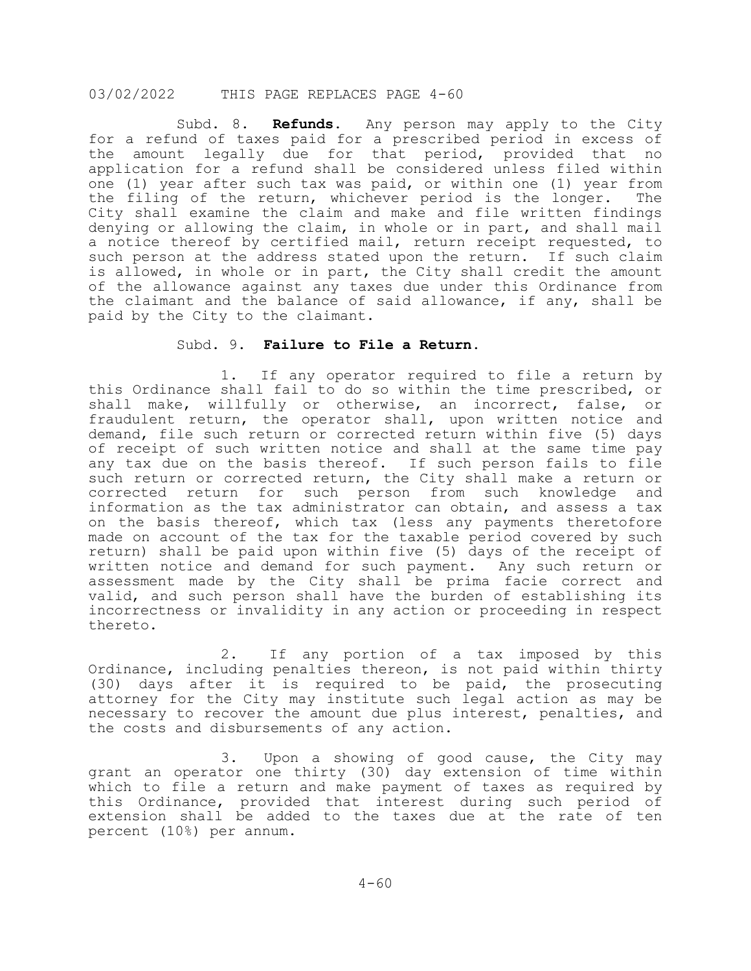Subd. 8. **Refunds.** Any person may apply to the City for a refund of taxes paid for a prescribed period in excess of<br>the amount legally due for that period, provided that no the amount legally due for that period, provided that application for a refund shall be considered unless filed within one (1) year after such tax was paid, or within one (1) year from<br>the filing of the return, whichever period is the longer. The the filing of the return, whichever period is the longer. City shall examine the claim and make and file written findings denying or allowing the claim, in whole or in part, and shall mail a notice thereof by certified mail, return receipt requested, to such person at the address stated upon the return. If such claim is allowed, in whole or in part, the City shall credit the amount of the allowance against any taxes due under this Ordinance from the claimant and the balance of said allowance, if any, shall be paid by the City to the claimant.

#### Subd. 9. **Failure to File a Return.**

1. If any operator required to file a return by this Ordinance shall fail to do so within the time prescribed, or shall make, willfully or otherwise, an incorrect, false, or fraudulent return, the operator shall, upon written notice and demand, file such return or corrected return within five (5) days of receipt of such written notice and shall at the same time pay any tax due on the basis thereof. If such person fails to file such return or corrected return, the City shall make a return or corrected return for such person from such knowledge and information as the tax administrator can obtain, and assess a tax on the basis thereof, which tax (less any payments theretofore made on account of the tax for the taxable period covered by such return) shall be paid upon within five (5) days of the receipt of written notice and demand for such payment. Any such return or assessment made by the City shall be prima facie correct and valid, and such person shall have the burden of establishing its incorrectness or invalidity in any action or proceeding in respect thereto.

2. If any portion of a tax imposed by this Ordinance, including penalties thereon, is not paid within thirty (30) days after it is required to be paid, the prosecuting attorney for the City may institute such legal action as may be necessary to recover the amount due plus interest, penalties, and the costs and disbursements of any action.

3. Upon a showing of good cause, the City may grant an operator one thirty (30) day extension of time within which to file a return and make payment of taxes as required by this Ordinance, provided that interest during such period of extension shall be added to the taxes due at the rate of ten percent (10%) per annum.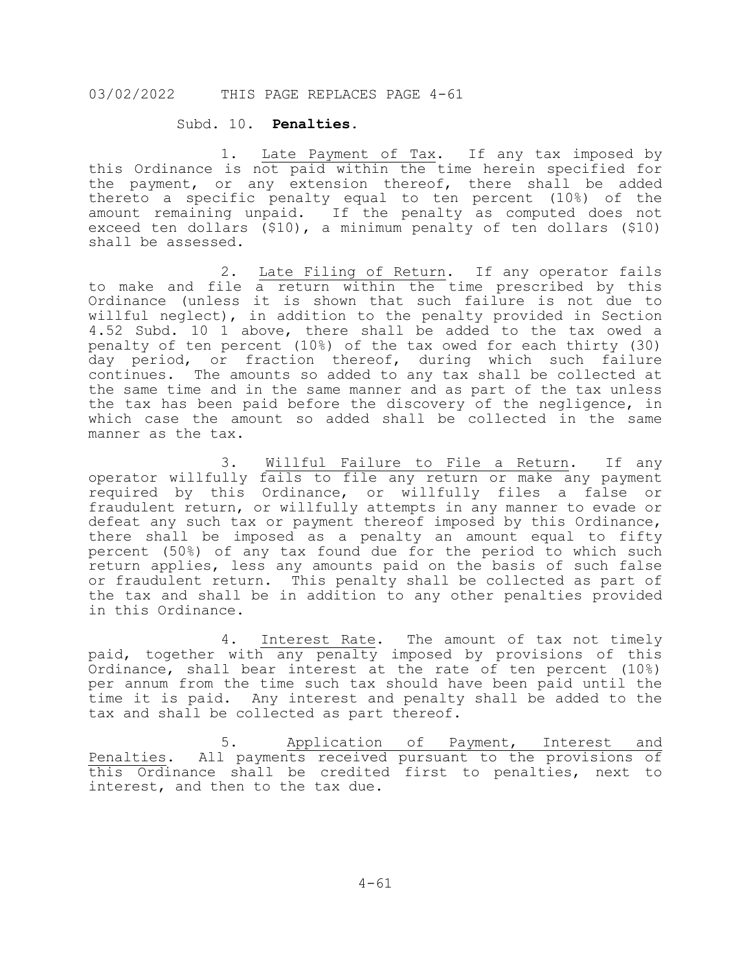#### Subd. 10. **Penalties.**

1. Late Payment of Tax. If any tax imposed by this Ordinance is not paid within the time herein specified for the payment, or any extension thereof, there shall be added thereto a specific penalty equal to ten percent (10%) of the amount remaining unpaid. If the penalty as computed does not exceed ten dollars (\$10), a minimum penalty of ten dollars (\$10) shall be assessed.

2. Late Filing of Return. If any operator fails to make and file a return within the time prescribed by this Ordinance (unless it is shown that such failure is not due to willful neglect), in addition to the penalty provided in Section 4.52 Subd. 10 1 above, there shall be added to the tax owed a penalty of ten percent (10%) of the tax owed for each thirty (30) day period, or fraction thereof, during which such failure continues. The amounts so added to any tax shall be collected at the same time and in the same manner and as part of the tax unless the tax has been paid before the discovery of the negligence, in which case the amount so added shall be collected in the same manner as the tax.

3. Willful Failure to File a Return. If any operator willfully fails to file any return or make any payment required by this Ordinance, or willfully files a false or fraudulent return, or willfully attempts in any manner to evade or defeat any such tax or payment thereof imposed by this Ordinance, there shall be imposed as a penalty an amount equal to fifty percent (50%) of any tax found due for the period to which such return applies, less any amounts paid on the basis of such false or fraudulent return. This penalty shall be collected as part of the tax and shall be in addition to any other penalties provided in this Ordinance.

4. Interest Rate. The amount of tax not timely paid, together with any penalty imposed by provisions of this Ordinance, shall bear interest at the rate of ten percent (10%) per annum from the time such tax should have been paid until the time it is paid. Any interest and penalty shall be added to the tax and shall be collected as part thereof.

5. Application of Payment, Interest and Penalties. All payments received pursuant to the provisions of this Ordinance shall be credited first to penalties, next to interest, and then to the tax due.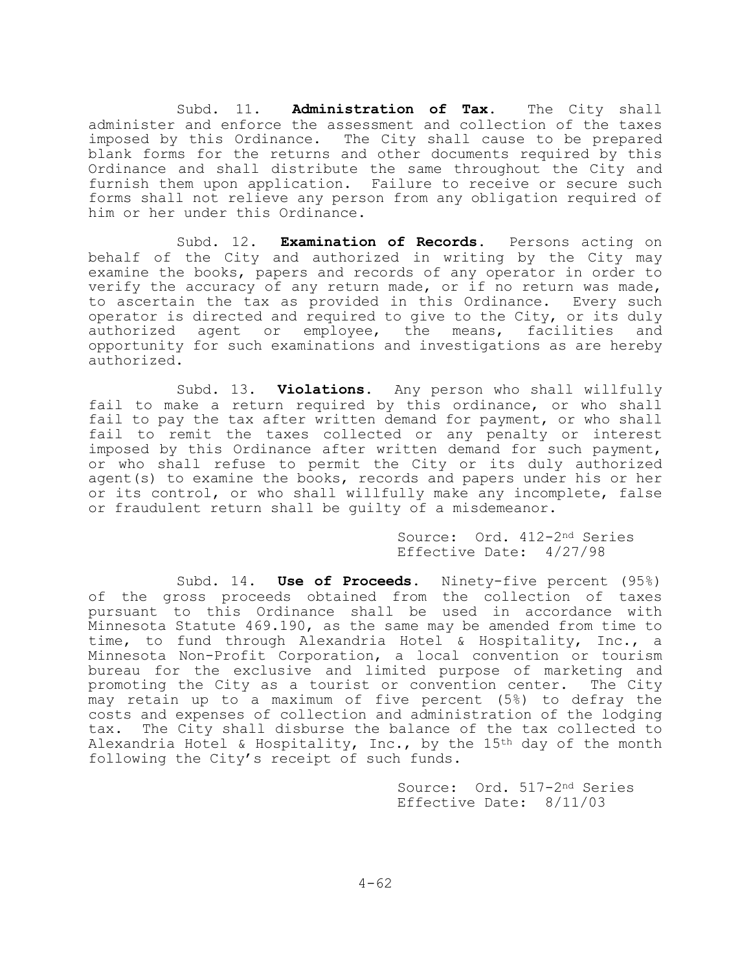Subd. 11. **Administration of Tax.** The City shall administer and enforce the assessment and collection of the taxes imposed by this Ordinance. The City shall cause to be prepared blank forms for the returns and other documents required by this Ordinance and shall distribute the same throughout the City and furnish them upon application. Failure to receive or secure such forms shall not relieve any person from any obligation required of him or her under this Ordinance.

Subd. 12. **Examination of Records.** Persons acting on behalf of the City and authorized in writing by the City may examine the books, papers and records of any operator in order to verify the accuracy of any return made, or if no return was made, to ascertain the tax as provided in this Ordinance. Every such operator is directed and required to give to the City, or its duly<br>authorized agent or employee, the means, facilities and authorized agent or employee, the means, opportunity for such examinations and investigations as are hereby authorized.

Subd. 13. **Violations.** Any person who shall willfully fail to make a return required by this ordinance, or who shall fail to pay the tax after written demand for payment, or who shall fail to remit the taxes collected or any penalty or interest imposed by this Ordinance after written demand for such payment, or who shall refuse to permit the City or its duly authorized agent(s) to examine the books, records and papers under his or her or its control, or who shall willfully make any incomplete, false or fraudulent return shall be guilty of a misdemeanor.

> Source: Ord. 412-2nd Series Effective Date: 4/27/98

Subd. 14. **Use of Proceeds.** Ninety-five percent (95%) of the gross proceeds obtained from the collection of taxes pursuant to this Ordinance shall be used in accordance with Minnesota Statute 469.190, as the same may be amended from time to time, to fund through Alexandria Hotel & Hospitality, Inc., a Minnesota Non-Profit Corporation, a local convention or tourism bureau for the exclusive and limited purpose of marketing and promoting the City as a tourist or convention center. The City may retain up to a maximum of five percent (5%) to defray the costs and expenses of collection and administration of the lodging tax. The City shall disburse the balance of the tax collected to Alexandria Hotel & Hospitality, Inc., by the 15<sup>th</sup> day of the month following the City's receipt of such funds.

> Source: Ord. 517-2nd Series Effective Date: 8/11/03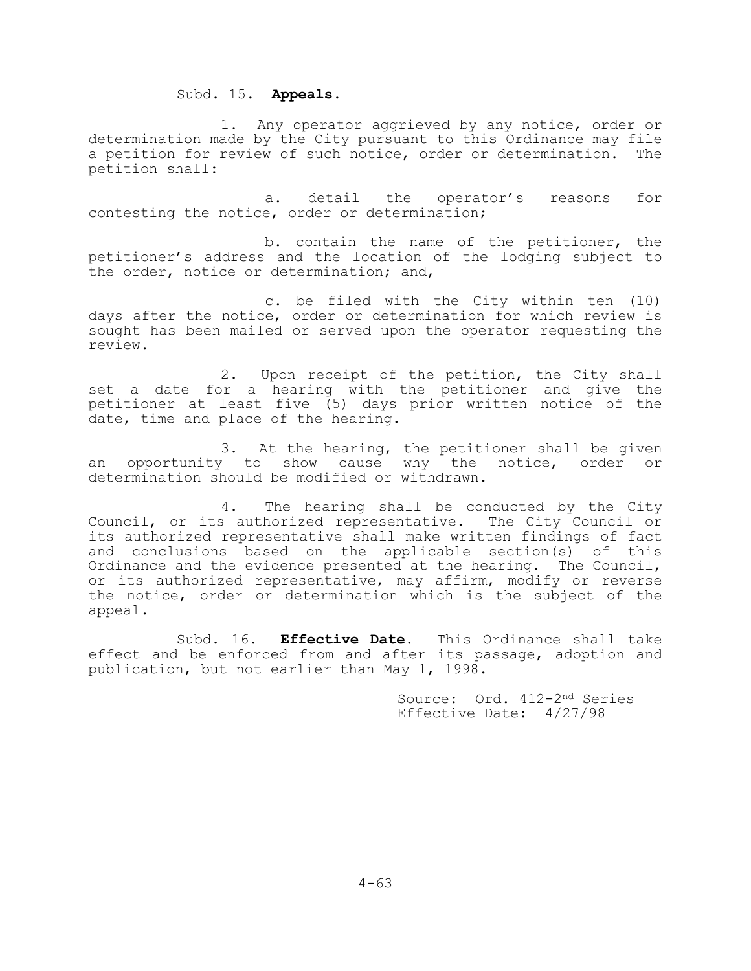# Subd. 15. **Appeals.**

1. Any operator aggrieved by any notice, order or determination made by the City pursuant to this Ordinance may file a petition for review of such notice, order or determination. The petition shall:

a. detail the operator's reasons for contesting the notice, order or determination;

b. contain the name of the petitioner, the petitioner's address and the location of the lodging subject to the order, notice or determination; and,

c. be filed with the City within ten (10) days after the notice, order or determination for which review is sought has been mailed or served upon the operator requesting the review.

2. Upon receipt of the petition, the City shall set a date for a hearing with the petitioner and give the petitioner at least five (5) days prior written notice of the date, time and place of the hearing.

3. At the hearing, the petitioner shall be given<br>to show cause why the notice, order or an opportunity to show cause why the determination should be modified or withdrawn.

4. The hearing shall be conducted by the City Council, or its authorized representative. The City Council or its authorized representative shall make written findings of fact and conclusions based on the applicable section(s) of this Ordinance and the evidence presented at the hearing. The Council, or its authorized representative, may affirm, modify or reverse the notice, order or determination which is the subject of the appeal.

Subd. 16. **Effective Date.** This Ordinance shall take effect and be enforced from and after its passage, adoption and publication, but not earlier than May 1, 1998.

> Source: Ord. 412-2nd Series Effective Date: 4/27/98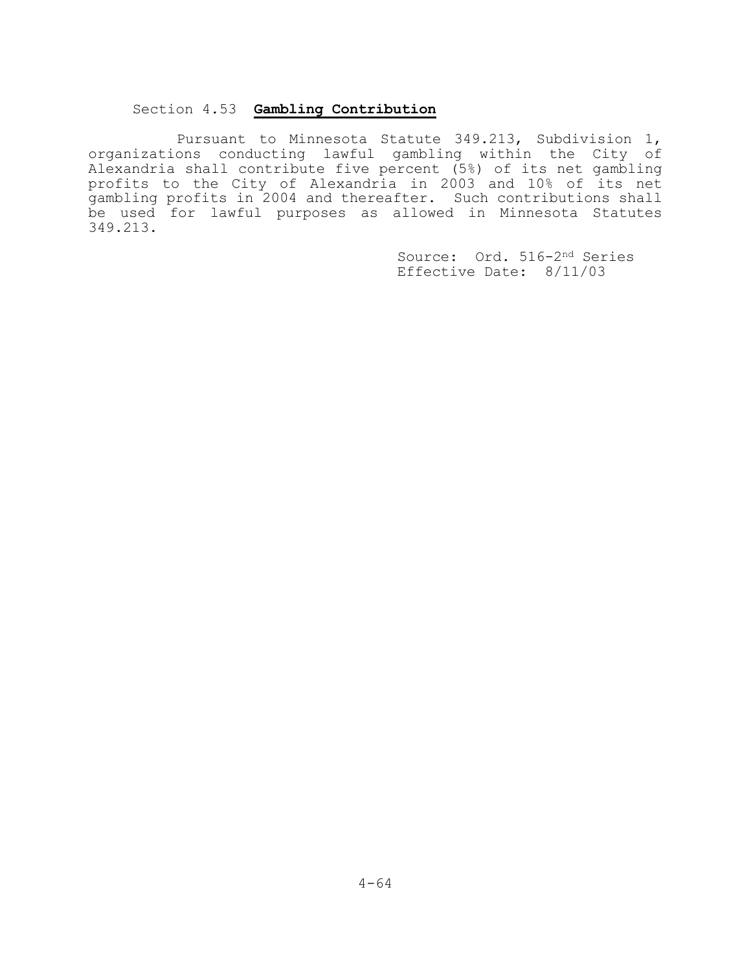# Section 4.53 **Gambling Contribution**

Pursuant to Minnesota Statute 349.213, Subdivision 1, organizations conducting lawful gambling within the City of Alexandria shall contribute five percent (5%) of its net gambling profits to the City of Alexandria in 2003 and 10% of its net gambling profits in 2004 and thereafter. Such contributions shall be used for lawful purposes as allowed in Minnesota Statutes 349.213.

> Source: Ord. 516-2nd Series Effective Date: 8/11/03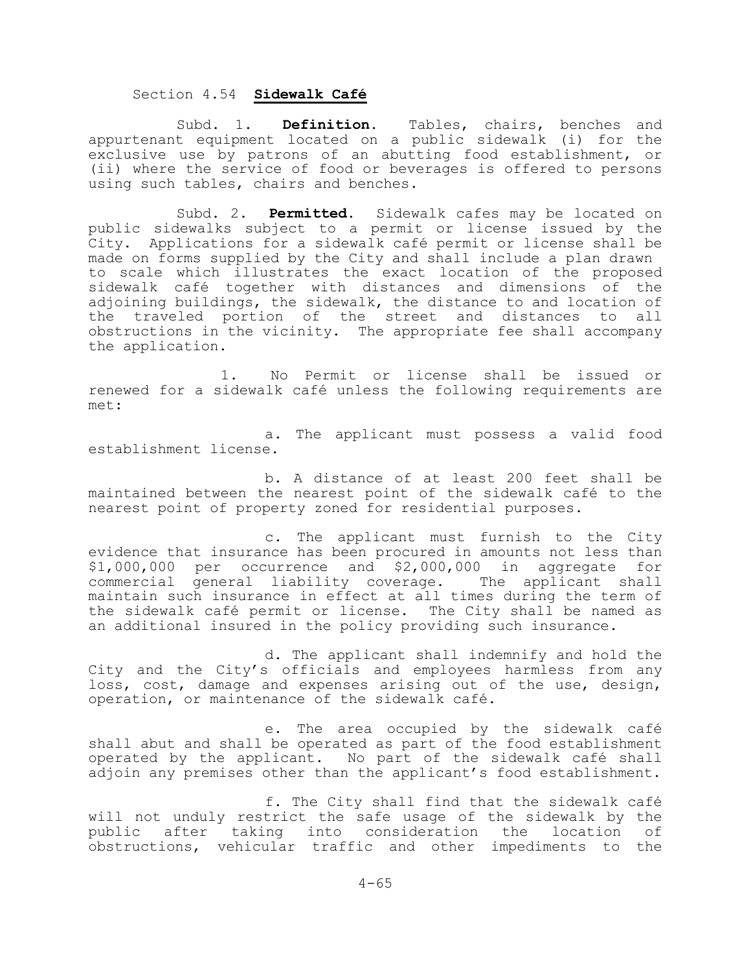### Section 4.54 **Sidewalk Café**

Subd. 1. **Definition.** Tables, chairs, benches and appurtenant equipment located on a public sidewalk (i) for the exclusive use by patrons of an abutting food establishment, or (ii) where the service of food or beverages is offered to persons using such tables, chairs and benches.

Subd. 2. **Permitted.** Sidewalk cafes may be located on public sidewalks subject to a permit or license issued by the City. Applications for a sidewalk café permit or license shall be made on forms supplied by the City and shall include a plan drawn to scale which illustrates the exact location of the proposed sidewalk café together with distances and dimensions of the adjoining buildings, the sidewalk, the distance to and location of the traveled portion of the street and distances to all obstructions in the vicinity. The appropriate fee shall accompany the application.

1. No Permit or license shall be issued or renewed for a sidewalk café unless the following requirements are met:

a. The applicant must possess a valid food establishment license.

b. A distance of at least 200 feet shall be maintained between the nearest point of the sidewalk café to the nearest point of property zoned for residential purposes.

c. The applicant must furnish to the City evidence that insurance has been procured in amounts not less than \$1,000,000 per occurrence and \$2,000,000 in aggregate for commercial general liability coverage. The applicant shall maintain such insurance in effect at all times during the term of the sidewalk café permit or license. The City shall be named as an additional insured in the policy providing such insurance.

d. The applicant shall indemnify and hold the City and the City's officials and employees harmless from any loss, cost, damage and expenses arising out of the use, design, operation, or maintenance of the sidewalk café.

e. The area occupied by the sidewalk café shall abut and shall be operated as part of the food establishment operated by the applicant. No part of the sidewalk café shall adjoin any premises other than the applicant's food establishment.

f. The City shall find that the sidewalk café will not unduly restrict the safe usage of the sidewalk by the<br>public after taking into consideration the location of public after taking into consideration the location obstructions, vehicular traffic and other impediments to the